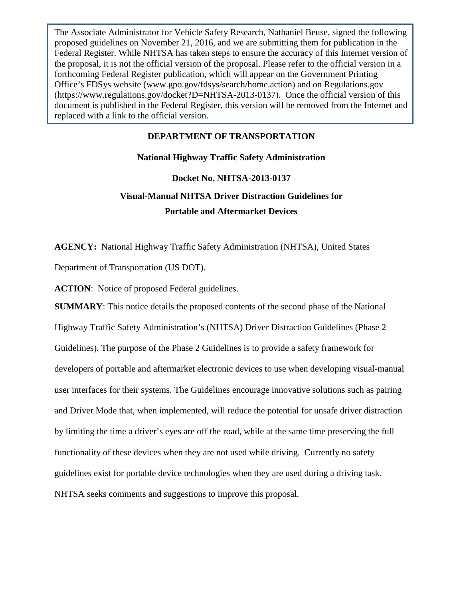The Associate Administrator for Vehicle Safety Research, Nathaniel Beuse, signed the following proposed guidelines on November 21, 2016, and we are submitting them for publication in the Federal Register. While NHTSA has taken steps to ensure the accuracy of this Internet version of the proposal, it is not the official version of the proposal. Please refer to the official version in a forthcoming Federal Register publication, which will appear on the Government Printing Office's FDSys website (www.gpo.gov/fdsys/search/home.action) and on Regulations.gov (https://www.regulations.gov/docket?D=NHTSA-2013-0137). Once the official version of this document is published in the Federal Register, this version will be removed from the Internet and replaced with a link to the official version.

## **DEPARTMENT OF TRANSPORTATION**

# **National Highway Traffic Safety Administration Docket No. NHTSA-2013-0137 Visual-Manual NHTSA Driver Distraction Guidelines for Portable and Aftermarket Devices**

**AGENCY:** National Highway Traffic Safety Administration (NHTSA), United States

Department of Transportation (US DOT).

**ACTION**: Notice of proposed Federal guidelines.

**SUMMARY**: This notice details the proposed contents of the second phase of the National Highway Traffic Safety Administration's (NHTSA) Driver Distraction Guidelines (Phase 2 Guidelines). The purpose of the Phase 2 Guidelines is to provide a safety framework for developers of portable and aftermarket electronic devices to use when developing visual-manual user interfaces for their systems. The Guidelines encourage innovative solutions such as pairing and Driver Mode that, when implemented, will reduce the potential for unsafe driver distraction by limiting the time a driver's eyes are off the road, while at the same time preserving the full functionality of these devices when they are not used while driving. Currently no safety guidelines exist for portable device technologies when they are used during a driving task. NHTSA seeks comments and suggestions to improve this proposal.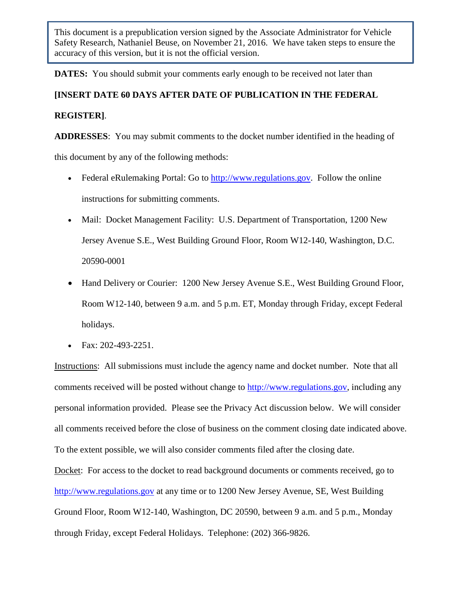**DATES:** You should submit your comments early enough to be received not later than

**[INSERT DATE 60 DAYS AFTER DATE OF PUBLICATION IN THE FEDERAL REGISTER]**.

**ADDRESSES**: You may submit comments to the docket number identified in the heading of this document by any of the following methods:

- Federal eRulemaking Portal: Go to  $\frac{http://www.regularions.gov.}$  Follow the online instructions for submitting comments.
- Mail: Docket Management Facility: U.S. Department of Transportation, 1200 New Jersey Avenue S.E., West Building Ground Floor, Room W12-140, Washington, D.C. 20590-0001
- Hand Delivery or Courier: 1200 New Jersey Avenue S.E., West Building Ground Floor, Room W12-140, between 9 a.m. and 5 p.m. ET, Monday through Friday, except Federal holidays.
- Fax: 202-493-2251.

Instructions: All submissions must include the agency name and docket number. Note that all comments received will be posted without change to [http://www.regulations.gov,](http://www.regulations.gov/) including any personal information provided. Please see the Privacy Act discussion below. We will consider all comments received before the close of business on the comment closing date indicated above. To the extent possible, we will also consider comments filed after the closing date.

Docket: For access to the docket to read background documents or comments received, go to [http://www.regulations.gov](http://www.regulations.gov/) at any time or to 1200 New Jersey Avenue, SE, West Building Ground Floor, Room W12-140, Washington, DC 20590, between 9 a.m. and 5 p.m., Monday through Friday, except Federal Holidays. Telephone: (202) 366-9826.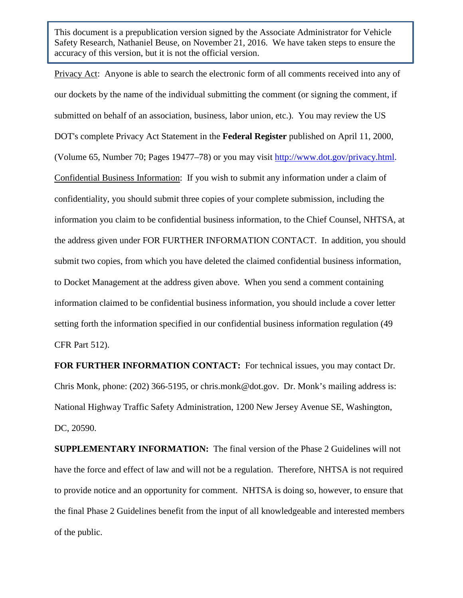Privacy Act: Anyone is able to search the electronic form of all comments received into any of our dockets by the name of the individual submitting the comment (or signing the comment, if submitted on behalf of an association, business, labor union, etc.). You may review the US DOT's complete Privacy Act Statement in the **Federal Register** published on April 11, 2000, (Volume 65, Number 70; Pages 19477–78) or you may visit [http://www.dot.gov/privacy.html.](http://www.dot.gov/privacy.html) Confidential Business Information: If you wish to submit any information under a claim of confidentiality, you should submit three copies of your complete submission, including the information you claim to be confidential business information, to the Chief Counsel, NHTSA, at the address given under FOR FURTHER INFORMATION CONTACT. In addition, you should submit two copies, from which you have deleted the claimed confidential business information, to Docket Management at the address given above. When you send a comment containing information claimed to be confidential business information, you should include a cover letter setting forth the information specified in our confidential business information regulation (49 CFR Part 512).

**FOR FURTHER INFORMATION CONTACT:** For technical issues, you may contact Dr. Chris Monk, phone: (202) 366-5195, or chris.monk@dot.gov. Dr. Monk's mailing address is: National Highway Traffic Safety Administration, 1200 New Jersey Avenue SE, Washington, DC, 20590.

**SUPPLEMENTARY INFORMATION:** The final version of the Phase 2 Guidelines will not have the force and effect of law and will not be a regulation. Therefore, NHTSA is not required to provide notice and an opportunity for comment. NHTSA is doing so, however, to ensure that the final Phase 2 Guidelines benefit from the input of all knowledgeable and interested members of the public.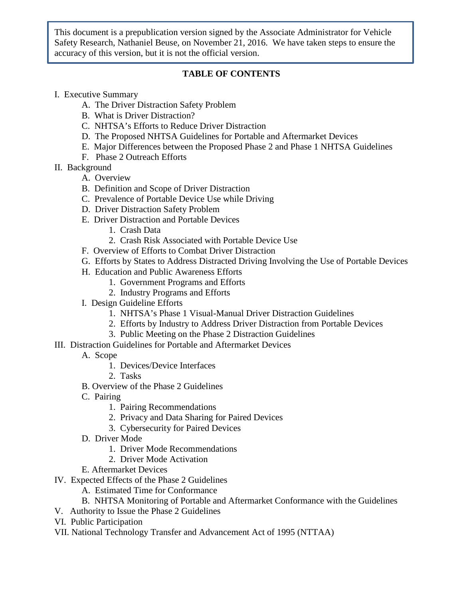## **TABLE OF CONTENTS**

- I. Executive Summary
	- A. The Driver Distraction Safety Problem
	- B. What is Driver Distraction?
	- C. NHTSA's Efforts to Reduce Driver Distraction
	- D. The Proposed NHTSA Guidelines for Portable and Aftermarket Devices
	- E. Major Differences between the Proposed Phase 2 and Phase 1 NHTSA Guidelines
	- F. Phase 2 Outreach Efforts
- II. Background
	- A. Overview
	- B. Definition and Scope of Driver Distraction
	- C. Prevalence of Portable Device Use while Driving
	- D. Driver Distraction Safety Problem
	- E. Driver Distraction and Portable Devices
		- 1. Crash Data
		- 2. Crash Risk Associated with Portable Device Use
	- F. Overview of Efforts to Combat Driver Distraction
	- G. Efforts by States to Address Distracted Driving Involving the Use of Portable Devices
	- H. Education and Public Awareness Efforts
		- 1. Government Programs and Efforts
		- 2. Industry Programs and Efforts
	- I. Design Guideline Efforts
		- 1. NHTSA's Phase 1 Visual-Manual Driver Distraction Guidelines
		- 2. Efforts by Industry to Address Driver Distraction from Portable Devices
		- 3. Public Meeting on the Phase 2 Distraction Guidelines
- III. Distraction Guidelines for Portable and Aftermarket Devices
	- A. Scope
		- 1. Devices/Device Interfaces
		- 2. Tasks
	- B. Overview of the Phase 2 Guidelines
	- C. Pairing
		- 1. Pairing Recommendations
		- 2. Privacy and Data Sharing for Paired Devices
		- 3. Cybersecurity for Paired Devices
	- D. Driver Mode
		- 1. Driver Mode Recommendations
		- 2. Driver Mode Activation
	- E. Aftermarket Devices
- IV. Expected Effects of the Phase 2 Guidelines
	- A. Estimated Time for Conformance
	- B. NHTSA Monitoring of Portable and Aftermarket Conformance with the Guidelines
- V. Authority to Issue the Phase 2 Guidelines
- VI. Public Participation
- VII. National Technology Transfer and Advancement Act of 1995 (NTTAA)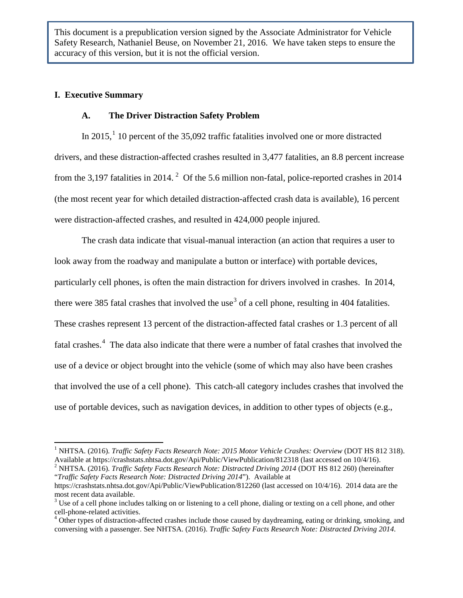#### **I. Executive Summary**

#### **A. The Driver Distraction Safety Problem**

In 20[1](#page-4-0)5,<sup>1</sup> 10 percent of the 35,092 traffic fatalities involved one or more distracted drivers, and these distraction-affected crashes resulted in 3,477 fatalities, an 8.8 percent increase from the 3,197 fatalities in [2](#page-4-1)014.<sup>2</sup> Of the 5.6 million non-fatal, police-reported crashes in 2014 (the most recent year for which detailed distraction-affected crash data is available), 16 percent were distraction-affected crashes, and resulted in 424,000 people injured.

The crash data indicate that visual-manual interaction (an action that requires a user to look away from the roadway and manipulate a button or interface) with portable devices, particularly cell phones, is often the main distraction for drivers involved in crashes. In 2014, there were [3](#page-4-2)85 fatal crashes that involved the use<sup>3</sup> of a cell phone, resulting in 404 fatalities. These crashes represent 13 percent of the distraction-affected fatal crashes or 1.3 percent of all fatal crashes.<sup>[4](#page-4-3)</sup> The data also indicate that there were a number of fatal crashes that involved the use of a device or object brought into the vehicle (some of which may also have been crashes that involved the use of a cell phone). This catch-all category includes crashes that involved the use of portable devices, such as navigation devices, in addition to other types of objects (e.g.,

<span id="page-4-0"></span><sup>&</sup>lt;sup>1</sup> NHTSA. (2016). *Traffic Safety Facts Research Note: 2015 Motor Vehicle Crashes: Overview* (DOT HS 812 318). Available at https://crashstats.nhtsa.dot.gov/Api/Public/ViewPublication/812318 (last accessed on 10/4/16).

<span id="page-4-1"></span><sup>&</sup>lt;sup>2</sup> NHTSA. (2016). *Traffic Safety Facts Research Note: Distracted Driving 2014* (DOT HS 812 260) (hereinafter "*Traffic Safety Facts Research Note: Distracted Driving 2014*"). Available at

https://crashstats.nhtsa.dot.gov/Api/Public/ViewPublication/812260 (last accessed on 10/4/16). 2014 data are the most recent data available.<br><sup>3</sup> Use of a cell phone includes talking on or listening to a cell phone, dialing or texting on a cell phone, and other

<span id="page-4-2"></span>cell-phone-related activities.<br><sup>4</sup> Other types of distraction-affected crashes include those caused by daydreaming, eating or drinking, smoking, and

<span id="page-4-3"></span>conversing with a passenger. See NHTSA. (2016). *Traffic Safety Facts Research Note: Distracted Driving 2014.*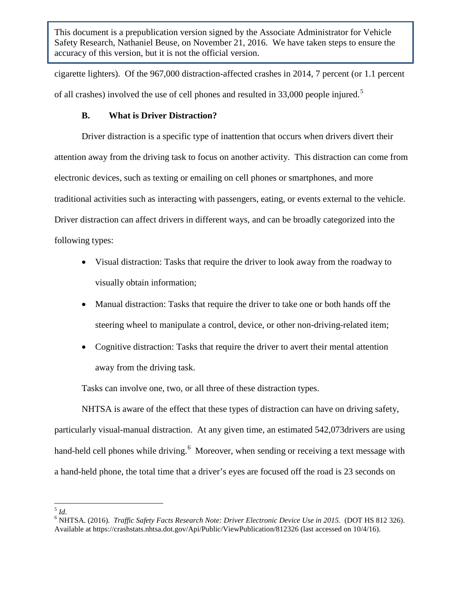cigarette lighters). Of the 967,000 distraction-affected crashes in 2014, 7 percent (or 1.1 percent of all crashes) involved the use of cell phones and resulted in 33,000 people injured.<sup>[5](#page-5-0)</sup>

## **B. What is Driver Distraction?**

Driver distraction is a specific type of inattention that occurs when drivers divert their attention away from the driving task to focus on another activity. This distraction can come from electronic devices, such as texting or emailing on cell phones or smartphones, and more traditional activities such as interacting with passengers, eating, or events external to the vehicle. Driver distraction can affect drivers in different ways, and can be broadly categorized into the following types:

- Visual distraction: Tasks that require the driver to look away from the roadway to visually obtain information;
- Manual distraction: Tasks that require the driver to take one or both hands off the steering wheel to manipulate a control, device, or other non-driving-related item;
- Cognitive distraction: Tasks that require the driver to avert their mental attention away from the driving task.

Tasks can involve one, two, or all three of these distraction types.

NHTSA is aware of the effect that these types of distraction can have on driving safety, particularly visual-manual distraction. At any given time, an estimated 542,073drivers are using hand-held cell phones while driving.<sup>[6](#page-5-1)</sup> Moreover, when sending or receiving a text message with a hand-held phone, the total time that a driver's eyes are focused off the road is 23 seconds on

<span id="page-5-1"></span><span id="page-5-0"></span><sup>5</sup> *Id*. 6 NHTSA. (2016). *Traffic Safety Facts Research Note: Driver Electronic Device Use in 2015.* (DOT HS 812 326). Available at https://crashstats.nhtsa.dot.gov/Api/Public/ViewPublication/812326 (last accessed on 10/4/16).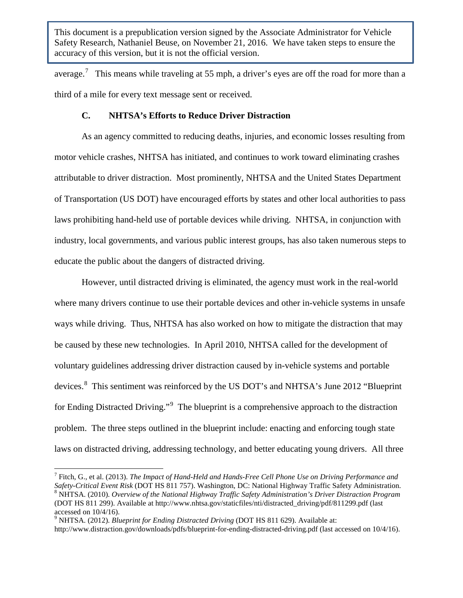average.<sup>[7](#page-6-0)</sup> This means while traveling at 55 mph, a driver's eyes are off the road for more than a third of a mile for every text message sent or received.

#### **C. NHTSA's Efforts to Reduce Driver Distraction**

As an agency committed to reducing deaths, injuries, and economic losses resulting from motor vehicle crashes, NHTSA has initiated, and continues to work toward eliminating crashes attributable to driver distraction. Most prominently, NHTSA and the United States Department of Transportation (US DOT) have encouraged efforts by states and other local authorities to pass laws prohibiting hand-held use of portable devices while driving. NHTSA, in conjunction with industry, local governments, and various public interest groups, has also taken numerous steps to educate the public about the dangers of distracted driving.

However, until distracted driving is eliminated, the agency must work in the real-world where many drivers continue to use their portable devices and other in-vehicle systems in unsafe ways while driving. Thus, NHTSA has also worked on how to mitigate the distraction that may be caused by these new technologies. In April 2010, NHTSA called for the development of voluntary guidelines addressing driver distraction caused by in-vehicle systems and portable devices. [8](#page-6-1) This sentiment was reinforced by the US DOT's and NHTSA's June 2012 "Blueprint for Ending Distracted Driving."<sup>[9](#page-6-2)</sup> The blueprint is a comprehensive approach to the distraction problem. The three steps outlined in the blueprint include: enacting and enforcing tough state laws on distracted driving, addressing technology, and better educating young drivers. All three

<span id="page-6-1"></span><span id="page-6-0"></span><sup>7</sup> Fitch, G., et al. (2013). *The Impact of Hand-Held and Hands-Free Cell Phone Use on Driving Performance and*  Safety-Critical Event Risk (DOT HS 811 757). Washington, DC: National Highway Traffic Safety Administration.<br><sup>8</sup> NHTSA. (2010). Overview of the National Highway Traffic Safety Administration's Driver Distraction Program (DOT HS 811 299). Available at http://www.nhtsa.gov/staticfiles/nti/distracted\_driving/pdf/811299.pdf (last

<span id="page-6-2"></span>accessed on 10/4/16).<br><sup>9</sup> NHTSA. (2012). *Blueprint for Ending Distracted Driving* (DOT HS 811 629). Available at:

http://www.distraction.gov/downloads/pdfs/blueprint-for-ending-distracted-driving.pdf (last accessed on 10/4/16).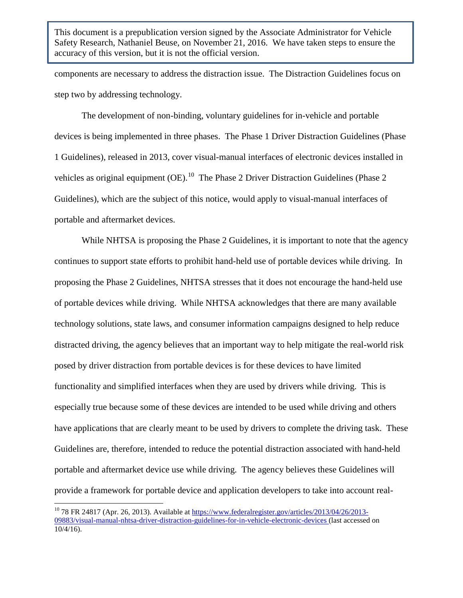components are necessary to address the distraction issue. The Distraction Guidelines focus on step two by addressing technology.

The development of non-binding, voluntary guidelines for in-vehicle and portable devices is being implemented in three phases. The Phase 1 Driver Distraction Guidelines (Phase 1 Guidelines), released in 2013, cover visual-manual interfaces of electronic devices installed in vehicles as original equipment  $(OE)$ .<sup>[10](#page-7-0)</sup> The Phase 2 Driver Distraction Guidelines (Phase 2 Guidelines), which are the subject of this notice, would apply to visual-manual interfaces of portable and aftermarket devices.

While NHTSA is proposing the Phase 2 Guidelines, it is important to note that the agency continues to support state efforts to prohibit hand-held use of portable devices while driving. In proposing the Phase 2 Guidelines, NHTSA stresses that it does not encourage the hand-held use of portable devices while driving. While NHTSA acknowledges that there are many available technology solutions, state laws, and consumer information campaigns designed to help reduce distracted driving, the agency believes that an important way to help mitigate the real-world risk posed by driver distraction from portable devices is for these devices to have limited functionality and simplified interfaces when they are used by drivers while driving. This is especially true because some of these devices are intended to be used while driving and others have applications that are clearly meant to be used by drivers to complete the driving task. These Guidelines are, therefore, intended to reduce the potential distraction associated with hand-held portable and aftermarket device use while driving. The agency believes these Guidelines will provide a framework for portable device and application developers to take into account real-

<span id="page-7-0"></span> $^{10}$  78 FR 24817 (Apr. 26, 2013). Available at [https://www.federalregister.gov/articles/2013/04/26/2013-](https://www.federalregister.gov/articles/2013/04/26/2013-09883/visual-manual-nhtsa-driver-distraction-guidelines-for-in-vehicle-electronic-devices) [09883/visual-manual-nhtsa-driver-distraction-guidelines-for-in-vehicle-electronic-devices](https://www.federalregister.gov/articles/2013/04/26/2013-09883/visual-manual-nhtsa-driver-distraction-guidelines-for-in-vehicle-electronic-devices) (last accessed on 10/4/16).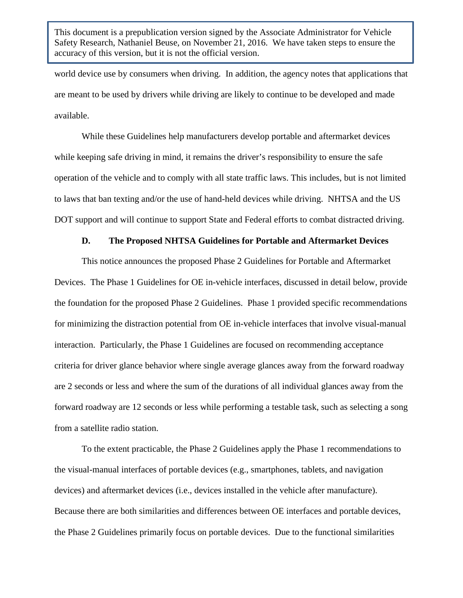world device use by consumers when driving. In addition, the agency notes that applications that are meant to be used by drivers while driving are likely to continue to be developed and made available.

While these Guidelines help manufacturers develop portable and aftermarket devices while keeping safe driving in mind, it remains the driver's responsibility to ensure the safe operation of the vehicle and to comply with all state traffic laws. This includes, but is not limited to laws that ban texting and/or the use of hand-held devices while driving. NHTSA and the US DOT support and will continue to support State and Federal efforts to combat distracted driving.

#### **D. The Proposed NHTSA Guidelines for Portable and Aftermarket Devices**

This notice announces the proposed Phase 2 Guidelines for Portable and Aftermarket Devices. The Phase 1 Guidelines for OE in-vehicle interfaces, discussed in detail below, provide the foundation for the proposed Phase 2 Guidelines. Phase 1 provided specific recommendations for minimizing the distraction potential from OE in-vehicle interfaces that involve visual-manual interaction. Particularly, the Phase 1 Guidelines are focused on recommending acceptance criteria for driver glance behavior where single average glances away from the forward roadway are 2 seconds or less and where the sum of the durations of all individual glances away from the forward roadway are 12 seconds or less while performing a testable task, such as selecting a song from a satellite radio station.

To the extent practicable, the Phase 2 Guidelines apply the Phase 1 recommendations to the visual-manual interfaces of portable devices (e.g., smartphones, tablets, and navigation devices) and aftermarket devices (i.e., devices installed in the vehicle after manufacture). Because there are both similarities and differences between OE interfaces and portable devices, the Phase 2 Guidelines primarily focus on portable devices. Due to the functional similarities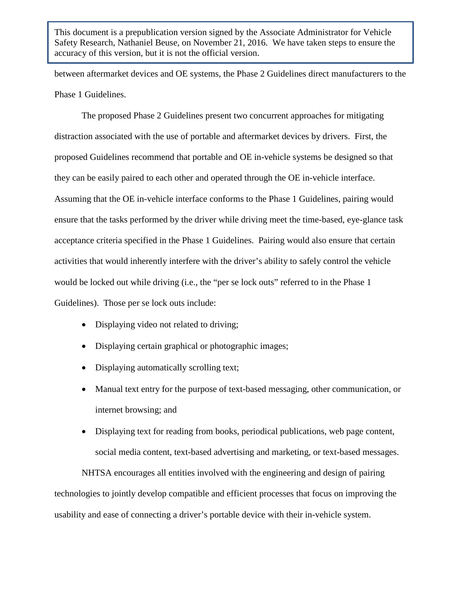between aftermarket devices and OE systems, the Phase 2 Guidelines direct manufacturers to the Phase 1 Guidelines.

The proposed Phase 2 Guidelines present two concurrent approaches for mitigating distraction associated with the use of portable and aftermarket devices by drivers. First, the proposed Guidelines recommend that portable and OE in-vehicle systems be designed so that they can be easily paired to each other and operated through the OE in-vehicle interface. Assuming that the OE in-vehicle interface conforms to the Phase 1 Guidelines, pairing would ensure that the tasks performed by the driver while driving meet the time-based, eye-glance task acceptance criteria specified in the Phase 1 Guidelines. Pairing would also ensure that certain activities that would inherently interfere with the driver's ability to safely control the vehicle would be locked out while driving (i.e., the "per se lock outs" referred to in the Phase 1 Guidelines). Those per se lock outs include:

- Displaying video not related to driving;
- Displaying certain graphical or photographic images;
- Displaying automatically scrolling text;
- Manual text entry for the purpose of text-based messaging, other communication, or internet browsing; and
- Displaying text for reading from books, periodical publications, web page content, social media content, text-based advertising and marketing, or text-based messages.

NHTSA encourages all entities involved with the engineering and design of pairing technologies to jointly develop compatible and efficient processes that focus on improving the usability and ease of connecting a driver's portable device with their in-vehicle system.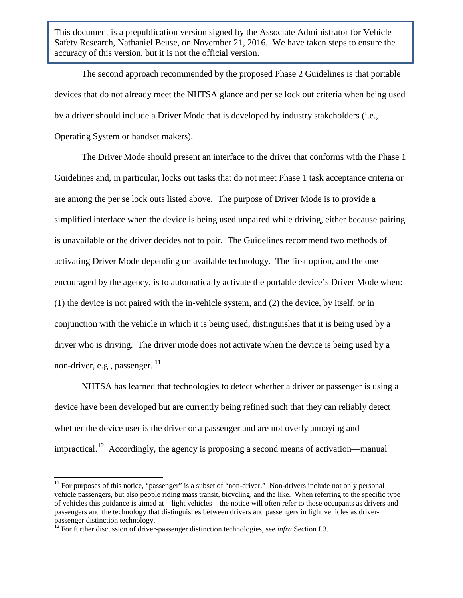The second approach recommended by the proposed Phase 2 Guidelines is that portable devices that do not already meet the NHTSA glance and per se lock out criteria when being used by a driver should include a Driver Mode that is developed by industry stakeholders (i.e., Operating System or handset makers).

The Driver Mode should present an interface to the driver that conforms with the Phase 1 Guidelines and, in particular, locks out tasks that do not meet Phase 1 task acceptance criteria or are among the per se lock outs listed above. The purpose of Driver Mode is to provide a simplified interface when the device is being used unpaired while driving, either because pairing is unavailable or the driver decides not to pair. The Guidelines recommend two methods of activating Driver Mode depending on available technology. The first option, and the one encouraged by the agency, is to automatically activate the portable device's Driver Mode when: (1) the device is not paired with the in-vehicle system, and (2) the device, by itself, or in conjunction with the vehicle in which it is being used, distinguishes that it is being used by a driver who is driving. The driver mode does not activate when the device is being used by a non-driver, e.g., passenger.  $^{11}$  $^{11}$  $^{11}$ 

NHTSA has learned that technologies to detect whether a driver or passenger is using a device have been developed but are currently being refined such that they can reliably detect whether the device user is the driver or a passenger and are not overly annoying and impractical.<sup>12</sup> Accordingly, the agency is proposing a second means of activation—manual

<span id="page-10-0"></span> $11$  For purposes of this notice, "passenger" is a subset of "non-driver." Non-drivers include not only personal vehicle passengers, but also people riding mass transit, bicycling, and the like. When referring to the specific type of vehicles this guidance is aimed at—light vehicles—the notice will often refer to those occupants as drivers and passengers and the technology that distinguishes between drivers and passengers in light vehicles as driverpassenger distinction technology.

<span id="page-10-1"></span><sup>&</sup>lt;sup>12</sup> For further discussion of driver-passenger distinction technologies, see *infra* Section I.3.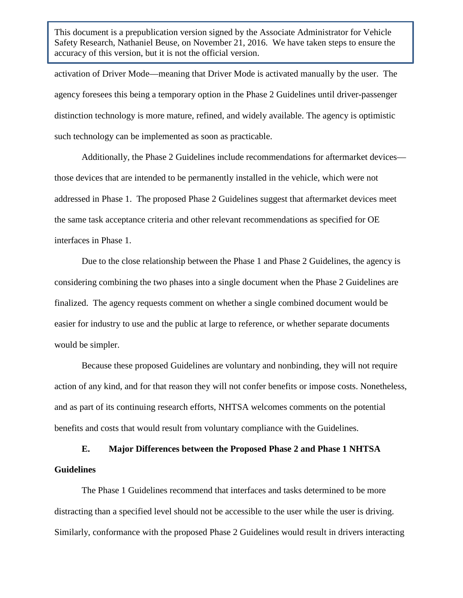activation of Driver Mode—meaning that Driver Mode is activated manually by the user. The agency foresees this being a temporary option in the Phase 2 Guidelines until driver-passenger distinction technology is more mature, refined, and widely available. The agency is optimistic such technology can be implemented as soon as practicable.

Additionally, the Phase 2 Guidelines include recommendations for aftermarket devices those devices that are intended to be permanently installed in the vehicle, which were not addressed in Phase 1. The proposed Phase 2 Guidelines suggest that aftermarket devices meet the same task acceptance criteria and other relevant recommendations as specified for OE interfaces in Phase 1.

Due to the close relationship between the Phase 1 and Phase 2 Guidelines, the agency is considering combining the two phases into a single document when the Phase 2 Guidelines are finalized. The agency requests comment on whether a single combined document would be easier for industry to use and the public at large to reference, or whether separate documents would be simpler.

Because these proposed Guidelines are voluntary and nonbinding, they will not require action of any kind, and for that reason they will not confer benefits or impose costs. Nonetheless, and as part of its continuing research efforts, NHTSA welcomes comments on the potential benefits and costs that would result from voluntary compliance with the Guidelines.

**E. Major Differences between the Proposed Phase 2 and Phase 1 NHTSA Guidelines**

The Phase 1 Guidelines recommend that interfaces and tasks determined to be more distracting than a specified level should not be accessible to the user while the user is driving. Similarly, conformance with the proposed Phase 2 Guidelines would result in drivers interacting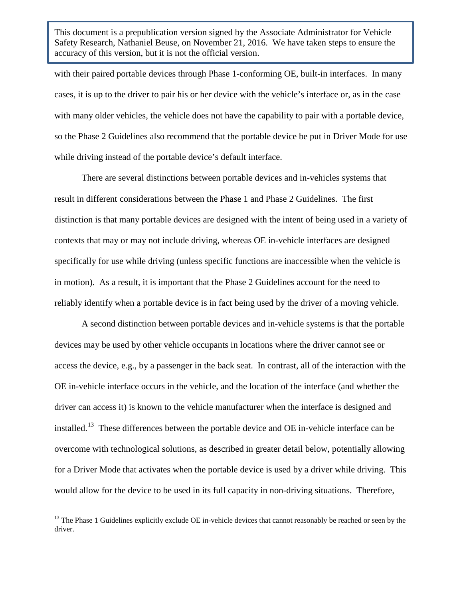with their paired portable devices through Phase 1-conforming OE, built-in interfaces. In many cases, it is up to the driver to pair his or her device with the vehicle's interface or, as in the case with many older vehicles, the vehicle does not have the capability to pair with a portable device, so the Phase 2 Guidelines also recommend that the portable device be put in Driver Mode for use while driving instead of the portable device's default interface.

There are several distinctions between portable devices and in-vehicles systems that result in different considerations between the Phase 1 and Phase 2 Guidelines. The first distinction is that many portable devices are designed with the intent of being used in a variety of contexts that may or may not include driving, whereas OE in-vehicle interfaces are designed specifically for use while driving (unless specific functions are inaccessible when the vehicle is in motion). As a result, it is important that the Phase 2 Guidelines account for the need to reliably identify when a portable device is in fact being used by the driver of a moving vehicle.

A second distinction between portable devices and in-vehicle systems is that the portable devices may be used by other vehicle occupants in locations where the driver cannot see or access the device, e.g., by a passenger in the back seat. In contrast, all of the interaction with the OE in-vehicle interface occurs in the vehicle, and the location of the interface (and whether the driver can access it) is known to the vehicle manufacturer when the interface is designed and installed.[13](#page-12-0) These differences between the portable device and OE in-vehicle interface can be overcome with technological solutions, as described in greater detail below, potentially allowing for a Driver Mode that activates when the portable device is used by a driver while driving. This would allow for the device to be used in its full capacity in non-driving situations. Therefore,

<span id="page-12-0"></span> $13$  The Phase 1 Guidelines explicitly exclude OE in-vehicle devices that cannot reasonably be reached or seen by the driver.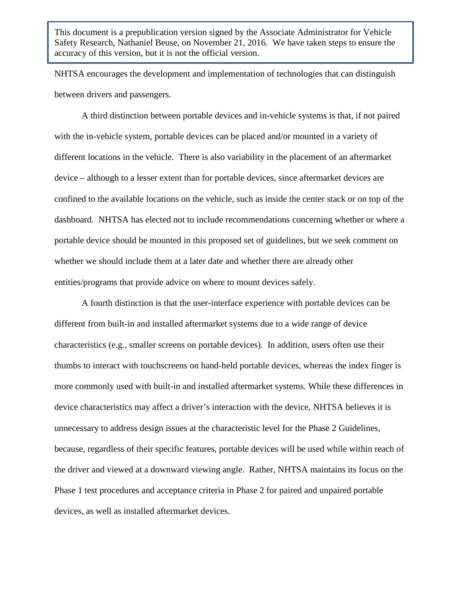NHTSA encourages the development and implementation of technologies that can distinguish between drivers and passengers.

A third distinction between portable devices and in-vehicle systems is that, if not paired with the in-vehicle system, portable devices can be placed and/or mounted in a variety of different locations in the vehicle. There is also variability in the placement of an aftermarket device – although to a lesser extent than for portable devices, since aftermarket devices are confined to the available locations on the vehicle, such as inside the center stack or on top of the dashboard. NHTSA has elected not to include recommendations concerning whether or where a portable device should be mounted in this proposed set of guidelines, but we seek comment on whether we should include them at a later date and whether there are already other entities/programs that provide advice on where to mount devices safely.

A fourth distinction is that the user-interface experience with portable devices can be different from built-in and installed aftermarket systems due to a wide range of device characteristics (e.g., smaller screens on portable devices). In addition, users often use their thumbs to interact with touchscreens on hand-held portable devices, whereas the index finger is more commonly used with built-in and installed aftermarket systems. While these differences in device characteristics may affect a driver's interaction with the device, NHTSA believes it is unnecessary to address design issues at the characteristic level for the Phase 2 Guidelines, because, regardless of their specific features, portable devices will be used while within reach of the driver and viewed at a downward viewing angle. Rather, NHTSA maintains its focus on the Phase 1 test procedures and acceptance criteria in Phase 2 for paired and unpaired portable devices, as well as installed aftermarket devices.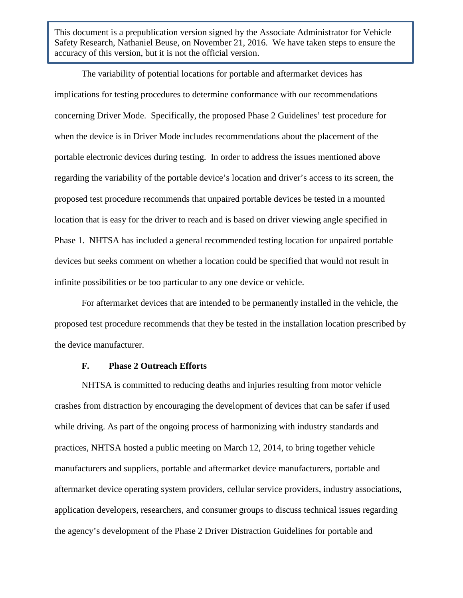The variability of potential locations for portable and aftermarket devices has implications for testing procedures to determine conformance with our recommendations concerning Driver Mode. Specifically, the proposed Phase 2 Guidelines' test procedure for when the device is in Driver Mode includes recommendations about the placement of the portable electronic devices during testing. In order to address the issues mentioned above regarding the variability of the portable device's location and driver's access to its screen, the proposed test procedure recommends that unpaired portable devices be tested in a mounted location that is easy for the driver to reach and is based on driver viewing angle specified in Phase 1. NHTSA has included a general recommended testing location for unpaired portable devices but seeks comment on whether a location could be specified that would not result in infinite possibilities or be too particular to any one device or vehicle.

For aftermarket devices that are intended to be permanently installed in the vehicle, the proposed test procedure recommends that they be tested in the installation location prescribed by the device manufacturer.

#### **F. Phase 2 Outreach Efforts**

NHTSA is committed to reducing deaths and injuries resulting from motor vehicle crashes from distraction by encouraging the development of devices that can be safer if used while driving. As part of the ongoing process of harmonizing with industry standards and practices, NHTSA hosted a public meeting on March 12, 2014, to bring together vehicle manufacturers and suppliers, portable and aftermarket device manufacturers, portable and aftermarket device operating system providers, cellular service providers, industry associations, application developers, researchers, and consumer groups to discuss technical issues regarding the agency's development of the Phase 2 Driver Distraction Guidelines for portable and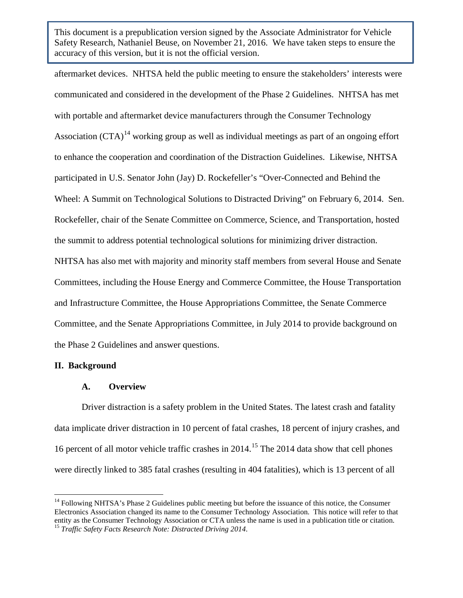aftermarket devices. NHTSA held the public meeting to ensure the stakeholders' interests were communicated and considered in the development of the Phase 2 Guidelines. NHTSA has met with portable and aftermarket device manufacturers through the Consumer Technology Association  $(CTA)^{14}$  $(CTA)^{14}$  $(CTA)^{14}$  working group as well as individual meetings as part of an ongoing effort to enhance the cooperation and coordination of the Distraction Guidelines. Likewise, NHTSA participated in U.S. Senator John (Jay) D. Rockefeller's "Over-Connected and Behind the Wheel: A Summit on Technological Solutions to Distracted Driving" on February 6, 2014. Sen. Rockefeller, chair of the Senate Committee on Commerce, Science, and Transportation, hosted the summit to address potential technological solutions for minimizing driver distraction. NHTSA has also met with majority and minority staff members from several House and Senate Committees, including the House Energy and Commerce Committee, the House Transportation and Infrastructure Committee, the House Appropriations Committee, the Senate Commerce Committee, and the Senate Appropriations Committee, in July 2014 to provide background on the Phase 2 Guidelines and answer questions.

## **II. Background**

#### **A. Overview**

Driver distraction is a safety problem in the United States. The latest crash and fatality data implicate driver distraction in 10 percent of fatal crashes, 18 percent of injury crashes, and 16 percent of all motor vehicle traffic crashes in 2014. [15](#page-15-1) The 2014 data show that cell phones were directly linked to 385 fatal crashes (resulting in 404 fatalities), which is 13 percent of all

<span id="page-15-1"></span><span id="page-15-0"></span><sup>&</sup>lt;sup>14</sup> Following NHTSA's Phase 2 Guidelines public meeting but before the issuance of this notice, the Consumer Electronics Association changed its name to the Consumer Technology Association. This notice will refer to that entity as the Consumer Technology Association or CTA unless the name is used in a publication title or citation. <sup>15</sup> *Traffic Safety Facts Research Note: Distracted Driving 2014*.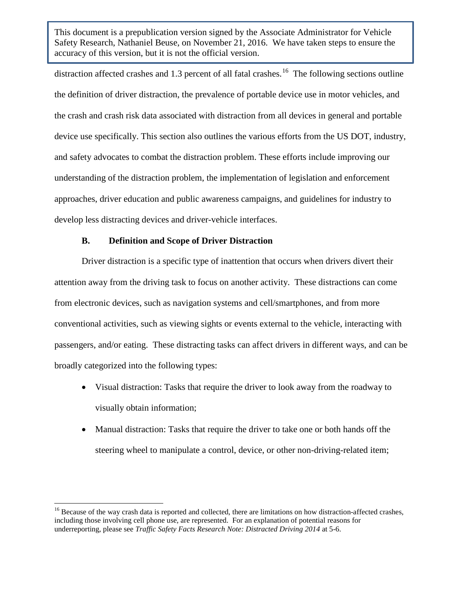distraction affected crashes and 1.3 percent of all fatal crashes.<sup>[16](#page-16-0)</sup> The following sections outline the definition of driver distraction, the prevalence of portable device use in motor vehicles, and the crash and crash risk data associated with distraction from all devices in general and portable device use specifically. This section also outlines the various efforts from the US DOT, industry, and safety advocates to combat the distraction problem. These efforts include improving our understanding of the distraction problem, the implementation of legislation and enforcement approaches, driver education and public awareness campaigns, and guidelines for industry to develop less distracting devices and driver-vehicle interfaces.

## **B. Definition and Scope of Driver Distraction**

Driver distraction is a specific type of inattention that occurs when drivers divert their attention away from the driving task to focus on another activity. These distractions can come from electronic devices, such as navigation systems and cell/smartphones, and from more conventional activities, such as viewing sights or events external to the vehicle, interacting with passengers, and/or eating. These distracting tasks can affect drivers in different ways, and can be broadly categorized into the following types:

- Visual distraction: Tasks that require the driver to look away from the roadway to visually obtain information;
- Manual distraction: Tasks that require the driver to take one or both hands off the steering wheel to manipulate a control, device, or other non-driving-related item;

<span id="page-16-0"></span><sup>&</sup>lt;sup>16</sup> Because of the way crash data is reported and collected, there are limitations on how distraction-affected crashes, including those involving cell phone use, are represented. For an explanation of potential reasons for underreporting, please see *Traffic Safety Facts Research Note: Distracted Driving 2014* at 5-6.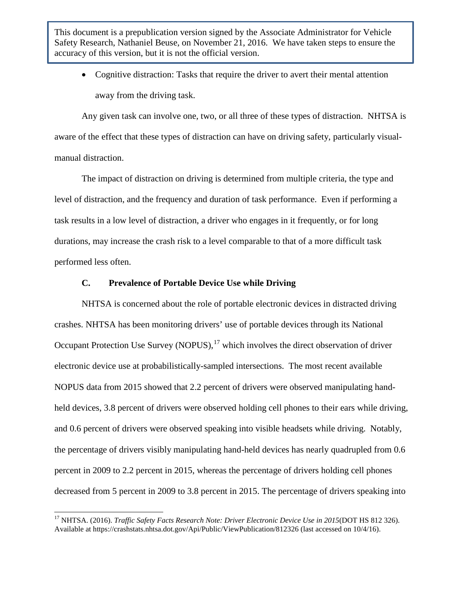• Cognitive distraction: Tasks that require the driver to avert their mental attention away from the driving task.

Any given task can involve one, two, or all three of these types of distraction. NHTSA is aware of the effect that these types of distraction can have on driving safety, particularly visualmanual distraction.

The impact of distraction on driving is determined from multiple criteria, the type and level of distraction, and the frequency and duration of task performance. Even if performing a task results in a low level of distraction, a driver who engages in it frequently, or for long durations, may increase the crash risk to a level comparable to that of a more difficult task performed less often.

## **C. Prevalence of Portable Device Use while Driving**

NHTSA is concerned about the role of portable electronic devices in distracted driving crashes. NHTSA has been monitoring drivers' use of portable devices through its National Occupant Protection Use Survey (NOPUS), $^{17}$  $^{17}$  $^{17}$  which involves the direct observation of driver electronic device use at probabilistically-sampled intersections. The most recent available NOPUS data from 2015 showed that 2.2 percent of drivers were observed manipulating handheld devices, 3.8 percent of drivers were observed holding cell phones to their ears while driving, and 0.6 percent of drivers were observed speaking into visible headsets while driving. Notably, the percentage of drivers visibly manipulating hand-held devices has nearly quadrupled from 0.6 percent in 2009 to 2.2 percent in 2015, whereas the percentage of drivers holding cell phones decreased from 5 percent in 2009 to 3.8 percent in 2015. The percentage of drivers speaking into

<span id="page-17-0"></span><sup>&</sup>lt;sup>17</sup> NHTSA. (2016). *Traffic Safety Facts Research Note: Driver Electronic Device Use in 2015*(DOT HS 812 326). Available at https://crashstats.nhtsa.dot.gov/Api/Public/ViewPublication/812326 (last accessed on 10/4/16).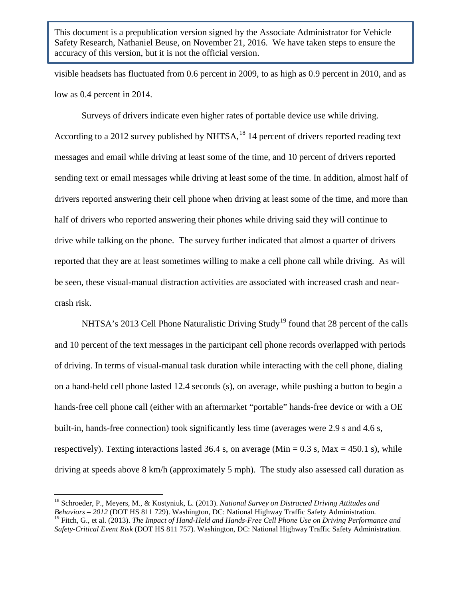visible headsets has fluctuated from 0.6 percent in 2009, to as high as 0.9 percent in 2010, and as low as 0.4 percent in 2014.

Surveys of drivers indicate even higher rates of portable device use while driving. According to a 2012 survey published by NHTSA,<sup>[18](#page-18-0)</sup> 14 percent of drivers reported reading text messages and email while driving at least some of the time, and 10 percent of drivers reported sending text or email messages while driving at least some of the time. In addition, almost half of drivers reported answering their cell phone when driving at least some of the time, and more than half of drivers who reported answering their phones while driving said they will continue to drive while talking on the phone. The survey further indicated that almost a quarter of drivers reported that they are at least sometimes willing to make a cell phone call while driving. As will be seen, these visual-manual distraction activities are associated with increased crash and nearcrash risk.

NHTSA's 2013 Cell Phone Naturalistic Driving Study<sup>[19](#page-18-1)</sup> found that 28 percent of the calls and 10 percent of the text messages in the participant cell phone records overlapped with periods of driving. In terms of visual-manual task duration while interacting with the cell phone, dialing on a hand-held cell phone lasted 12.4 seconds (s), on average, while pushing a button to begin a hands-free cell phone call (either with an aftermarket "portable" hands-free device or with a OE built-in, hands-free connection) took significantly less time (averages were 2.9 s and 4.6 s, respectively). Texting interactions lasted 36.4 s, on average (Min =  $0.3$  s, Max =  $450.1$  s), while driving at speeds above 8 km/h (approximately 5 mph). The study also assessed call duration as

<span id="page-18-0"></span><sup>&</sup>lt;sup>18</sup> Schroeder, P., Meyers, M., & Kostyniuk, L. (2013). *National Survey on Distracted Driving Attitudes and Behaviors* – 2012 (DOT HS 811 729). Washington, DC: National Highway Traffic Safety Administration.  $^{19}$  Fitch. G., et al. (2013). The Impact of Hand-Held and Hands-Free Cell Phone Use on Driving Performance and

<span id="page-18-1"></span>*Safety-Critical Event Risk* (DOT HS 811 757). Washington, DC: National Highway Traffic Safety Administration.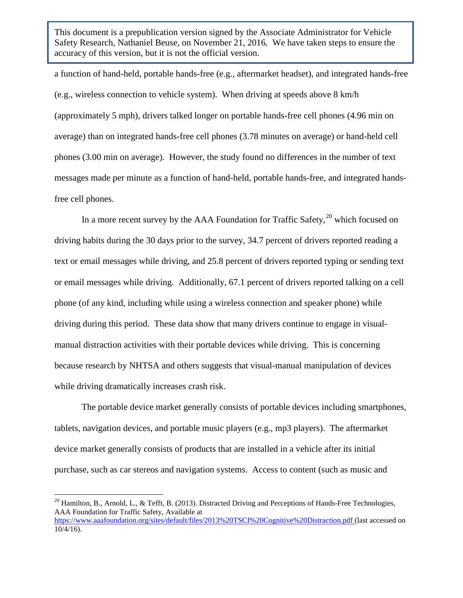a function of hand-held, portable hands-free (e.g., aftermarket headset), and integrated hands-free (e.g., wireless connection to vehicle system). When driving at speeds above 8 km/h (approximately 5 mph), drivers talked longer on portable hands-free cell phones (4.96 min on average) than on integrated hands-free cell phones (3.78 minutes on average) or hand-held cell phones (3.00 min on average). However, the study found no differences in the number of text messages made per minute as a function of hand-held, portable hands-free, and integrated handsfree cell phones.

In a more recent survey by the AAA Foundation for Traffic Safety, $^{20}$  $^{20}$  $^{20}$  which focused on driving habits during the 30 days prior to the survey, 34.7 percent of drivers reported reading a text or email messages while driving, and 25.8 percent of drivers reported typing or sending text or email messages while driving. Additionally, 67.1 percent of drivers reported talking on a cell phone (of any kind, including while using a wireless connection and speaker phone) while driving during this period. These data show that many drivers continue to engage in visualmanual distraction activities with their portable devices while driving. This is concerning because research by NHTSA and others suggests that visual-manual manipulation of devices while driving dramatically increases crash risk.

The portable device market generally consists of portable devices including smartphones, tablets, navigation devices, and portable music players (e.g., mp3 players). The aftermarket device market generally consists of products that are installed in a vehicle after its initial purchase, such as car stereos and navigation systems. Access to content (such as music and

<span id="page-19-0"></span><sup>&</sup>lt;sup>20</sup> Hamilton, B., Arnold, L., & Tefft, B. (2013). Distracted Driving and Perceptions of Hands-Free Technologies, AAA Foundation for Traffic Safety, Available at <https://www.aaafoundation.org/sites/default/files/2013%20TSCI%20Cognitive%20Distraction.pdf> (last accessed on 10/4/16).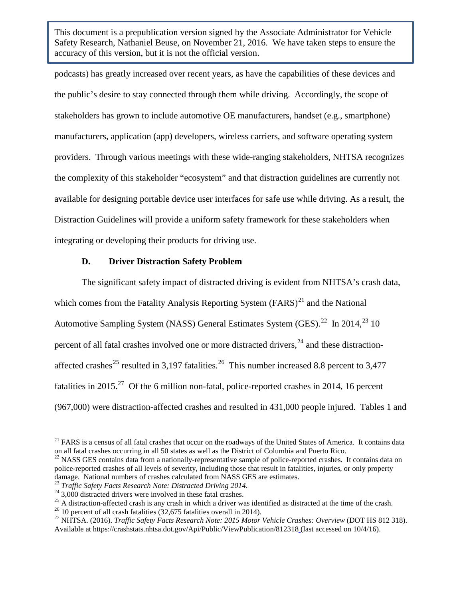podcasts) has greatly increased over recent years, as have the capabilities of these devices and the public's desire to stay connected through them while driving. Accordingly, the scope of stakeholders has grown to include automotive OE manufacturers, handset (e.g., smartphone) manufacturers, application (app) developers, wireless carriers, and software operating system providers. Through various meetings with these wide-ranging stakeholders, NHTSA recognizes the complexity of this stakeholder "ecosystem" and that distraction guidelines are currently not available for designing portable device user interfaces for safe use while driving. As a result, the Distraction Guidelines will provide a uniform safety framework for these stakeholders when integrating or developing their products for driving use.

## **D. Driver Distraction Safety Problem**

The significant safety impact of distracted driving is evident from NHTSA's crash data, which comes from the Fatality Analysis Reporting System  $(FARS)^{21}$  $(FARS)^{21}$  $(FARS)^{21}$  and the National Automotive Sampling System (NASS) General Estimates System (GES).<sup>22</sup> In 2014,<sup>[23](#page-20-2)</sup> 10 percent of all fatal crashes involved one or more distracted drivers,  $^{24}$  $^{24}$  $^{24}$  and these distraction-affected crashes<sup>[25](#page-20-4)</sup> resulted in 3,197 fatalities.<sup>26</sup> This number increased 8.8 percent to 3,477 fatalities in 2015.<sup>[27](#page-20-6)</sup> Of the 6 million non-fatal, police-reported crashes in 2014, 16 percent (967,000) were distraction-affected crashes and resulted in 431,000 people injured. Tables 1 and

<span id="page-20-0"></span><sup>&</sup>lt;sup>21</sup> FARS is a census of all fatal crashes that occur on the roadways of the United States of America. It contains data on all fatal crashes occurring in all 50 states as well as the District of Columbia and Puerto Rico.

<span id="page-20-1"></span> $22$  NASS GES contains data from a nationally-representative sample of police-reported crashes. It contains data on police-reported crashes of all levels of severity, including those that result in fatalities, injuries, or only property damage. National numbers of crashes calculated from NASS GES are estimates.<br>
<sup>23</sup> Traffic Safety Facts Research Note: Distracted Driving 2014.<br>
<sup>24</sup> 3,000 distracted drivers were involved in these fatal crashes.<br>
<sup>25</sup> A d

<span id="page-20-3"></span><span id="page-20-2"></span>

<span id="page-20-4"></span>

<span id="page-20-5"></span>

<span id="page-20-6"></span>Available at https://crashstats.nhtsa.dot.gov/Api/Public/ViewPublication/812318 (last accessed on 10/4/16).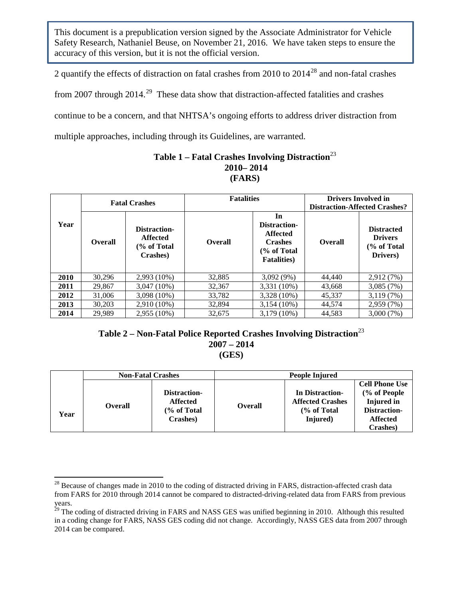2 quantify the effects of distraction on fatal crashes from 2010 to 2014[28](#page-21-0) and non-fatal crashes from 2007 through  $2014$ <sup>[29](#page-21-1)</sup> These data show that distraction-affected fatalities and crashes continue to be a concern, and that NHTSA's ongoing efforts to address driver distraction from multiple approaches, including through its Guidelines, are warranted.

## **Table 1 – Fatal Crashes Involving Distraction**<sup>23</sup> **2010– 2014 (FARS)**

|      | <b>Fatal Crashes</b> |                                                             | <b>Fatalities</b> |                                                                                               | <b>Drivers Involved in</b><br><b>Distraction-Affected Crashes?</b> |                                                                |  |
|------|----------------------|-------------------------------------------------------------|-------------------|-----------------------------------------------------------------------------------------------|--------------------------------------------------------------------|----------------------------------------------------------------|--|
| Year | <b>Overall</b>       | Distraction-<br><b>Affected</b><br>(% of Total)<br>Crashes) | <b>Overall</b>    | In<br>Distraction-<br><b>Affected</b><br><b>Crashes</b><br>(% of Total<br><b>Fatalities</b> ) | <b>Overall</b>                                                     | <b>Distracted</b><br><b>Drivers</b><br>(% of Total<br>Drivers) |  |
| 2010 | 30.296               | $2,993(10\%)$                                               | 32,885            | $3,092(9\%)$                                                                                  | 44,440                                                             | 2,912 (7%)                                                     |  |
| 2011 | 29,867               | 3,047 (10%)                                                 | 32,367            | 3,331 (10%)                                                                                   | 43.668                                                             | 3,085(7%)                                                      |  |
| 2012 | 31,006               | $3,098(10\%)$                                               | 33,782            | 3,328 (10%)                                                                                   | 45.337                                                             | 3,119(7%)                                                      |  |
| 2013 | 30,203               | 2,910 (10%)                                                 | 32,894            | $3,154(10\%)$                                                                                 | 44.574                                                             | 2,959 (7%)                                                     |  |
| 2014 | 29,989               | 2,955 (10%)                                                 | 32.675            | $3.179(10\%)$                                                                                 | 44,583                                                             | 3,000 (7%)                                                     |  |

## **Table 2 – Non-Fatal Police Reported Crashes Involving Distraction**<sup>23</sup> **2007 – 2014 (GES)**

|      | <b>Non-Fatal Crashes</b> |                                                            | People Injured |                                                                                  |                                                                                                           |  |
|------|--------------------------|------------------------------------------------------------|----------------|----------------------------------------------------------------------------------|-----------------------------------------------------------------------------------------------------------|--|
| Year | <b>Overall</b>           | Distraction-<br><b>Affected</b><br>(% of Total<br>Crashes) | <b>Overall</b> | In Distraction-<br><b>Affected Crashes</b><br>$\frac{6}{6}$ of Total<br>Injured) | <b>Cell Phone Use</b><br>(% of People<br><b>Injured</b> in<br>Distraction-<br><b>Affected</b><br>Crashes) |  |

<span id="page-21-0"></span> $^{28}$  Because of changes made in 2010 to the coding of distracted driving in FARS, distraction-affected crash data from FARS for 2010 through 2014 cannot be compared to distracted-driving-related data from FARS from previous years.

<span id="page-21-1"></span><sup>&</sup>lt;sup>29</sup> The coding of distracted driving in FARS and NASS GES was unified beginning in 2010. Although this resulted in a coding change for FARS, NASS GES coding did not change. Accordingly, NASS GES data from 2007 through 2014 can be compared.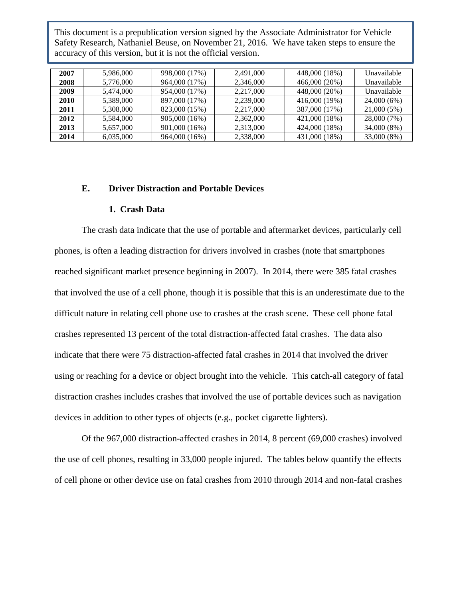| 2007 | 5,986,000 | 998,000 (17%) | 2.491,000 | 448,000 (18%) | Unavailable |
|------|-----------|---------------|-----------|---------------|-------------|
| 2008 | 5,776,000 | 964,000 (17%) | 2,346,000 | 466,000 (20%) | Unavailable |
| 2009 | 5.474,000 | 954,000 (17%) | 2.217,000 | 448,000 (20%) | Unavailable |
| 2010 | 5.389,000 | 897,000 (17%) | 2.239,000 | 416,000 (19%) | 24,000(6%)  |
| 2011 | 5.308,000 | 823,000 (15%) | 2.217,000 | 387,000 (17%) | 21,000 (5%) |
| 2012 | 5.584.000 | 905,000 (16%) | 2.362,000 | 421,000 (18%) | 28,000 (7%) |
| 2013 | 5,657,000 | 901,000 (16%) | 2,313,000 | 424,000 (18%) | 34,000 (8%) |
| 2014 | 6,035,000 | 964,000 (16%) | 2,338,000 | 431,000 (18%) | 33,000 (8%) |

#### **E. Driver Distraction and Portable Devices**

#### **1. Crash Data**

The crash data indicate that the use of portable and aftermarket devices, particularly cell phones, is often a leading distraction for drivers involved in crashes (note that smartphones reached significant market presence beginning in 2007). In 2014, there were 385 fatal crashes that involved the use of a cell phone, though it is possible that this is an underestimate due to the difficult nature in relating cell phone use to crashes at the crash scene. These cell phone fatal crashes represented 13 percent of the total distraction-affected fatal crashes. The data also indicate that there were 75 distraction-affected fatal crashes in 2014 that involved the driver using or reaching for a device or object brought into the vehicle. This catch-all category of fatal distraction crashes includes crashes that involved the use of portable devices such as navigation devices in addition to other types of objects (e.g., pocket cigarette lighters).

Of the 967,000 distraction-affected crashes in 2014, 8 percent (69,000 crashes) involved the use of cell phones, resulting in 33,000 people injured. The tables below quantify the effects of cell phone or other device use on fatal crashes from 2010 through 2014 and non-fatal crashes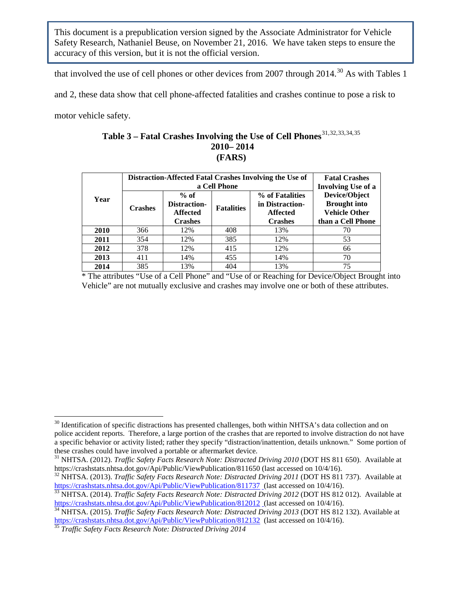that involved the use of cell phones or other devices from 2007 through  $2014.^{30}$  $2014.^{30}$  $2014.^{30}$  As with Tables 1

and 2, these data show that cell phone-affected fatalities and crashes continue to pose a risk to

motor vehicle safety.

## <span id="page-23-7"></span><span id="page-23-6"></span>Table 3 – Fatal Crashes Involving the Use of Cell Phones<sup>[31,](#page-23-1)[32,](#page-23-2)[33](#page-23-3),[34,](#page-23-4)[35](#page-23-5)</sup> **2010– 2014 (FARS)**

|      | Distraction-Affected Fatal Crashes Involving the Use of | <b>Fatal Crashes</b><br><b>Involving Use of a</b>           |                   |                                                                         |                                                                                   |
|------|---------------------------------------------------------|-------------------------------------------------------------|-------------------|-------------------------------------------------------------------------|-----------------------------------------------------------------------------------|
| Year | <b>Crashes</b>                                          | $%$ of<br>Distraction-<br><b>Affected</b><br><b>Crashes</b> | <b>Fatalities</b> | % of Fatalities<br>in Distraction-<br><b>Affected</b><br><b>Crashes</b> | Device/Object<br><b>Brought</b> into<br><b>Vehicle Other</b><br>than a Cell Phone |
| 2010 | 366                                                     | 12%                                                         | 408               | 13%                                                                     | 70                                                                                |
| 2011 | 354                                                     | 12%                                                         | 385               | 12%                                                                     | 53                                                                                |
| 2012 | 378                                                     | 12%                                                         | 415               | 12%                                                                     | 66                                                                                |
| 2013 | 411                                                     | 14%                                                         | 455               | 14%                                                                     | 70                                                                                |
| 2014 | 385                                                     | 13%                                                         | 404               | 13%                                                                     | 75                                                                                |

\* The attributes "Use of a Cell Phone" and "Use of or Reaching for Device/Object Brought into Vehicle" are not mutually exclusive and crashes may involve one or both of these attributes.

<span id="page-23-0"></span> $30$  Identification of specific distractions has presented challenges, both within NHTSA's data collection and on police accident reports. Therefore, a large portion of the crashes that are reported to involve distraction do not have a specific behavior or activity listed; rather they specify "distraction/inattention, details unknown." Some portion of these crashes could have involved a portable or aftermarket device.

<span id="page-23-1"></span><sup>&</sup>lt;sup>31</sup> NHTSA. (2012). *Traffic Safety Facts Research Note: Distracted Driving 2010* (DOT HS 811 650). Available at https://crashstats.nhtsa.dot.gov/Api/Public/ViewPublication/811650 (last accessed on 10/4/16).

<span id="page-23-2"></span><sup>&</sup>lt;sup>32</sup> NHTSA. (2013). *Traffic Safety Facts Research Note: Distracted Driving 2011* (DOT HS 811 737). Available at https://crashstats.nhtsa.dot.gov/Api/Public/ViewPublication/811737 (last accessed on 10/4/16).

<span id="page-23-3"></span><sup>&</sup>lt;sup>[33](https://crashstats.nhtsa.dot.gov/Api/Public/ViewPublication/811737)</sup> NHTSA. (2014). *Traffic Safety Facts Research Note: Distracted Driving 2012* (DOT HS 812 012). Available at https://crashstats.nhtsa.dot.gov/Api/Public/ViewPublication/812012 (last accessed on 10/4/16).

<span id="page-23-4"></span><sup>&</sup>lt;sup>[34](https://crashstats.nhtsa.dot.gov/Api/Public/ViewPublication/812012)</sup> NHTSA. (2015). *Traffic Safety Facts Research Note: Distracted Driving 2013* (DOT HS 812 132). Available at <https://crashstats.nhtsa.dot.gov/Api/Public/ViewPublication/812132>(last accessed on 10/4/16). [35](https://crashstats.nhtsa.dot.gov/Api/Public/ViewPublication/812132) *Traffic Safety Facts Research Note: Distracted Driving 2014*

<span id="page-23-5"></span>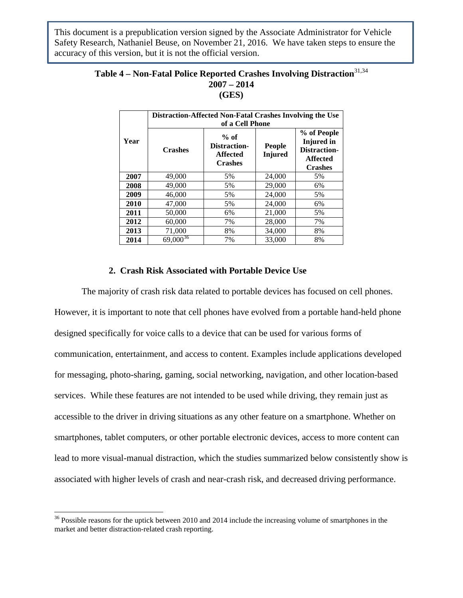## **Table 4 – Non-Fatal Police Reported Crashes Involving Distraction**[31,](#page-23-6)[34](#page-23-7) **2007 – 2014 (GES)**

|      | Distraction-Affected Non-Fatal Crashes Involving the Use<br>of a Cell Phone |                                                             |                                 |                                                                                       |  |  |  |  |
|------|-----------------------------------------------------------------------------|-------------------------------------------------------------|---------------------------------|---------------------------------------------------------------------------------------|--|--|--|--|
| Year | <b>Crashes</b>                                                              | $%$ of<br>Distraction-<br><b>Affected</b><br><b>Crashes</b> | <b>People</b><br><b>Injured</b> | % of People<br><b>Injured</b> in<br>Distraction-<br><b>Affected</b><br><b>Crashes</b> |  |  |  |  |
| 2007 | 49,000                                                                      | 5%                                                          | 24,000                          | 5%                                                                                    |  |  |  |  |
| 2008 | 49,000                                                                      | 5%                                                          | 29,000                          | 6%                                                                                    |  |  |  |  |
| 2009 | 46,000                                                                      | 5%                                                          | 24,000                          | 5%                                                                                    |  |  |  |  |
| 2010 | 47,000                                                                      | 5%                                                          | 24,000                          | 6%                                                                                    |  |  |  |  |
| 2011 | 50,000                                                                      | 6%                                                          | 21,000                          | 5%                                                                                    |  |  |  |  |
| 2012 | 60,000                                                                      | 7%                                                          | 28,000                          | 7%                                                                                    |  |  |  |  |
| 2013 | 71,000                                                                      | 8%                                                          | 34,000                          | 8%                                                                                    |  |  |  |  |
| 2014 | $69,000^{36}$                                                               | 7%                                                          | 33,000                          | 8%                                                                                    |  |  |  |  |

## **2. Crash Risk Associated with Portable Device Use**

The majority of crash risk data related to portable devices has focused on cell phones. However, it is important to note that cell phones have evolved from a portable hand-held phone designed specifically for voice calls to a device that can be used for various forms of communication, entertainment, and access to content. Examples include applications developed for messaging, photo-sharing, gaming, social networking, navigation, and other location-based services. While these features are not intended to be used while driving, they remain just as accessible to the driver in driving situations as any other feature on a smartphone. Whether on smartphones, tablet computers, or other portable electronic devices, access to more content can lead to more visual-manual distraction, which the studies summarized below consistently show is associated with higher levels of crash and near-crash risk, and decreased driving performance.

<span id="page-24-0"></span><sup>&</sup>lt;sup>36</sup> Possible reasons for the uptick between 2010 and 2014 include the increasing volume of smartphones in the market and better distraction-related crash reporting.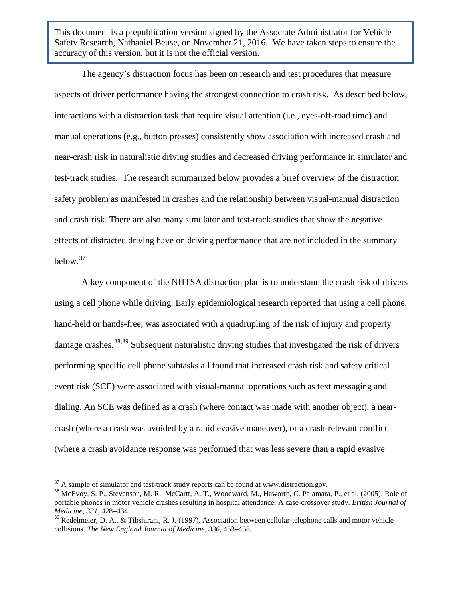The agency's distraction focus has been on research and test procedures that measure aspects of driver performance having the strongest connection to crash risk. As described below, interactions with a distraction task that require visual attention (i.e., eyes-off-road time) and manual operations (e.g., button presses) consistently show association with increased crash and near-crash risk in naturalistic driving studies and decreased driving performance in simulator and test-track studies. The research summarized below provides a brief overview of the distraction safety problem as manifested in crashes and the relationship between visual-manual distraction and crash risk. There are also many simulator and test-track studies that show the negative effects of distracted driving have on driving performance that are not included in the summary below.[37](#page-25-0)

A key component of the NHTSA distraction plan is to understand the crash risk of drivers using a cell phone while driving. Early epidemiological research reported that using a cell phone, hand-held or hands-free, was associated with a quadrupling of the risk of injury and property damage crashes.<sup>[38](#page-25-1),[39](#page-25-2)</sup> Subsequent naturalistic driving studies that investigated the risk of drivers performing specific cell phone subtasks all found that increased crash risk and safety critical event risk (SCE) were associated with visual-manual operations such as text messaging and dialing. An SCE was defined as a crash (where contact was made with another object), a nearcrash (where a crash was avoided by a rapid evasive maneuver), or a crash-relevant conflict (where a crash avoidance response was performed that was less severe than a rapid evasive

<span id="page-25-1"></span>

<span id="page-25-0"></span> $37$  A sample of simulator and test-track study reports can be found at www.distraction.gov.<br> $38$  McEvoy, S. P., Stevenson, M. R., McCartt, A. T., Woodward, M., Haworth, C. Palamara, P., et al. (2005). Role of portable phones in motor vehicle crashes resulting in hospital attendance: A case-crossover study. *British Journal of Medicine, 331, 428–434.*<br><sup>39</sup> Redelmeier, D. A., & Tibshirani, R. J. (1997). Association between cellular-telephone calls and motor vehicle

<span id="page-25-2"></span>collisions. *The New England Journal of Medicine, 336,* 453–458*.*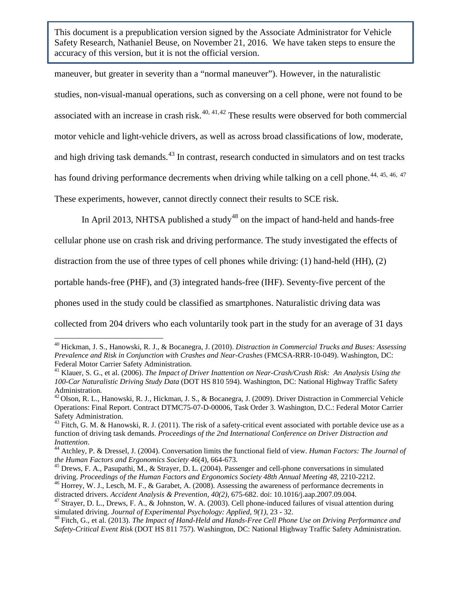maneuver, but greater in severity than a "normal maneuver"). However, in the naturalistic studies, non-visual-manual operations, such as conversing on a cell phone, were not found to be associated with an increase in crash risk. $40, 41, 42$  $40, 41, 42$  $40, 41, 42$  $40, 41, 42$  $40, 41, 42$  These results were observed for both commercial motor vehicle and light-vehicle drivers, as well as across broad classifications of low, moderate, and high driving task demands.<sup>[43](#page-26-3)</sup> In contrast, research conducted in simulators and on test tracks has found driving performance decrements when driving while talking on a cell phone.<sup>[44](#page-26-4), [45,](#page-26-5) [46,](#page-26-6) [47](#page-26-7)</sup> These experiments, however, cannot directly connect their results to SCE risk.

In April 2013, NHTSA published a study<sup>[48](#page-26-8)</sup> on the impact of hand-held and hands-free

cellular phone use on crash risk and driving performance. The study investigated the effects of

distraction from the use of three types of cell phones while driving: (1) hand-held (HH), (2)

portable hands-free (PHF), and (3) integrated hands-free (IHF). Seventy-five percent of the

phones used in the study could be classified as smartphones. Naturalistic driving data was

collected from 204 drivers who each voluntarily took part in the study for an average of 31 days

<span id="page-26-0"></span><sup>40</sup> Hickman, J. S., Hanowski, R. J., & Bocanegra, J. (2010). *Distraction in Commercial Trucks and Buses: Assessing Prevalence and Risk in Conjunction with Crashes and Near-Crashes* (FMCSA-RRR-10-049). Washington, DC: Federal Motor Carrier Safety Administration.

<span id="page-26-1"></span><sup>41</sup> Klauer, S. G., et al. (2006). *The Impact of Driver Inattention on Near-Crash/Crash Risk: An Analysis Using the 100-Car Naturalistic Driving Study Data* (DOT HS 810 594). Washington, DC: National Highway Traffic Safety Administration.

<span id="page-26-2"></span> $^{42}$  Olson, R. L., Hanowski, R. J., Hickman, J. S., & Bocanegra, J. (2009). Driver Distraction in Commercial Vehicle Operations: Final Report. Contract DTMC75-07-D-00006, Task Order 3. Washington, D.C.: Federal Motor Carrier Safety Administration.

<span id="page-26-3"></span> $43$  Fitch, G. M. & Hanowski, R. J. (2011). The risk of a safety-critical event associated with portable device use as a function of driving task demands. *Proceedings of the 2nd International Conference on Driver Distraction and* 

<span id="page-26-4"></span>*Inattention.*<br><sup>44</sup> Atchley, P. & Dressel, J. (2004). Conversation limits the functional field of view. *Human Factors: The Journal of the Human Factors and Ergonomics Society 46*(4), 664-673.

<span id="page-26-5"></span><sup>&</sup>lt;sup>45</sup> Drews, F. A., Pasupathi, M., & Strayer, D. L. (2004). Passenger and cell-phone conversations in simulated driving. *Proceedings of the Human Factors and Ergonomics Society 48th Annual Meeting 48*, 2210-2212.

<span id="page-26-6"></span><sup>&</sup>lt;sup>46</sup> Horrey, W. J., Lesch, M. F., & Garabet, A. (2008). Assessing the awareness of performance decrements in distracted drivers. *Accident Analysis & Prevention, 40(2)*, 675-682. doi: 10.1016/j.aap.2007.09.004.

<span id="page-26-7"></span><sup>&</sup>lt;sup>47</sup> Strayer, D. L., Drews, F. A., & Johnston, W. A. (2003). Cell phone-induced failures of visual attention during simulated driving. *Journal of Experimental Psychology: Applied, 9(1), 23 - 32.*<br><sup>48</sup> Fitch, G., et al. (2013). *The Impact of Hand-Held and Hands-Free Cell Phone Use on Driving Performance and* 

<span id="page-26-8"></span>*Safety-Critical Event Risk* (DOT HS 811 757). Washington, DC: National Highway Traffic Safety Administration.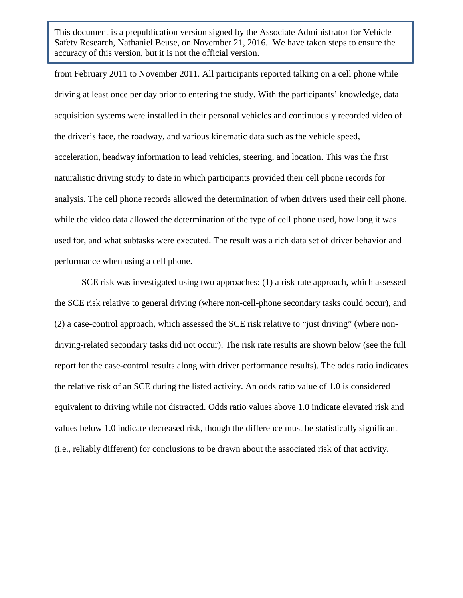from February 2011 to November 2011. All participants reported talking on a cell phone while driving at least once per day prior to entering the study. With the participants' knowledge, data acquisition systems were installed in their personal vehicles and continuously recorded video of the driver's face, the roadway, and various kinematic data such as the vehicle speed, acceleration, headway information to lead vehicles, steering, and location. This was the first naturalistic driving study to date in which participants provided their cell phone records for analysis. The cell phone records allowed the determination of when drivers used their cell phone, while the video data allowed the determination of the type of cell phone used, how long it was used for, and what subtasks were executed. The result was a rich data set of driver behavior and performance when using a cell phone.

SCE risk was investigated using two approaches: (1) a risk rate approach, which assessed the SCE risk relative to general driving (where non-cell-phone secondary tasks could occur), and (2) a case-control approach, which assessed the SCE risk relative to "just driving" (where nondriving-related secondary tasks did not occur). The risk rate results are shown below (see the full report for the case-control results along with driver performance results). The odds ratio indicates the relative risk of an SCE during the listed activity. An odds ratio value of 1.0 is considered equivalent to driving while not distracted. Odds ratio values above 1.0 indicate elevated risk and values below 1.0 indicate decreased risk, though the difference must be statistically significant (i.e., reliably different) for conclusions to be drawn about the associated risk of that activity.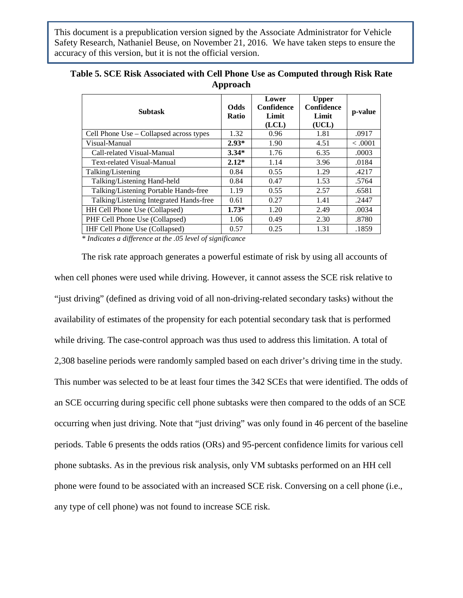| <b>Subtask</b>                          | <b>Odds</b><br><b>Ratio</b> | Lower<br>Confidence<br>Limit<br>(LCL) | <b>Upper</b><br>Confidence<br>Limit<br>(UCL) | p-value |
|-----------------------------------------|-----------------------------|---------------------------------------|----------------------------------------------|---------|
| Cell Phone Use – Collapsed across types | 1.32                        | 0.96                                  | 1.81                                         | .0917   |
| Visual-Manual                           | $2.93*$                     | 1.90                                  | 4.51                                         | < .0001 |
| Call-related Visual-Manual              | $3.34*$                     | 1.76                                  | 6.35                                         | .0003   |
| Text-related Visual-Manual              | $2.12*$                     | 1.14                                  | 3.96                                         | .0184   |
| Talking/Listening                       | 0.84                        | 0.55                                  | 1.29                                         | .4217   |
| Talking/Listening Hand-held             | 0.84                        | 0.47                                  | 1.53                                         | .5764   |
| Talking/Listening Portable Hands-free   | 1.19                        | 0.55                                  | 2.57                                         | .6581   |
| Talking/Listening Integrated Hands-free | 0.61                        | 0.27                                  | 1.41                                         | .2447   |
| HH Cell Phone Use (Collapsed)           | $1.73*$                     | 1.20                                  | 2.49                                         | .0034   |
| PHF Cell Phone Use (Collapsed)          | 1.06                        | 0.49                                  | 2.30                                         | .8780   |
| <b>IHF Cell Phone Use (Collapsed)</b>   | 0.57                        | 0.25                                  | 1.31                                         | .1859   |

#### **Table 5. SCE Risk Associated with Cell Phone Use as Computed through Risk Rate Approach**

*\* Indicates a difference at the .05 level of significance*

The risk rate approach generates a powerful estimate of risk by using all accounts of when cell phones were used while driving. However, it cannot assess the SCE risk relative to "just driving" (defined as driving void of all non-driving-related secondary tasks) without the availability of estimates of the propensity for each potential secondary task that is performed while driving. The case-control approach was thus used to address this limitation. A total of 2,308 baseline periods were randomly sampled based on each driver's driving time in the study. This number was selected to be at least four times the 342 SCEs that were identified. The odds of an SCE occurring during specific cell phone subtasks were then compared to the odds of an SCE occurring when just driving. Note that "just driving" was only found in 46 percent of the baseline periods. Table 6 presents the odds ratios (ORs) and 95-percent confidence limits for various cell phone subtasks. As in the previous risk analysis, only VM subtasks performed on an HH cell phone were found to be associated with an increased SCE risk. Conversing on a cell phone (i.e., any type of cell phone) was not found to increase SCE risk.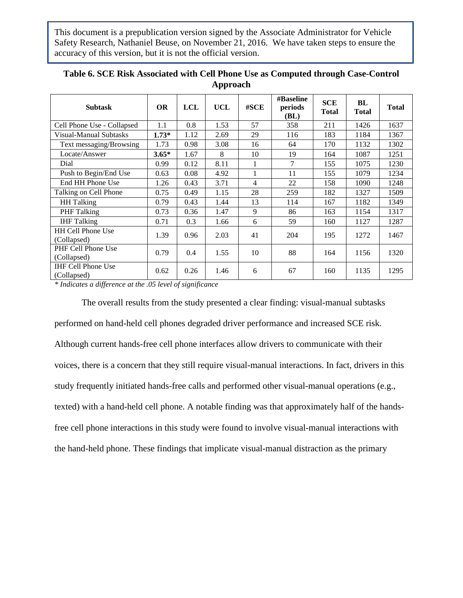| <b>Subtask</b>                           | <b>OR</b> | <b>LCL</b> | <b>UCL</b> | #SCE           | #Baseline<br>periods<br>(BL) | <b>SCE</b><br><b>Total</b> | BL<br><b>Total</b> | <b>Total</b> |
|------------------------------------------|-----------|------------|------------|----------------|------------------------------|----------------------------|--------------------|--------------|
| Cell Phone Use - Collapsed               | 1.1       | 0.8        | 1.53       | 57             | 358                          | 211                        | 1426               | 1637         |
| Visual-Manual Subtasks                   | $1.73*$   | 1.12       | 2.69       | 29             | 116                          | 183                        | 1184               | 1367         |
| Text messaging/Browsing                  | 1.73      | 0.98       | 3.08       | 16             | 64                           | 170                        | 1132               | 1302         |
| Locate/Answer                            | $3.65*$   | 1.67       | 8          | 10             | 19                           | 164                        | 1087               | 1251         |
| Dial                                     | 0.99      | 0.12       | 8.11       | 1              | 7                            | 155                        | 1075               | 1230         |
| Push to Begin/End Use                    | 0.63      | 0.08       | 4.92       | 1              | 11                           | 155                        | 1079               | 1234         |
| End HH Phone Use                         | 1.26      | 0.43       | 3.71       | $\overline{4}$ | 22                           | 158                        | 1090               | 1248         |
| Talking on Cell Phone                    | 0.75      | 0.49       | 1.15       | 28             | 259                          | 182                        | 1327               | 1509         |
| <b>HH</b> Talking                        | 0.79      | 0.43       | 1.44       | 13             | 114                          | 167                        | 1182               | 1349         |
| PHF Talking                              | 0.73      | 0.36       | 1.47       | 9              | 86                           | 163                        | 1154               | 1317         |
| <b>IHF</b> Talking                       | 0.71      | 0.3        | 1.66       | 6              | 59                           | 160                        | 1127               | 1287         |
| <b>HH Cell Phone Use</b><br>(Collapsed)  | 1.39      | 0.96       | 2.03       | 41             | 204                          | 195                        | 1272               | 1467         |
| PHF Cell Phone Use<br>(Collapsed)        | 0.79      | 0.4        | 1.55       | 10             | 88                           | 164                        | 1156               | 1320         |
| <b>IHF Cell Phone Use</b><br>(Collapsed) | 0.62      | 0.26       | 1.46       | 6              | 67                           | 160                        | 1135               | 1295         |

| Table 6. SCE Risk Associated with Cell Phone Use as Computed through Case-Control |
|-----------------------------------------------------------------------------------|
| Approach                                                                          |

*\* Indicates a difference at the .05 level of significance*

The overall results from the study presented a clear finding: visual-manual subtasks performed on hand-held cell phones degraded driver performance and increased SCE risk. Although current hands-free cell phone interfaces allow drivers to communicate with their voices, there is a concern that they still require visual-manual interactions. In fact, drivers in this study frequently initiated hands-free calls and performed other visual-manual operations (e.g., texted) with a hand-held cell phone. A notable finding was that approximately half of the handsfree cell phone interactions in this study were found to involve visual-manual interactions with the hand-held phone. These findings that implicate visual-manual distraction as the primary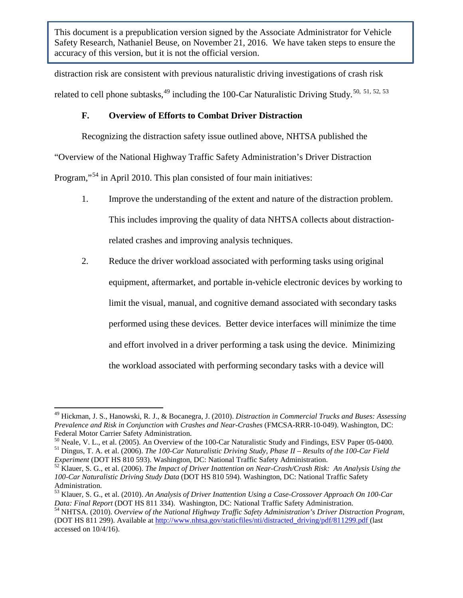distraction risk are consistent with previous naturalistic driving investigations of crash risk related to cell phone subtasks,  $49$  including the 100-Car Naturalistic Driving Study.<sup>[50](#page-30-1), [51](#page-30-2), [52,](#page-30-3) [53](#page-30-4)</sup>

## **F. Overview of Efforts to Combat Driver Distraction**

Recognizing the distraction safety issue outlined above, NHTSA published the

"Overview of the National Highway Traffic Safety Administration's Driver Distraction

Program,"<sup>[54](#page-30-5)</sup> in April 2010. This plan consisted of four main initiatives:

- 1. Improve the understanding of the extent and nature of the distraction problem. This includes improving the quality of data NHTSA collects about distractionrelated crashes and improving analysis techniques.
- 2. Reduce the driver workload associated with performing tasks using original equipment, aftermarket, and portable in-vehicle electronic devices by working to limit the visual, manual, and cognitive demand associated with secondary tasks performed using these devices. Better device interfaces will minimize the time and effort involved in a driver performing a task using the device. Minimizing the workload associated with performing secondary tasks with a device will

<span id="page-30-0"></span><sup>49</sup> Hickman, J. S., Hanowski, R. J., & Bocanegra, J. (2010). *Distraction in Commercial Trucks and Buses: Assessing Prevalence and Risk in Conjunction with Crashes and Near-Crashes* (FMCSA-RRR-10-049). Washington, DC: Federal Motor Carrier Safety Administration.

<span id="page-30-1"></span><sup>&</sup>lt;sup>50</sup> Neale, V. L., et al. (2005). An Overview of the 100-Car Naturalistic Study and Findings, ESV Paper 05-0400.<br><sup>51</sup> Dingus, T. A. et al. (2006). *The 100-Car Naturalistic Driving Study, Phase II – Results of the 100-Car* 

<span id="page-30-2"></span>*Experiment* (DOT HS 810 593). Washington, DC: National Traffic Safety Administration. <sup>52</sup> Klauer, S. G., et al. (2006). *The Impact of Driver Inattention on Near-Crash/Crash Risk: An Analysis Using the* 

<span id="page-30-3"></span>*<sup>100-</sup>Car Naturalistic Driving Study Data* (DOT HS 810 594). Washington, DC: National Traffic Safety Administration.

<span id="page-30-4"></span><sup>&</sup>lt;sup>53</sup> Klauer, S. G., et al. (2010). *An Analysis of Driver Inattention Using a Case-Crossover Approach On 100-Car Data: Final Report (DOT HS 811 334). Washington, DC: National Traffic Safety Administration.* 

<span id="page-30-5"></span><sup>&</sup>lt;sup>54</sup> NHTSA. (2010). *Overview of the National Highway Traffic Safety Administration's Driver Distraction Program*, (DOT HS 811 299). Available a[t http://www.nhtsa.gov/staticfiles/nti/distracted\\_driving/pdf/811299.pdf](http://www.nhtsa.gov/staticfiles/nti/distracted_driving/pdf/811299.pdf) (last accessed on 10/4/16).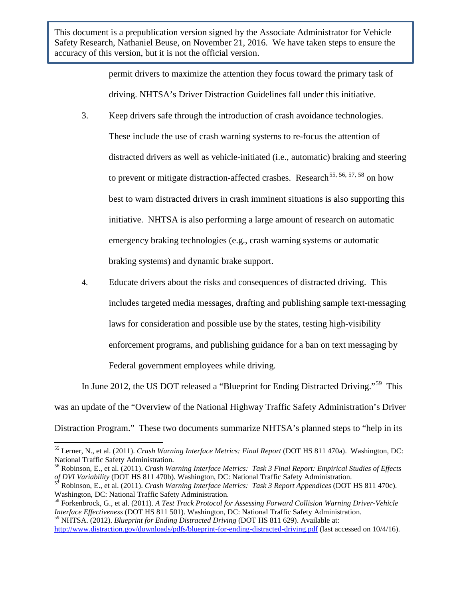> permit drivers to maximize the attention they focus toward the primary task of driving. NHTSA's Driver Distraction Guidelines fall under this initiative.

- 3. Keep drivers safe through the introduction of crash avoidance technologies. These include the use of crash warning systems to re-focus the attention of distracted drivers as well as vehicle-initiated (i.e., automatic) braking and steering to prevent or mitigate distraction-affected crashes. Research<sup>[55,](#page-31-0) [56](#page-31-1), [57](#page-31-2), [58](#page-31-3)</sup> on how best to warn distracted drivers in crash imminent situations is also supporting this initiative. NHTSA is also performing a large amount of research on automatic emergency braking technologies (e.g., crash warning systems or automatic braking systems) and dynamic brake support.
- 4. Educate drivers about the risks and consequences of distracted driving. This includes targeted media messages, drafting and publishing sample text-messaging laws for consideration and possible use by the states, testing high-visibility enforcement programs, and publishing guidance for a ban on text messaging by Federal government employees while driving.

In June 2012, the US DOT released a "Blueprint for Ending Distracted Driving."<sup>[59](#page-31-4)</sup> This was an update of the "Overview of the National Highway Traffic Safety Administration's Driver Distraction Program." These two documents summarize NHTSA's planned steps to "help in its

<span id="page-31-0"></span><sup>55</sup> Lerner, N., et al. (2011). *Crash Warning Interface Metrics: Final Report* (DOT HS 811 470a). Washington, DC: National Traffic Safety Administration.

<span id="page-31-1"></span><sup>56</sup> Robinson, E., et al. (2011). *Crash Warning Interface Metrics: Task 3 Final Report: Empirical Studies of Effects of DVI Variability* (DOT HS 811 470b). Washington, DC: National Traffic Safety Administration.<br><sup>57</sup> Robinson, E., et al. (2011). *Crash Warning Interface Metrics: Task 3 Report Appendices* (DOT HS 811 470c).

<span id="page-31-2"></span>Washington, DC: National Traffic Safety Administration.

<span id="page-31-3"></span><sup>58</sup> Forkenbrock, G., et al. (2011). *A Test Track Protocol for Assessing Forward Collision Warning Driver-Vehicle Interface Effectiveness* (DOT HS 811 501). Washington, DC: National Traffic Safety Administration.

<span id="page-31-4"></span><sup>59</sup> NHTSA. (2012). *Blueprint for Ending Distracted Driving* (DOT HS 811 629). Available at: <http://www.distraction.gov/downloads/pdfs/blueprint-for-ending-distracted-driving.pdf> (last accessed on 10/4/16).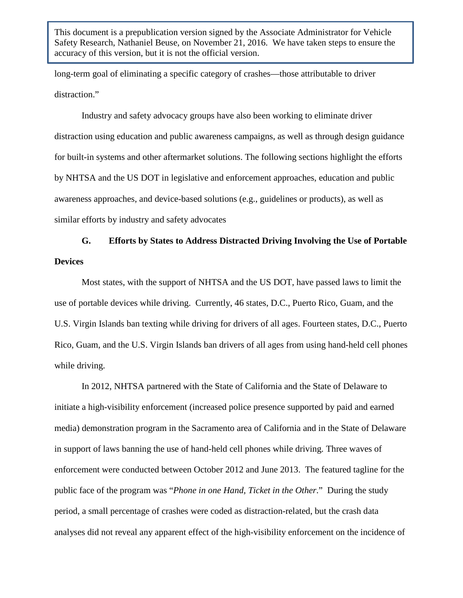long-term goal of eliminating a specific category of crashes—those attributable to driver distraction."

Industry and safety advocacy groups have also been working to eliminate driver distraction using education and public awareness campaigns, as well as through design guidance for built-in systems and other aftermarket solutions. The following sections highlight the efforts by NHTSA and the US DOT in legislative and enforcement approaches, education and public awareness approaches, and device-based solutions (e.g., guidelines or products), as well as similar efforts by industry and safety advocates

## **G. Efforts by States to Address Distracted Driving Involving the Use of Portable Devices**

Most states, with the support of NHTSA and the US DOT, have passed laws to limit the use of portable devices while driving. Currently, 46 states, D.C., Puerto Rico, Guam, and the U.S. Virgin Islands ban texting while driving for drivers of all ages. Fourteen states, D.C., Puerto Rico, Guam, and the U.S. Virgin Islands ban drivers of all ages from using hand-held cell phones while driving.

In 2012, NHTSA partnered with the State of California and the State of Delaware to initiate a high-visibility enforcement (increased police presence supported by paid and earned media) demonstration program in the Sacramento area of California and in the State of Delaware in support of laws banning the use of hand-held cell phones while driving. Three waves of enforcement were conducted between October 2012 and June 2013. The featured tagline for the public face of the program was "*Phone in one Hand, Ticket in the Other*." During the study period, a small percentage of crashes were coded as distraction-related, but the crash data analyses did not reveal any apparent effect of the high-visibility enforcement on the incidence of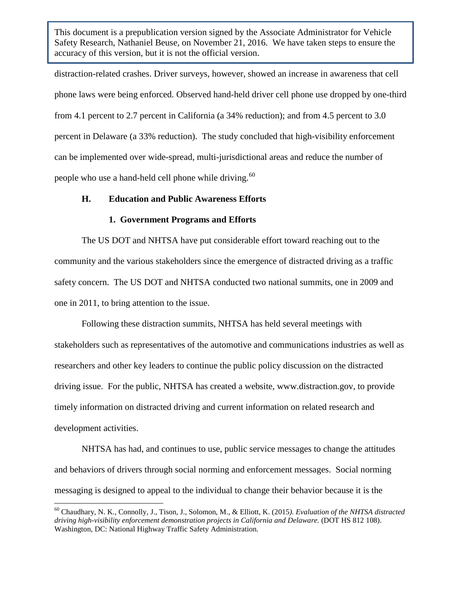distraction-related crashes. Driver surveys, however, showed an increase in awareness that cell phone laws were being enforced. Observed hand-held driver cell phone use dropped by one-third from 4.1 percent to 2.7 percent in California (a 34% reduction); and from 4.5 percent to 3.0 percent in Delaware (a 33% reduction). The study concluded that high-visibility enforcement can be implemented over wide-spread, multi-jurisdictional areas and reduce the number of people who use a hand-held cell phone while driving.<sup>60</sup>

#### **H. Education and Public Awareness Efforts**

#### **1. Government Programs and Efforts**

The US DOT and NHTSA have put considerable effort toward reaching out to the community and the various stakeholders since the emergence of distracted driving as a traffic safety concern. The US DOT and NHTSA conducted two national summits, one in 2009 and one in 2011, to bring attention to the issue.

Following these distraction summits, NHTSA has held several meetings with stakeholders such as representatives of the automotive and communications industries as well as researchers and other key leaders to continue the public policy discussion on the distracted driving issue. For the public, NHTSA has created a website, www.distraction.gov, to provide timely information on distracted driving and current information on related research and development activities.

NHTSA has had, and continues to use, public service messages to change the attitudes and behaviors of drivers through social norming and enforcement messages. Social norming messaging is designed to appeal to the individual to change their behavior because it is the

<span id="page-33-0"></span><sup>60</sup> Chaudhary, N. K., Connolly, J., Tison, J., Solomon, M., & Elliott, K. (2015*). Evaluation of the NHTSA distracted driving high-visibility enforcement demonstration projects in California and Delaware.* (DOT HS 812 108). Washington, DC: National Highway Traffic Safety Administration.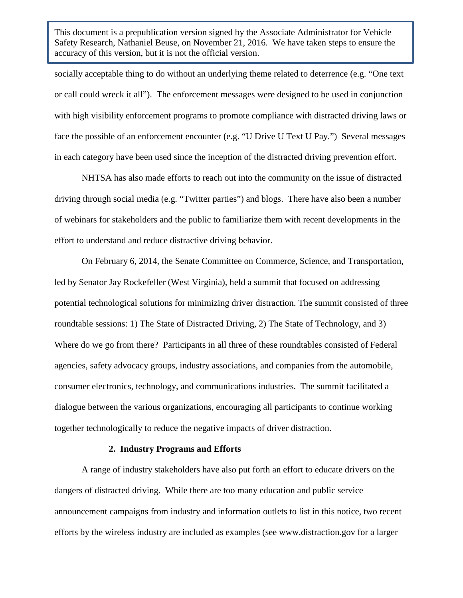socially acceptable thing to do without an underlying theme related to deterrence (e.g. "One text or call could wreck it all"). The enforcement messages were designed to be used in conjunction with high visibility enforcement programs to promote compliance with distracted driving laws or face the possible of an enforcement encounter (e.g. "U Drive U Text U Pay.") Several messages in each category have been used since the inception of the distracted driving prevention effort.

NHTSA has also made efforts to reach out into the community on the issue of distracted driving through social media (e.g. "Twitter parties") and blogs. There have also been a number of webinars for stakeholders and the public to familiarize them with recent developments in the effort to understand and reduce distractive driving behavior.

On February 6, 2014, the Senate Committee on Commerce, Science, and Transportation, led by Senator Jay Rockefeller (West Virginia), held a summit that focused on addressing potential technological solutions for minimizing driver distraction. The summit consisted of three roundtable sessions: 1) The State of Distracted Driving, 2) The State of Technology, and 3) Where do we go from there? Participants in all three of these roundtables consisted of Federal agencies, safety advocacy groups, industry associations, and companies from the automobile, consumer electronics, technology, and communications industries. The summit facilitated a dialogue between the various organizations, encouraging all participants to continue working together technologically to reduce the negative impacts of driver distraction.

#### **2. Industry Programs and Efforts**

A range of industry stakeholders have also put forth an effort to educate drivers on the dangers of distracted driving. While there are too many education and public service announcement campaigns from industry and information outlets to list in this notice, two recent efforts by the wireless industry are included as examples (see www.distraction.gov for a larger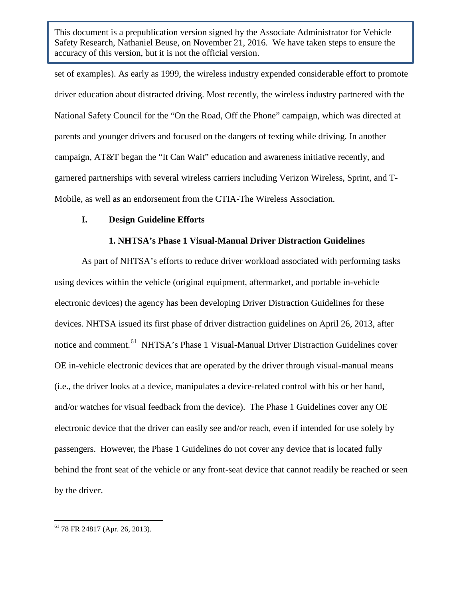set of examples). As early as 1999, the wireless industry expended considerable effort to promote driver education about distracted driving. Most recently, the wireless industry partnered with the National Safety Council for the "On the Road, Off the Phone" campaign, which was directed at parents and younger drivers and focused on the dangers of texting while driving. In another campaign, AT&T began the "It Can Wait" education and awareness initiative recently, and garnered partnerships with several wireless carriers including Verizon Wireless, Sprint, and T-Mobile, as well as an endorsement from the CTIA-The Wireless Association.

#### **I. Design Guideline Efforts**

## **1. NHTSA's Phase 1 Visual-Manual Driver Distraction Guidelines**

As part of NHTSA's efforts to reduce driver workload associated with performing tasks using devices within the vehicle (original equipment, aftermarket, and portable in-vehicle electronic devices) the agency has been developing Driver Distraction Guidelines for these devices. NHTSA issued its first phase of driver distraction guidelines on April 26, 2013, after notice and comment.<sup>61</sup> NHTSA's Phase 1 Visual-Manual Driver Distraction Guidelines cover OE in-vehicle electronic devices that are operated by the driver through visual-manual means (i.e., the driver looks at a device, manipulates a device-related control with his or her hand, and/or watches for visual feedback from the device). The Phase 1 Guidelines cover any OE electronic device that the driver can easily see and/or reach, even if intended for use solely by passengers. However, the Phase 1 Guidelines do not cover any device that is located fully behind the front seat of the vehicle or any front-seat device that cannot readily be reached or seen by the driver.

<span id="page-35-0"></span><sup>61</sup> 78 FR 24817 (Apr. 26, 2013).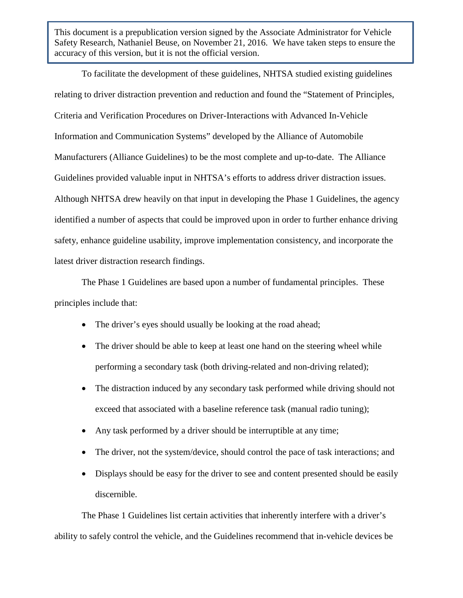To facilitate the development of these guidelines, NHTSA studied existing guidelines relating to driver distraction prevention and reduction and found the "Statement of Principles, Criteria and Verification Procedures on Driver-Interactions with Advanced In-Vehicle Information and Communication Systems" developed by the Alliance of Automobile Manufacturers (Alliance Guidelines) to be the most complete and up-to-date. The Alliance Guidelines provided valuable input in NHTSA's efforts to address driver distraction issues. Although NHTSA drew heavily on that input in developing the Phase 1 Guidelines, the agency identified a number of aspects that could be improved upon in order to further enhance driving safety, enhance guideline usability, improve implementation consistency, and incorporate the latest driver distraction research findings.

The Phase 1 Guidelines are based upon a number of fundamental principles. These principles include that:

- The driver's eyes should usually be looking at the road ahead;
- The driver should be able to keep at least one hand on the steering wheel while performing a secondary task (both driving-related and non-driving related);
- The distraction induced by any secondary task performed while driving should not exceed that associated with a baseline reference task (manual radio tuning);
- Any task performed by a driver should be interruptible at any time;
- The driver, not the system/device, should control the pace of task interactions; and
- Displays should be easy for the driver to see and content presented should be easily discernible.

The Phase 1 Guidelines list certain activities that inherently interfere with a driver's ability to safely control the vehicle, and the Guidelines recommend that in-vehicle devices be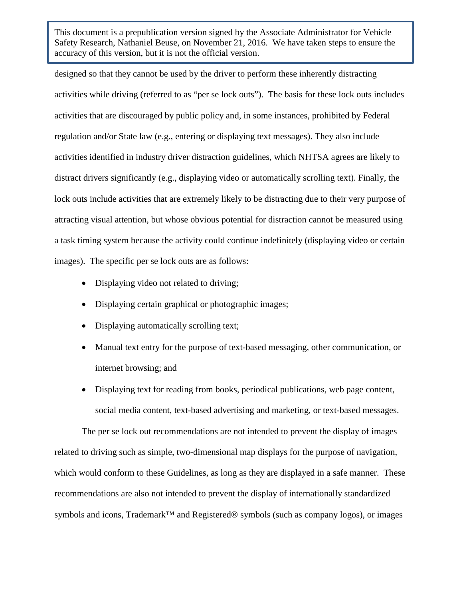designed so that they cannot be used by the driver to perform these inherently distracting activities while driving (referred to as "per se lock outs"). The basis for these lock outs includes activities that are discouraged by public policy and, in some instances, prohibited by Federal regulation and/or State law (e.g., entering or displaying text messages). They also include activities identified in industry driver distraction guidelines, which NHTSA agrees are likely to distract drivers significantly (e.g., displaying video or automatically scrolling text). Finally, the lock outs include activities that are extremely likely to be distracting due to their very purpose of attracting visual attention, but whose obvious potential for distraction cannot be measured using a task timing system because the activity could continue indefinitely (displaying video or certain images). The specific per se lock outs are as follows:

- Displaying video not related to driving:
- Displaying certain graphical or photographic images;
- Displaying automatically scrolling text;
- Manual text entry for the purpose of text-based messaging, other communication, or internet browsing; and
- Displaying text for reading from books, periodical publications, web page content, social media content, text-based advertising and marketing, or text-based messages.

The per se lock out recommendations are not intended to prevent the display of images related to driving such as simple, two-dimensional map displays for the purpose of navigation, which would conform to these Guidelines, as long as they are displayed in a safe manner. These recommendations are also not intended to prevent the display of internationally standardized symbols and icons, Trademark<sup>™</sup> and Registered® symbols (such as company logos), or images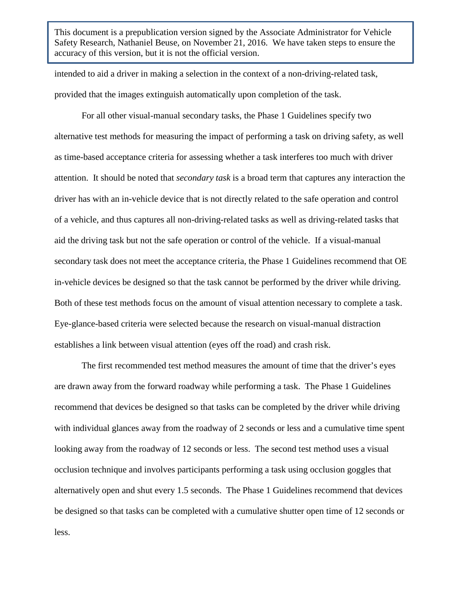intended to aid a driver in making a selection in the context of a non-driving-related task, provided that the images extinguish automatically upon completion of the task.

For all other visual-manual secondary tasks, the Phase 1 Guidelines specify two alternative test methods for measuring the impact of performing a task on driving safety, as well as time-based acceptance criteria for assessing whether a task interferes too much with driver attention. It should be noted that *secondary task* is a broad term that captures any interaction the driver has with an in-vehicle device that is not directly related to the safe operation and control of a vehicle, and thus captures all non-driving-related tasks as well as driving-related tasks that aid the driving task but not the safe operation or control of the vehicle. If a visual-manual secondary task does not meet the acceptance criteria, the Phase 1 Guidelines recommend that OE in-vehicle devices be designed so that the task cannot be performed by the driver while driving. Both of these test methods focus on the amount of visual attention necessary to complete a task. Eye-glance-based criteria were selected because the research on visual-manual distraction establishes a link between visual attention (eyes off the road) and crash risk.

The first recommended test method measures the amount of time that the driver's eyes are drawn away from the forward roadway while performing a task. The Phase 1 Guidelines recommend that devices be designed so that tasks can be completed by the driver while driving with individual glances away from the roadway of 2 seconds or less and a cumulative time spent looking away from the roadway of 12 seconds or less. The second test method uses a visual occlusion technique and involves participants performing a task using occlusion goggles that alternatively open and shut every 1.5 seconds. The Phase 1 Guidelines recommend that devices be designed so that tasks can be completed with a cumulative shutter open time of 12 seconds or less.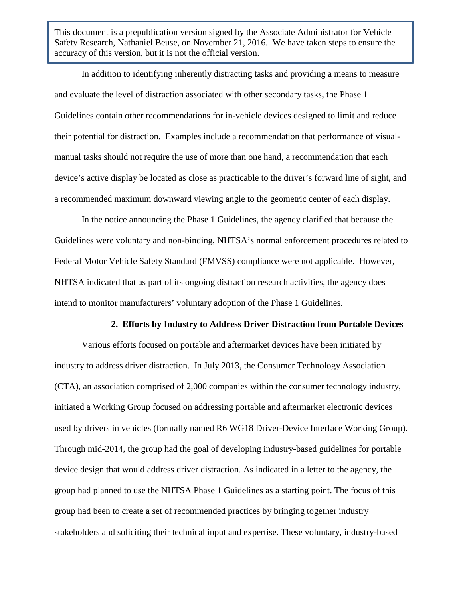In addition to identifying inherently distracting tasks and providing a means to measure and evaluate the level of distraction associated with other secondary tasks, the Phase 1 Guidelines contain other recommendations for in-vehicle devices designed to limit and reduce their potential for distraction. Examples include a recommendation that performance of visualmanual tasks should not require the use of more than one hand, a recommendation that each device's active display be located as close as practicable to the driver's forward line of sight, and a recommended maximum downward viewing angle to the geometric center of each display.

In the notice announcing the Phase 1 Guidelines, the agency clarified that because the Guidelines were voluntary and non-binding, NHTSA's normal enforcement procedures related to Federal Motor Vehicle Safety Standard (FMVSS) compliance were not applicable. However, NHTSA indicated that as part of its ongoing distraction research activities, the agency does intend to monitor manufacturers' voluntary adoption of the Phase 1 Guidelines.

#### **2. Efforts by Industry to Address Driver Distraction from Portable Devices**

Various efforts focused on portable and aftermarket devices have been initiated by industry to address driver distraction. In July 2013, the Consumer Technology Association (CTA), an association comprised of 2,000 companies within the consumer technology industry, initiated a Working Group focused on addressing portable and aftermarket electronic devices used by drivers in vehicles (formally named R6 WG18 Driver-Device Interface Working Group). Through mid-2014, the group had the goal of developing industry-based guidelines for portable device design that would address driver distraction. As indicated in a letter to the agency, the group had planned to use the NHTSA Phase 1 Guidelines as a starting point. The focus of this group had been to create a set of recommended practices by bringing together industry stakeholders and soliciting their technical input and expertise. These voluntary, industry-based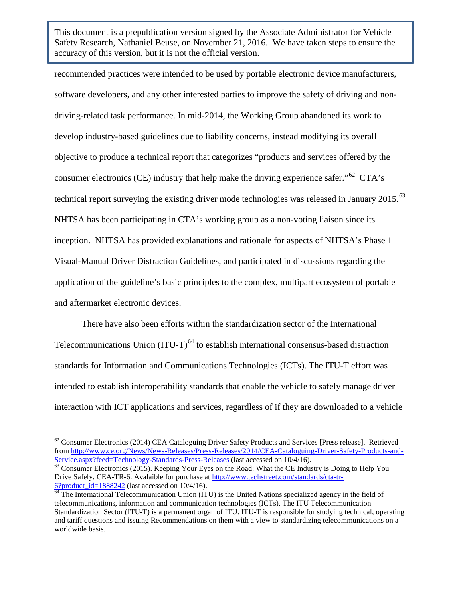recommended practices were intended to be used by portable electronic device manufacturers, software developers, and any other interested parties to improve the safety of driving and nondriving-related task performance. In mid-2014, the Working Group abandoned its work to develop industry-based guidelines due to liability concerns, instead modifying its overall objective to produce a technical report that categorizes "products and services offered by the consumer electronics (CE) industry that help make the driving experience safer."<sup>[62](#page-40-0)</sup> CTA's technical report surveying the existing driver mode technologies was released in January 2015.<sup>[63](#page-40-1)</sup> NHTSA has been participating in CTA's working group as a non-voting liaison since its inception. NHTSA has provided explanations and rationale for aspects of NHTSA's Phase 1 Visual-Manual Driver Distraction Guidelines, and participated in discussions regarding the application of the guideline's basic principles to the complex, multipart ecosystem of portable and aftermarket electronic devices.

There have also been efforts within the standardization sector of the International Telecommunications Union  $(ITU-T)^{64}$  $(ITU-T)^{64}$  $(ITU-T)^{64}$  to establish international consensus-based distraction standards for Information and Communications Technologies (ICTs). The ITU-T effort was intended to establish interoperability standards that enable the vehicle to safely manage driver interaction with ICT applications and services, regardless of if they are downloaded to a vehicle

<span id="page-40-0"></span><sup>&</sup>lt;sup>62</sup> Consumer Electronics (2014) CEA Cataloguing Driver Safety Products and Services [Press release]. Retrieved from [http://www.ce.org/News/News-Releases/Press-Releases/2014/CEA-Cataloguing-Driver-Safety-Products-and-](http://www.ce.org/News/News-Releases/Press-Releases/2014/CEA-Cataloguing-Driver-Safety-Products-and-Service.aspx?feed=Technology-Standards-Press-Releases)[Service.aspx?feed=Technology-Standards-Press-Releases](http://www.ce.org/News/News-Releases/Press-Releases/2014/CEA-Cataloguing-Driver-Safety-Products-and-Service.aspx?feed=Technology-Standards-Press-Releases) (last accessed on 10/4/16).<br><sup>63</sup> Consumer Electronics (2015). Keeping Your Eyes on the Road: What the CE Industry is Doing to Help You

<span id="page-40-1"></span>Drive Safely. CEA-TR-6. Avalaible for purchase at [http://www.techstreet.com/standards/cta-tr-](http://www.techstreet.com/standards/cta-tr-6?product_id=1888242)

<span id="page-40-2"></span> $\frac{6?product\_id=1888242}{}$  (last accessed on 10/4/16).<br><sup>64</sup> The International Telecommunication Union (ITU) is the United Nations specialized agency in the field of telecommunications, information and communication technologies (ICTs). The ITU Telecommunication Standardization Sector (ITU-T) is a permanent organ of ITU. ITU-T is responsible for studying technical, operating and tariff questions and issuing Recommendations on them with a view to standardizing telecommunications on a worldwide basis.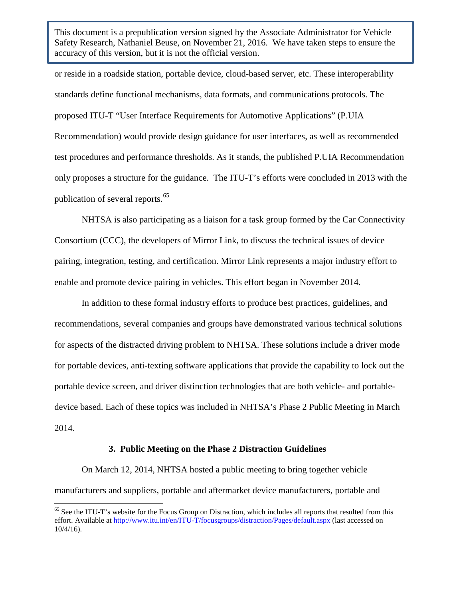or reside in a roadside station, portable device, cloud-based server, etc. These interoperability standards define functional mechanisms, data formats, and communications protocols. The proposed ITU-T "User Interface Requirements for Automotive Applications" (P.UIA Recommendation) would provide design guidance for user interfaces, as well as recommended test procedures and performance thresholds. As it stands, the published P.UIA Recommendation only proposes a structure for the guidance. The ITU-T's efforts were concluded in 2013 with the publication of several reports.<sup>[65](#page-41-0)</sup>

NHTSA is also participating as a liaison for a task group formed by the Car Connectivity Consortium (CCC), the developers of Mirror Link, to discuss the technical issues of device pairing, integration, testing, and certification. Mirror Link represents a major industry effort to enable and promote device pairing in vehicles. This effort began in November 2014.

In addition to these formal industry efforts to produce best practices, guidelines, and recommendations, several companies and groups have demonstrated various technical solutions for aspects of the distracted driving problem to NHTSA. These solutions include a driver mode for portable devices, anti-texting software applications that provide the capability to lock out the portable device screen, and driver distinction technologies that are both vehicle- and portabledevice based. Each of these topics was included in NHTSA's Phase 2 Public Meeting in March 2014.

#### **3. Public Meeting on the Phase 2 Distraction Guidelines**

On March 12, 2014, NHTSA hosted a public meeting to bring together vehicle manufacturers and suppliers, portable and aftermarket device manufacturers, portable and

<span id="page-41-0"></span><sup>&</sup>lt;sup>65</sup> See the ITU-T's website for the Focus Group on Distraction, which includes all reports that resulted from this effort. Available at<http://www.itu.int/en/ITU-T/focusgroups/distraction/Pages/default.aspx> (last accessed on 10/4/16).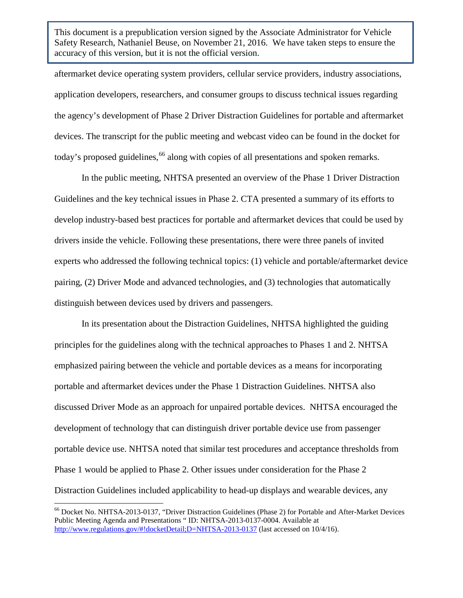aftermarket device operating system providers, cellular service providers, industry associations, application developers, researchers, and consumer groups to discuss technical issues regarding the agency's development of Phase 2 Driver Distraction Guidelines for portable and aftermarket devices. The transcript for the public meeting and webcast video can be found in the docket for today's proposed guidelines, <sup>[66](#page-42-0)</sup> along with copies of all presentations and spoken remarks.

In the public meeting, NHTSA presented an overview of the Phase 1 Driver Distraction Guidelines and the key technical issues in Phase 2. CTA presented a summary of its efforts to develop industry-based best practices for portable and aftermarket devices that could be used by drivers inside the vehicle. Following these presentations, there were three panels of invited experts who addressed the following technical topics: (1) vehicle and portable/aftermarket device pairing, (2) Driver Mode and advanced technologies, and (3) technologies that automatically distinguish between devices used by drivers and passengers.

In its presentation about the Distraction Guidelines, NHTSA highlighted the guiding principles for the guidelines along with the technical approaches to Phases 1 and 2. NHTSA emphasized pairing between the vehicle and portable devices as a means for incorporating portable and aftermarket devices under the Phase 1 Distraction Guidelines. NHTSA also discussed Driver Mode as an approach for unpaired portable devices. NHTSA encouraged the development of technology that can distinguish driver portable device use from passenger portable device use. NHTSA noted that similar test procedures and acceptance thresholds from Phase 1 would be applied to Phase 2. Other issues under consideration for the Phase 2 Distraction Guidelines included applicability to head-up displays and wearable devices, any

<span id="page-42-0"></span><sup>66</sup> Docket No. NHTSA-2013-0137, "Driver Distraction Guidelines (Phase 2) for Portable and After-Market Devices Public Meeting Agenda and Presentations " ID: NHTSA-2013-0137-0004. Available at <http://www.regulations.gov/#!docketDetail;D=NHTSA-2013-0137> (last accessed on 10/4/16).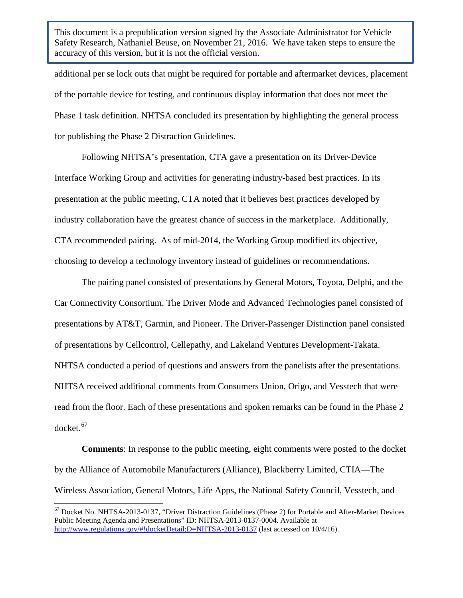additional per se lock outs that might be required for portable and aftermarket devices, placement of the portable device for testing, and continuous display information that does not meet the Phase 1 task definition. NHTSA concluded its presentation by highlighting the general process for publishing the Phase 2 Distraction Guidelines.

Following NHTSA's presentation, CTA gave a presentation on its Driver-Device Interface Working Group and activities for generating industry-based best practices. In its presentation at the public meeting, CTA noted that it believes best practices developed by industry collaboration have the greatest chance of success in the marketplace. Additionally, CTA recommended pairing. As of mid-2014, the Working Group modified its objective, choosing to develop a technology inventory instead of guidelines or recommendations.

The pairing panel consisted of presentations by General Motors, Toyota, Delphi, and the Car Connectivity Consortium. The Driver Mode and Advanced Technologies panel consisted of presentations by AT&T, Garmin, and Pioneer. The Driver-Passenger Distinction panel consisted of presentations by Cellcontrol, Cellepathy, and Lakeland Ventures Development-Takata. NHTSA conducted a period of questions and answers from the panelists after the presentations. NHTSA received additional comments from Consumers Union, Origo, and Vesstech that were read from the floor. Each of these presentations and spoken remarks can be found in the Phase 2 docket.<sup>[67](#page-43-0)</sup>

**Comments**: In response to the public meeting, eight comments were posted to the docket by the Alliance of Automobile Manufacturers (Alliance), Blackberry Limited, CTIA—The Wireless Association, General Motors, Life Apps, the National Safety Council, Vesstech, and

<span id="page-43-0"></span><sup>67</sup> Docket No. NHTSA-2013-0137, "Driver Distraction Guidelines (Phase 2) for Portable and After-Market Devices Public Meeting Agenda and Presentations" ID: NHTSA-2013-0137-0004. Available at <http://www.regulations.gov/#!docketDetail;D=NHTSA-2013-0137> (last accessed on 10/4/16).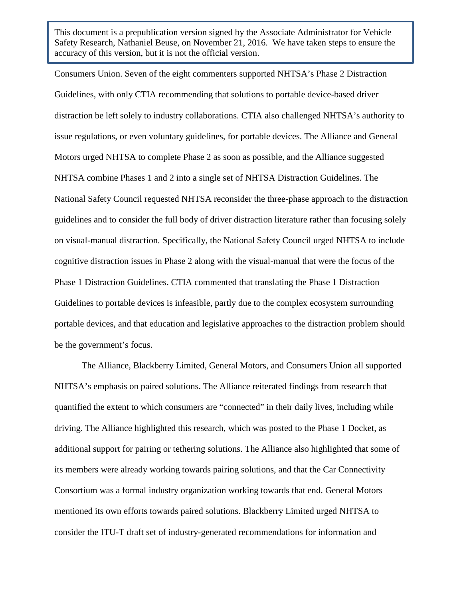Consumers Union. Seven of the eight commenters supported NHTSA's Phase 2 Distraction Guidelines, with only CTIA recommending that solutions to portable device-based driver distraction be left solely to industry collaborations. CTIA also challenged NHTSA's authority to issue regulations, or even voluntary guidelines, for portable devices. The Alliance and General Motors urged NHTSA to complete Phase 2 as soon as possible, and the Alliance suggested NHTSA combine Phases 1 and 2 into a single set of NHTSA Distraction Guidelines. The National Safety Council requested NHTSA reconsider the three-phase approach to the distraction guidelines and to consider the full body of driver distraction literature rather than focusing solely on visual-manual distraction. Specifically, the National Safety Council urged NHTSA to include cognitive distraction issues in Phase 2 along with the visual-manual that were the focus of the Phase 1 Distraction Guidelines. CTIA commented that translating the Phase 1 Distraction Guidelines to portable devices is infeasible, partly due to the complex ecosystem surrounding portable devices, and that education and legislative approaches to the distraction problem should be the government's focus.

The Alliance, Blackberry Limited, General Motors, and Consumers Union all supported NHTSA's emphasis on paired solutions. The Alliance reiterated findings from research that quantified the extent to which consumers are "connected" in their daily lives, including while driving. The Alliance highlighted this research, which was posted to the Phase 1 Docket, as additional support for pairing or tethering solutions. The Alliance also highlighted that some of its members were already working towards pairing solutions, and that the Car Connectivity Consortium was a formal industry organization working towards that end. General Motors mentioned its own efforts towards paired solutions. Blackberry Limited urged NHTSA to consider the ITU-T draft set of industry-generated recommendations for information and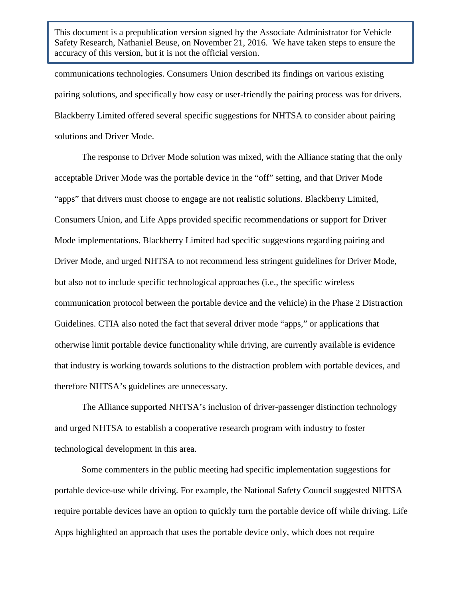communications technologies. Consumers Union described its findings on various existing pairing solutions, and specifically how easy or user-friendly the pairing process was for drivers. Blackberry Limited offered several specific suggestions for NHTSA to consider about pairing solutions and Driver Mode.

The response to Driver Mode solution was mixed, with the Alliance stating that the only acceptable Driver Mode was the portable device in the "off" setting, and that Driver Mode "apps" that drivers must choose to engage are not realistic solutions. Blackberry Limited, Consumers Union, and Life Apps provided specific recommendations or support for Driver Mode implementations. Blackberry Limited had specific suggestions regarding pairing and Driver Mode, and urged NHTSA to not recommend less stringent guidelines for Driver Mode, but also not to include specific technological approaches (i.e., the specific wireless communication protocol between the portable device and the vehicle) in the Phase 2 Distraction Guidelines. CTIA also noted the fact that several driver mode "apps," or applications that otherwise limit portable device functionality while driving, are currently available is evidence that industry is working towards solutions to the distraction problem with portable devices, and therefore NHTSA's guidelines are unnecessary.

The Alliance supported NHTSA's inclusion of driver-passenger distinction technology and urged NHTSA to establish a cooperative research program with industry to foster technological development in this area.

Some commenters in the public meeting had specific implementation suggestions for portable device-use while driving. For example, the National Safety Council suggested NHTSA require portable devices have an option to quickly turn the portable device off while driving. Life Apps highlighted an approach that uses the portable device only, which does not require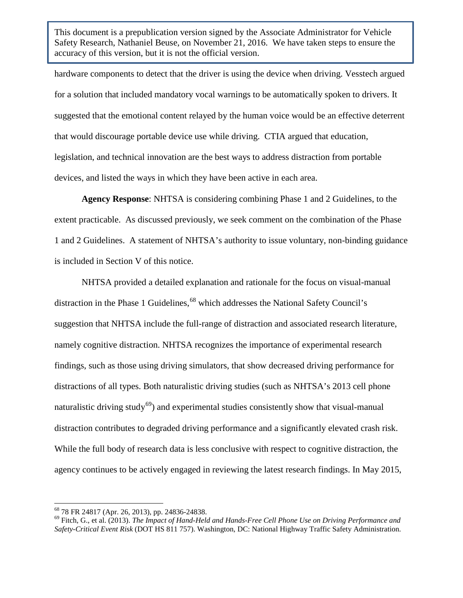hardware components to detect that the driver is using the device when driving. Vesstech argued for a solution that included mandatory vocal warnings to be automatically spoken to drivers. It suggested that the emotional content relayed by the human voice would be an effective deterrent that would discourage portable device use while driving. CTIA argued that education, legislation, and technical innovation are the best ways to address distraction from portable devices, and listed the ways in which they have been active in each area.

**Agency Response**: NHTSA is considering combining Phase 1 and 2 Guidelines, to the extent practicable. As discussed previously, we seek comment on the combination of the Phase 1 and 2 Guidelines. A statement of NHTSA's authority to issue voluntary, non-binding guidance is included in Section V of this notice.

NHTSA provided a detailed explanation and rationale for the focus on visual-manual distraction in the Phase 1 Guidelines, <sup>[68](#page-46-0)</sup> which addresses the National Safety Council's suggestion that NHTSA include the full-range of distraction and associated research literature, namely cognitive distraction. NHTSA recognizes the importance of experimental research findings, such as those using driving simulators, that show decreased driving performance for distractions of all types. Both naturalistic driving studies (such as NHTSA's 2013 cell phone naturalistic driving study<sup>69</sup>) and experimental studies consistently show that visual-manual distraction contributes to degraded driving performance and a significantly elevated crash risk. While the full body of research data is less conclusive with respect to cognitive distraction, the agency continues to be actively engaged in reviewing the latest research findings. In May 2015,

<span id="page-46-1"></span><span id="page-46-0"></span><sup>&</sup>lt;sup>68</sup> 78 FR 24817 (Apr. 26, 2013), pp. 24836-24838.<br><sup>69</sup> Fitch, G., et al. (2013). *The Impact of Hand-Held and Hands-Free Cell Phone Use on Driving Performance and Safety-Critical Event Risk* (DOT HS 811 757). Washington, DC: National Highway Traffic Safety Administration.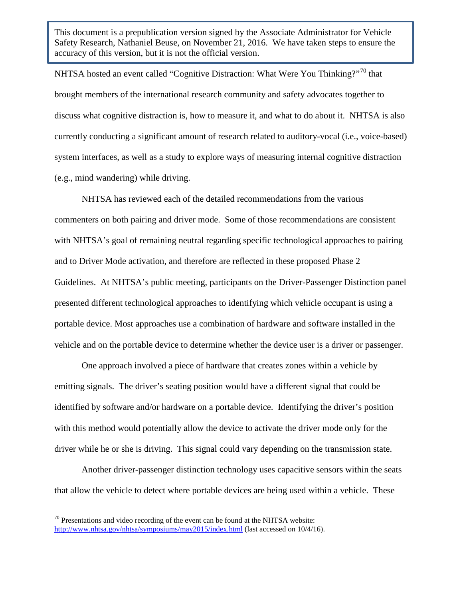NHTSA hosted an event called "Cognitive Distraction: What Were You Thinking?"[70](#page-47-0) that brought members of the international research community and safety advocates together to discuss what cognitive distraction is, how to measure it, and what to do about it. NHTSA is also currently conducting a significant amount of research related to auditory-vocal (i.e., voice-based) system interfaces, as well as a study to explore ways of measuring internal cognitive distraction (e.g., mind wandering) while driving.

NHTSA has reviewed each of the detailed recommendations from the various commenters on both pairing and driver mode. Some of those recommendations are consistent with NHTSA's goal of remaining neutral regarding specific technological approaches to pairing and to Driver Mode activation, and therefore are reflected in these proposed Phase 2 Guidelines. At NHTSA's public meeting, participants on the Driver-Passenger Distinction panel presented different technological approaches to identifying which vehicle occupant is using a portable device. Most approaches use a combination of hardware and software installed in the vehicle and on the portable device to determine whether the device user is a driver or passenger.

One approach involved a piece of hardware that creates zones within a vehicle by emitting signals. The driver's seating position would have a different signal that could be identified by software and/or hardware on a portable device. Identifying the driver's position with this method would potentially allow the device to activate the driver mode only for the driver while he or she is driving. This signal could vary depending on the transmission state.

Another driver-passenger distinction technology uses capacitive sensors within the seats that allow the vehicle to detect where portable devices are being used within a vehicle. These

<span id="page-47-0"></span> $70$  Presentations and video recording of the event can be found at the NHTSA website: <http://www.nhtsa.gov/nhtsa/symposiums/may2015/index.html> (last accessed on 10/4/16).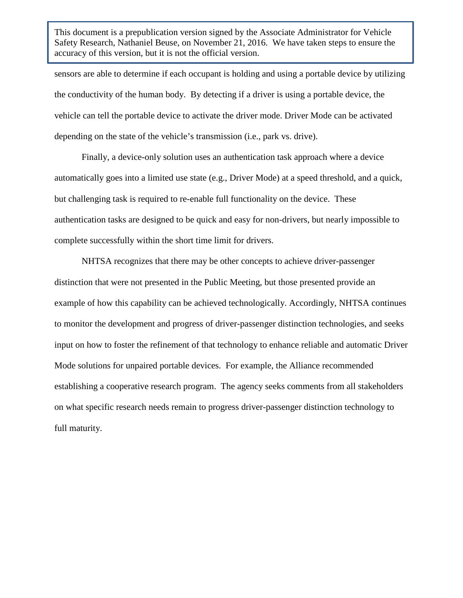sensors are able to determine if each occupant is holding and using a portable device by utilizing the conductivity of the human body. By detecting if a driver is using a portable device, the vehicle can tell the portable device to activate the driver mode. Driver Mode can be activated depending on the state of the vehicle's transmission (i.e., park vs. drive).

Finally, a device-only solution uses an authentication task approach where a device automatically goes into a limited use state (e.g., Driver Mode) at a speed threshold, and a quick, but challenging task is required to re-enable full functionality on the device. These authentication tasks are designed to be quick and easy for non-drivers, but nearly impossible to complete successfully within the short time limit for drivers.

NHTSA recognizes that there may be other concepts to achieve driver-passenger distinction that were not presented in the Public Meeting, but those presented provide an example of how this capability can be achieved technologically. Accordingly, NHTSA continues to monitor the development and progress of driver-passenger distinction technologies, and seeks input on how to foster the refinement of that technology to enhance reliable and automatic Driver Mode solutions for unpaired portable devices. For example, the Alliance recommended establishing a cooperative research program. The agency seeks comments from all stakeholders on what specific research needs remain to progress driver-passenger distinction technology to full maturity.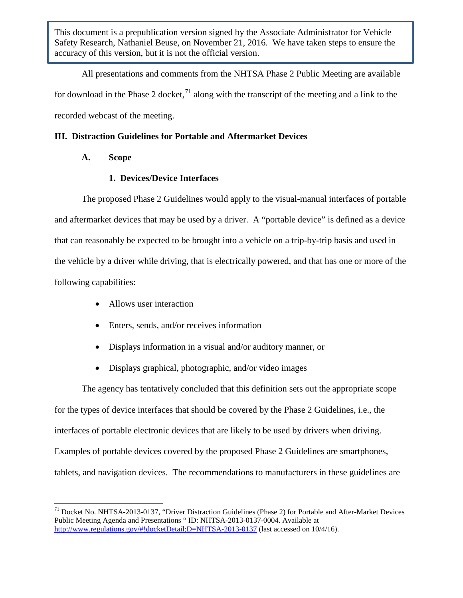All presentations and comments from the NHTSA Phase 2 Public Meeting are available for download in the Phase 2 docket,<sup>[71](#page-49-0)</sup> along with the transcript of the meeting and a link to the recorded webcast of the meeting.

# **III. Distraction Guidelines for Portable and Aftermarket Devices**

**A. Scope**

# **1. Devices/Device Interfaces**

The proposed Phase 2 Guidelines would apply to the visual-manual interfaces of portable and aftermarket devices that may be used by a driver. A "portable device" is defined as a device that can reasonably be expected to be brought into a vehicle on a trip-by-trip basis and used in the vehicle by a driver while driving, that is electrically powered, and that has one or more of the following capabilities:

- Allows user interaction
- Enters, sends, and/or receives information
- Displays information in a visual and/or auditory manner, or
- Displays graphical, photographic, and/or video images

The agency has tentatively concluded that this definition sets out the appropriate scope for the types of device interfaces that should be covered by the Phase 2 Guidelines, i.e., the interfaces of portable electronic devices that are likely to be used by drivers when driving. Examples of portable devices covered by the proposed Phase 2 Guidelines are smartphones, tablets, and navigation devices. The recommendations to manufacturers in these guidelines are

<span id="page-49-0"></span><sup>71</sup> Docket No. NHTSA-2013-0137, "Driver Distraction Guidelines (Phase 2) for Portable and After-Market Devices Public Meeting Agenda and Presentations " ID: NHTSA-2013-0137-0004. Available at <http://www.regulations.gov/#!docketDetail;D=NHTSA-2013-0137> (last accessed on 10/4/16).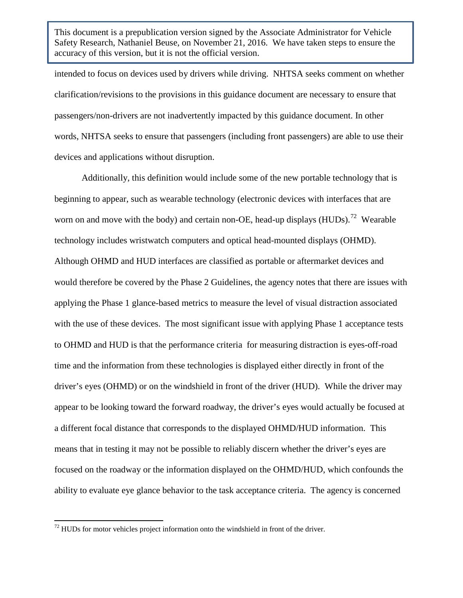intended to focus on devices used by drivers while driving. NHTSA seeks comment on whether clarification/revisions to the provisions in this guidance document are necessary to ensure that passengers/non-drivers are not inadvertently impacted by this guidance document. In other words, NHTSA seeks to ensure that passengers (including front passengers) are able to use their devices and applications without disruption.

Additionally, this definition would include some of the new portable technology that is beginning to appear, such as wearable technology (electronic devices with interfaces that are worn on and move with the body) and certain non-OE, head-up displays  $(HUDs)$ .<sup>72</sup> Wearable technology includes wristwatch computers and optical head-mounted displays (OHMD). Although OHMD and HUD interfaces are classified as portable or aftermarket devices and would therefore be covered by the Phase 2 Guidelines, the agency notes that there are issues with applying the Phase 1 glance-based metrics to measure the level of visual distraction associated with the use of these devices. The most significant issue with applying Phase 1 acceptance tests to OHMD and HUD is that the performance criteria for measuring distraction is eyes-off-road time and the information from these technologies is displayed either directly in front of the driver's eyes (OHMD) or on the windshield in front of the driver (HUD). While the driver may appear to be looking toward the forward roadway, the driver's eyes would actually be focused at a different focal distance that corresponds to the displayed OHMD/HUD information. This means that in testing it may not be possible to reliably discern whether the driver's eyes are focused on the roadway or the information displayed on the OHMD/HUD, which confounds the ability to evaluate eye glance behavior to the task acceptance criteria. The agency is concerned

<span id="page-50-0"></span> $72$  HUDs for motor vehicles project information onto the windshield in front of the driver.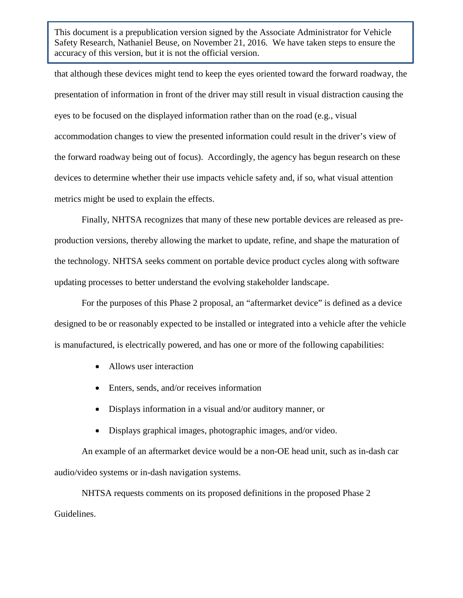that although these devices might tend to keep the eyes oriented toward the forward roadway, the presentation of information in front of the driver may still result in visual distraction causing the eyes to be focused on the displayed information rather than on the road (e.g., visual accommodation changes to view the presented information could result in the driver's view of the forward roadway being out of focus). Accordingly, the agency has begun research on these devices to determine whether their use impacts vehicle safety and, if so, what visual attention metrics might be used to explain the effects.

Finally, NHTSA recognizes that many of these new portable devices are released as preproduction versions, thereby allowing the market to update, refine, and shape the maturation of the technology. NHTSA seeks comment on portable device product cycles along with software updating processes to better understand the evolving stakeholder landscape.

For the purposes of this Phase 2 proposal, an "aftermarket device" is defined as a device designed to be or reasonably expected to be installed or integrated into a vehicle after the vehicle is manufactured, is electrically powered, and has one or more of the following capabilities:

- Allows user interaction
- Enters, sends, and/or receives information
- Displays information in a visual and/or auditory manner, or
- Displays graphical images, photographic images, and/or video.

An example of an aftermarket device would be a non-OE head unit, such as in-dash car audio/video systems or in-dash navigation systems.

NHTSA requests comments on its proposed definitions in the proposed Phase 2 Guidelines.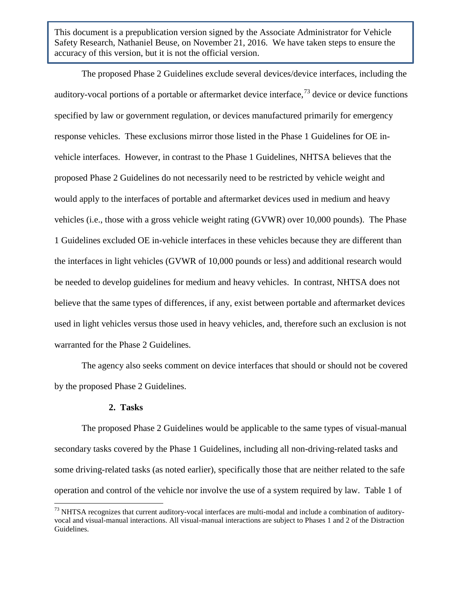The proposed Phase 2 Guidelines exclude several devices/device interfaces, including the auditory-vocal portions of a portable or aftermarket device interface,  $\frac{73}{12}$  $\frac{73}{12}$  $\frac{73}{12}$  device or device functions specified by law or government regulation, or devices manufactured primarily for emergency response vehicles. These exclusions mirror those listed in the Phase 1 Guidelines for OE invehicle interfaces. However, in contrast to the Phase 1 Guidelines, NHTSA believes that the proposed Phase 2 Guidelines do not necessarily need to be restricted by vehicle weight and would apply to the interfaces of portable and aftermarket devices used in medium and heavy vehicles (i.e., those with a gross vehicle weight rating (GVWR) over 10,000 pounds). The Phase 1 Guidelines excluded OE in-vehicle interfaces in these vehicles because they are different than the interfaces in light vehicles (GVWR of 10,000 pounds or less) and additional research would be needed to develop guidelines for medium and heavy vehicles. In contrast, NHTSA does not believe that the same types of differences, if any, exist between portable and aftermarket devices used in light vehicles versus those used in heavy vehicles, and, therefore such an exclusion is not warranted for the Phase 2 Guidelines.

The agency also seeks comment on device interfaces that should or should not be covered by the proposed Phase 2 Guidelines.

### **2. Tasks**

The proposed Phase 2 Guidelines would be applicable to the same types of visual-manual secondary tasks covered by the Phase 1 Guidelines, including all non-driving-related tasks and some driving-related tasks (as noted earlier), specifically those that are neither related to the safe operation and control of the vehicle nor involve the use of a system required by law. Table 1 of

<span id="page-52-0"></span> $^{73}$  NHTSA recognizes that current auditory-vocal interfaces are multi-modal and include a combination of auditoryvocal and visual-manual interactions. All visual-manual interactions are subject to Phases 1 and 2 of the Distraction Guidelines.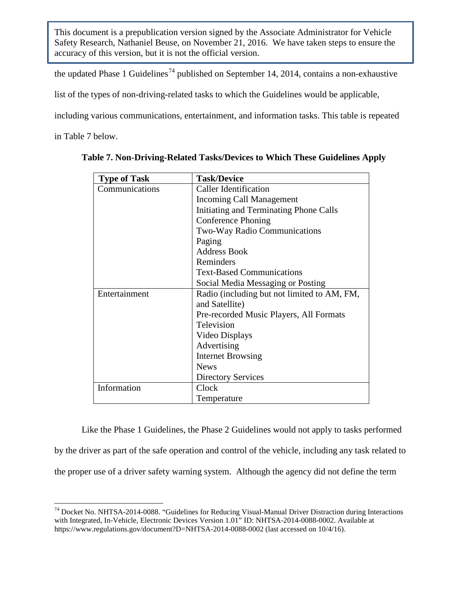the updated Phase 1 Guidelines<sup>[74](#page-53-0)</sup> published on September 14, 2014, contains a non-exhaustive

list of the types of non-driving-related tasks to which the Guidelines would be applicable,

including various communications, entertainment, and information tasks. This table is repeated

in Table 7 below.

| <b>Type of Task</b> | <b>Task/Device</b>                          |  |  |  |  |  |
|---------------------|---------------------------------------------|--|--|--|--|--|
| Communications      | <b>Caller Identification</b>                |  |  |  |  |  |
|                     | <b>Incoming Call Management</b>             |  |  |  |  |  |
|                     | Initiating and Terminating Phone Calls      |  |  |  |  |  |
|                     | Conference Phoning                          |  |  |  |  |  |
|                     | Two-Way Radio Communications                |  |  |  |  |  |
|                     | Paging                                      |  |  |  |  |  |
|                     | <b>Address Book</b>                         |  |  |  |  |  |
|                     | Reminders                                   |  |  |  |  |  |
|                     | <b>Text-Based Communications</b>            |  |  |  |  |  |
|                     | Social Media Messaging or Posting           |  |  |  |  |  |
| Entertainment       | Radio (including but not limited to AM, FM, |  |  |  |  |  |
|                     | and Satellite)                              |  |  |  |  |  |
|                     | Pre-recorded Music Players, All Formats     |  |  |  |  |  |
|                     | Television                                  |  |  |  |  |  |
|                     | Video Displays                              |  |  |  |  |  |
|                     | Advertising                                 |  |  |  |  |  |
|                     | <b>Internet Browsing</b>                    |  |  |  |  |  |
|                     | <b>News</b>                                 |  |  |  |  |  |
|                     | <b>Directory Services</b>                   |  |  |  |  |  |
| Information         | Clock                                       |  |  |  |  |  |
|                     | Temperature                                 |  |  |  |  |  |

|  |  |  | Table 7. Non-Driving-Related Tasks/Devices to Which These Guidelines Apply |
|--|--|--|----------------------------------------------------------------------------|
|  |  |  |                                                                            |

Like the Phase 1 Guidelines, the Phase 2 Guidelines would not apply to tasks performed by the driver as part of the safe operation and control of the vehicle, including any task related to the proper use of a driver safety warning system. Although the agency did not define the term

<span id="page-53-0"></span><sup>&</sup>lt;sup>74</sup> Docket No. NHTSA-2014-0088. "Guidelines for Reducing Visual-Manual Driver Distraction during Interactions with Integrated, In-Vehicle, Electronic Devices Version 1.01" ID: NHTSA-2014-0088-0002. Available at https://www.regulations.gov/document?D=NHTSA-2014-0088-0002 (last accessed on 10/4/16).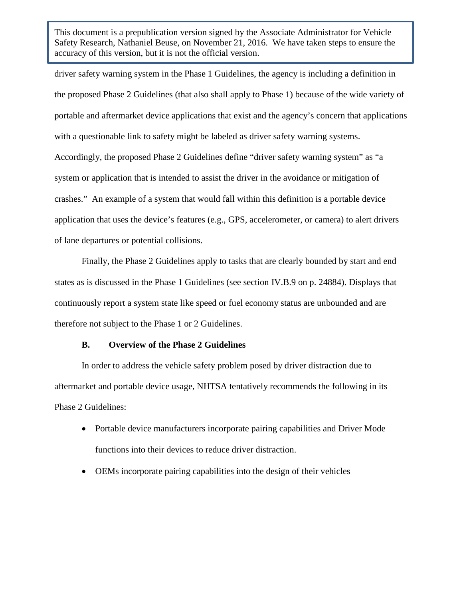driver safety warning system in the Phase 1 Guidelines, the agency is including a definition in the proposed Phase 2 Guidelines (that also shall apply to Phase 1) because of the wide variety of portable and aftermarket device applications that exist and the agency's concern that applications with a questionable link to safety might be labeled as driver safety warning systems. Accordingly, the proposed Phase 2 Guidelines define "driver safety warning system" as "a system or application that is intended to assist the driver in the avoidance or mitigation of crashes." An example of a system that would fall within this definition is a portable device application that uses the device's features (e.g., GPS, accelerometer, or camera) to alert drivers of lane departures or potential collisions.

Finally, the Phase 2 Guidelines apply to tasks that are clearly bounded by start and end states as is discussed in the Phase 1 Guidelines (see section IV.B.9 on p. 24884). Displays that continuously report a system state like speed or fuel economy status are unbounded and are therefore not subject to the Phase 1 or 2 Guidelines.

# **B. Overview of the Phase 2 Guidelines**

In order to address the vehicle safety problem posed by driver distraction due to aftermarket and portable device usage, NHTSA tentatively recommends the following in its Phase 2 Guidelines:

- Portable device manufacturers incorporate pairing capabilities and Driver Mode functions into their devices to reduce driver distraction.
- OEMs incorporate pairing capabilities into the design of their vehicles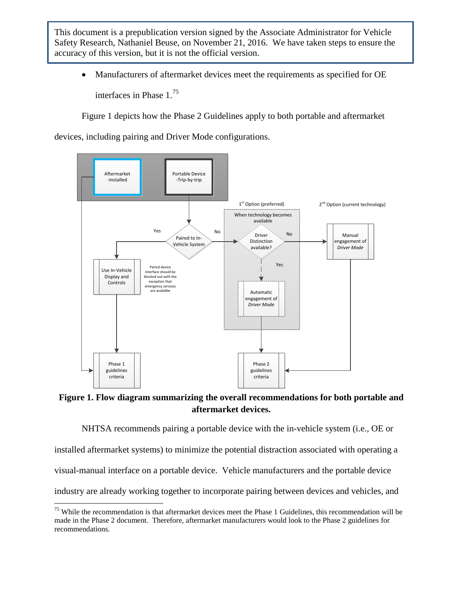• Manufacturers of aftermarket devices meet the requirements as specified for OE interfaces in Phase 1.[75](#page-55-0) 

Figure 1 depicts how the Phase 2 Guidelines apply to both portable and aftermarket

devices, including pairing and Driver Mode configurations.



**Figure 1. Flow diagram summarizing the overall recommendations for both portable and aftermarket devices.**

NHTSA recommends pairing a portable device with the in-vehicle system (i.e., OE or

installed aftermarket systems) to minimize the potential distraction associated with operating a

visual-manual interface on a portable device. Vehicle manufacturers and the portable device

industry are already working together to incorporate pairing between devices and vehicles, and

<span id="page-55-0"></span> $75$  While the recommendation is that aftermarket devices meet the Phase 1 Guidelines, this recommendation will be made in the Phase 2 document. Therefore, aftermarket manufacturers would look to the Phase 2 guidelines for recommendations.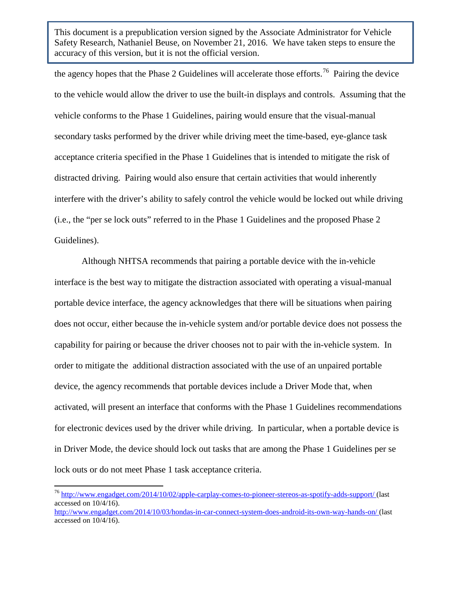the agency hopes that the Phase 2 Guidelines will accelerate those efforts.<sup>[76](#page-56-0)</sup> Pairing the device to the vehicle would allow the driver to use the built-in displays and controls. Assuming that the vehicle conforms to the Phase 1 Guidelines, pairing would ensure that the visual-manual secondary tasks performed by the driver while driving meet the time-based, eye-glance task acceptance criteria specified in the Phase 1 Guidelines that is intended to mitigate the risk of distracted driving. Pairing would also ensure that certain activities that would inherently interfere with the driver's ability to safely control the vehicle would be locked out while driving (i.e., the "per se lock outs" referred to in the Phase 1 Guidelines and the proposed Phase 2 Guidelines).

Although NHTSA recommends that pairing a portable device with the in-vehicle interface is the best way to mitigate the distraction associated with operating a visual-manual portable device interface, the agency acknowledges that there will be situations when pairing does not occur, either because the in-vehicle system and/or portable device does not possess the capability for pairing or because the driver chooses not to pair with the in-vehicle system. In order to mitigate the additional distraction associated with the use of an unpaired portable device, the agency recommends that portable devices include a Driver Mode that, when activated, will present an interface that conforms with the Phase 1 Guidelines recommendations for electronic devices used by the driver while driving. In particular, when a portable device is in Driver Mode, the device should lock out tasks that are among the Phase 1 Guidelines per se lock outs or do not meet Phase 1 task acceptance criteria.

<span id="page-56-0"></span><sup>76</sup> <http://www.engadget.com/2014/10/02/apple-carplay-comes-to-pioneer-stereos-as-spotify-adds-support/> (last accessed on 10/4/16).

<http://www.engadget.com/2014/10/03/hondas-in-car-connect-system-does-android-its-own-way-hands-on/> (last accessed on 10/4/16).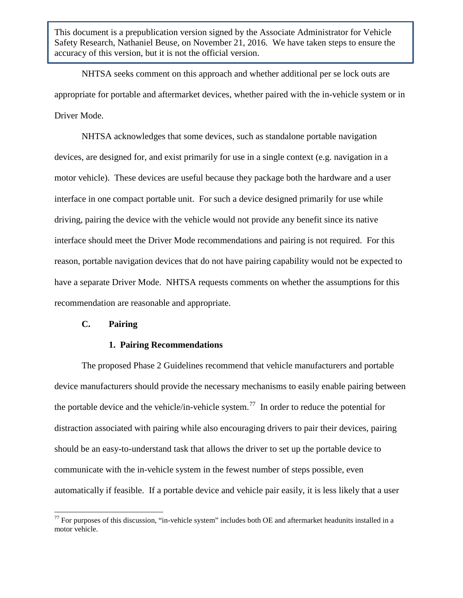NHTSA seeks comment on this approach and whether additional per se lock outs are appropriate for portable and aftermarket devices, whether paired with the in-vehicle system or in Driver Mode.

NHTSA acknowledges that some devices, such as standalone portable navigation devices, are designed for, and exist primarily for use in a single context (e.g. navigation in a motor vehicle). These devices are useful because they package both the hardware and a user interface in one compact portable unit. For such a device designed primarily for use while driving, pairing the device with the vehicle would not provide any benefit since its native interface should meet the Driver Mode recommendations and pairing is not required. For this reason, portable navigation devices that do not have pairing capability would not be expected to have a separate Driver Mode. NHTSA requests comments on whether the assumptions for this recommendation are reasonable and appropriate.

## **C. Pairing**

### **1. Pairing Recommendations**

The proposed Phase 2 Guidelines recommend that vehicle manufacturers and portable device manufacturers should provide the necessary mechanisms to easily enable pairing between the portable device and the vehicle/in-vehicle system.<sup>[77](#page-57-0)</sup> In order to reduce the potential for distraction associated with pairing while also encouraging drivers to pair their devices, pairing should be an easy-to-understand task that allows the driver to set up the portable device to communicate with the in-vehicle system in the fewest number of steps possible, even automatically if feasible. If a portable device and vehicle pair easily, it is less likely that a user

<span id="page-57-0"></span> $^{77}$  For purposes of this discussion, "in-vehicle system" includes both OE and aftermarket headunits installed in a motor vehicle.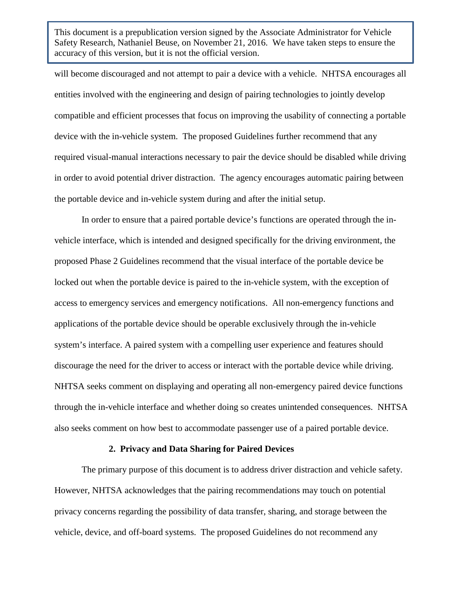will become discouraged and not attempt to pair a device with a vehicle. NHTSA encourages all entities involved with the engineering and design of pairing technologies to jointly develop compatible and efficient processes that focus on improving the usability of connecting a portable device with the in-vehicle system. The proposed Guidelines further recommend that any required visual-manual interactions necessary to pair the device should be disabled while driving in order to avoid potential driver distraction. The agency encourages automatic pairing between the portable device and in-vehicle system during and after the initial setup.

In order to ensure that a paired portable device's functions are operated through the invehicle interface, which is intended and designed specifically for the driving environment, the proposed Phase 2 Guidelines recommend that the visual interface of the portable device be locked out when the portable device is paired to the in-vehicle system, with the exception of access to emergency services and emergency notifications. All non-emergency functions and applications of the portable device should be operable exclusively through the in-vehicle system's interface. A paired system with a compelling user experience and features should discourage the need for the driver to access or interact with the portable device while driving. NHTSA seeks comment on displaying and operating all non-emergency paired device functions through the in-vehicle interface and whether doing so creates unintended consequences. NHTSA also seeks comment on how best to accommodate passenger use of a paired portable device.

#### **2. Privacy and Data Sharing for Paired Devices**

The primary purpose of this document is to address driver distraction and vehicle safety. However, NHTSA acknowledges that the pairing recommendations may touch on potential privacy concerns regarding the possibility of data transfer, sharing, and storage between the vehicle, device, and off-board systems. The proposed Guidelines do not recommend any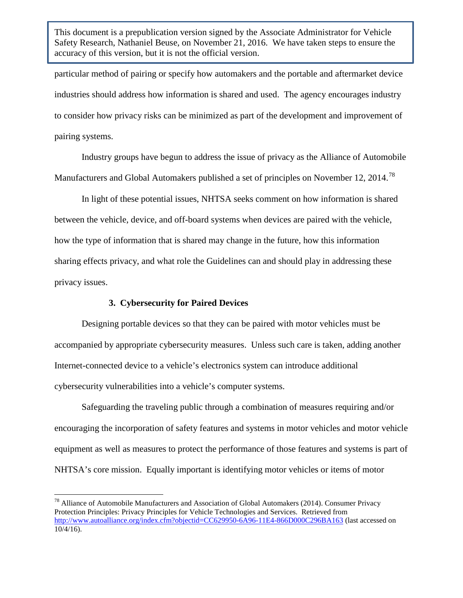particular method of pairing or specify how automakers and the portable and aftermarket device industries should address how information is shared and used. The agency encourages industry to consider how privacy risks can be minimized as part of the development and improvement of pairing systems.

Industry groups have begun to address the issue of privacy as the Alliance of Automobile Manufacturers and Global Automakers published a set of principles on November 12, 2014.<sup>[78](#page-59-0)</sup>

In light of these potential issues, NHTSA seeks comment on how information is shared between the vehicle, device, and off-board systems when devices are paired with the vehicle, how the type of information that is shared may change in the future, how this information sharing effects privacy, and what role the Guidelines can and should play in addressing these privacy issues.

## **3. Cybersecurity for Paired Devices**

Designing portable devices so that they can be paired with motor vehicles must be accompanied by appropriate cybersecurity measures. Unless such care is taken, adding another Internet-connected device to a vehicle's electronics system can introduce additional cybersecurity vulnerabilities into a vehicle's computer systems.

Safeguarding the traveling public through a combination of measures requiring and/or encouraging the incorporation of safety features and systems in motor vehicles and motor vehicle equipment as well as measures to protect the performance of those features and systems is part of NHTSA's core mission. Equally important is identifying motor vehicles or items of motor

<span id="page-59-0"></span> $^{78}$  Alliance of Automobile Manufacturers and Association of Global Automakers (2014). Consumer Privacy Protection Principles: Privacy Principles for Vehicle Technologies and Services. Retrieved from <http://www.autoalliance.org/index.cfm?objectid=CC629950-6A96-11E4-866D000C296BA163> (last accessed on 10/4/16).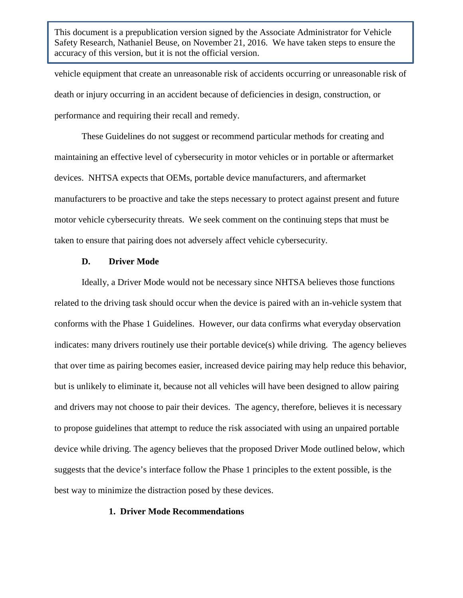vehicle equipment that create an unreasonable risk of accidents occurring or unreasonable risk of death or injury occurring in an accident because of deficiencies in design, construction, or performance and requiring their recall and remedy.

These Guidelines do not suggest or recommend particular methods for creating and maintaining an effective level of cybersecurity in motor vehicles or in portable or aftermarket devices. NHTSA expects that OEMs, portable device manufacturers, and aftermarket manufacturers to be proactive and take the steps necessary to protect against present and future motor vehicle cybersecurity threats. We seek comment on the continuing steps that must be taken to ensure that pairing does not adversely affect vehicle cybersecurity.

## **D. Driver Mode**

Ideally, a Driver Mode would not be necessary since NHTSA believes those functions related to the driving task should occur when the device is paired with an in-vehicle system that conforms with the Phase 1 Guidelines. However, our data confirms what everyday observation indicates: many drivers routinely use their portable device(s) while driving. The agency believes that over time as pairing becomes easier, increased device pairing may help reduce this behavior, but is unlikely to eliminate it, because not all vehicles will have been designed to allow pairing and drivers may not choose to pair their devices. The agency, therefore, believes it is necessary to propose guidelines that attempt to reduce the risk associated with using an unpaired portable device while driving. The agency believes that the proposed Driver Mode outlined below, which suggests that the device's interface follow the Phase 1 principles to the extent possible, is the best way to minimize the distraction posed by these devices.

## **1. Driver Mode Recommendations**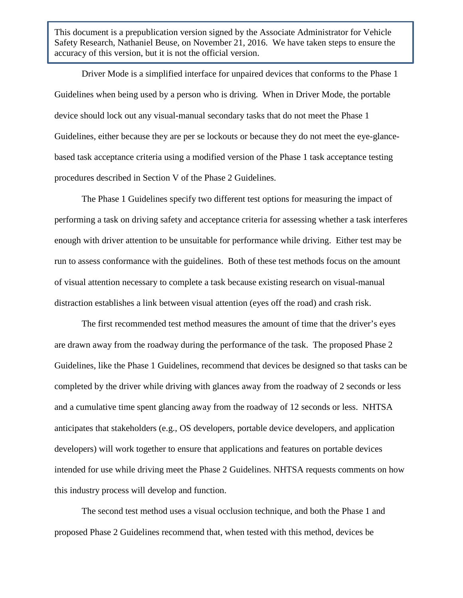Driver Mode is a simplified interface for unpaired devices that conforms to the Phase 1 Guidelines when being used by a person who is driving. When in Driver Mode, the portable device should lock out any visual-manual secondary tasks that do not meet the Phase 1 Guidelines, either because they are per se lockouts or because they do not meet the eye-glancebased task acceptance criteria using a modified version of the Phase 1 task acceptance testing procedures described in Section V of the Phase 2 Guidelines.

The Phase 1 Guidelines specify two different test options for measuring the impact of performing a task on driving safety and acceptance criteria for assessing whether a task interferes enough with driver attention to be unsuitable for performance while driving. Either test may be run to assess conformance with the guidelines. Both of these test methods focus on the amount of visual attention necessary to complete a task because existing research on visual-manual distraction establishes a link between visual attention (eyes off the road) and crash risk.

The first recommended test method measures the amount of time that the driver's eyes are drawn away from the roadway during the performance of the task. The proposed Phase 2 Guidelines, like the Phase 1 Guidelines, recommend that devices be designed so that tasks can be completed by the driver while driving with glances away from the roadway of 2 seconds or less and a cumulative time spent glancing away from the roadway of 12 seconds or less. NHTSA anticipates that stakeholders (e.g., OS developers, portable device developers, and application developers) will work together to ensure that applications and features on portable devices intended for use while driving meet the Phase 2 Guidelines. NHTSA requests comments on how this industry process will develop and function.

The second test method uses a visual occlusion technique, and both the Phase 1 and proposed Phase 2 Guidelines recommend that, when tested with this method, devices be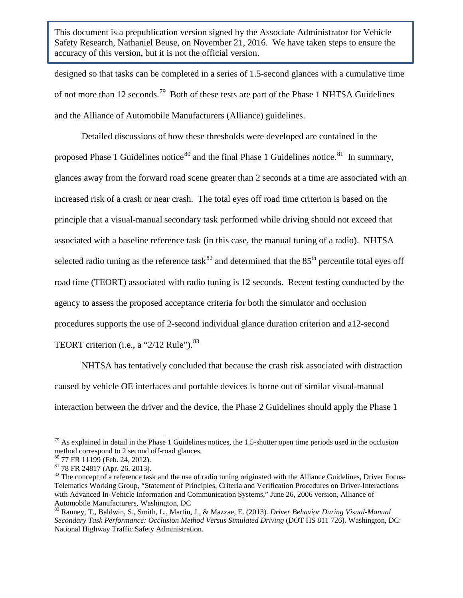designed so that tasks can be completed in a series of 1.5-second glances with a cumulative time of not more than 12 seconds.<sup>[79](#page-62-0)</sup> Both of these tests are part of the Phase 1 NHTSA Guidelines and the Alliance of Automobile Manufacturers (Alliance) guidelines.

Detailed discussions of how these thresholds were developed are contained in the proposed Phase 1 Guidelines notice $80$  and the final Phase 1 Guidelines notice. $81$  In summary, glances away from the forward road scene greater than 2 seconds at a time are associated with an increased risk of a crash or near crash. The total eyes off road time criterion is based on the principle that a visual-manual secondary task performed while driving should not exceed that associated with a baseline reference task (in this case, the manual tuning of a radio). NHTSA selected radio tuning as the reference task<sup>[82](#page-62-3)</sup> and determined that the  $85<sup>th</sup>$  percentile total eyes off road time (TEORT) associated with radio tuning is 12 seconds. Recent testing conducted by the agency to assess the proposed acceptance criteria for both the simulator and occlusion procedures supports the use of 2-second individual glance duration criterion and a12-second TEORT criterion (i.e., a " $2/12$  Rule").<sup>83</sup>

NHTSA has tentatively concluded that because the crash risk associated with distraction caused by vehicle OE interfaces and portable devices is borne out of similar visual-manual interaction between the driver and the device, the Phase 2 Guidelines should apply the Phase 1

<span id="page-62-0"></span> $79$  As explained in detail in the Phase 1 Guidelines notices, the 1.5-shutter open time periods used in the occlusion method correspond to 2 second off-road glances.

<span id="page-62-3"></span><span id="page-62-2"></span>

<span id="page-62-1"></span> $^{80}$  77 FR 11199 (Feb. 24, 2012).<br> $^{81}$  78 FR 24817 (Apr. 26, 2013).<br> $^{81}$  The concept of a reference task and the use of radio tuning originated with the Alliance Guidelines, Driver Focus-Telematics Working Group, "Statement of Principles, Criteria and Verification Procedures on Driver-Interactions with Advanced In-Vehicle Information and Communication Systems," June 26, 2006 version, Alliance of Automobile Manufacturers, Washington, DC<br><sup>83</sup> Ranney, T., Baldwin, S., Smith, L., Martin, J., & Mazzae, E. (2013). *Driver Behavior During Visual-Manual* 

<span id="page-62-4"></span>*Secondary Task Performance: Occlusion Method Versus Simulated Driving* (DOT HS 811 726). Washington, DC: National Highway Traffic Safety Administration.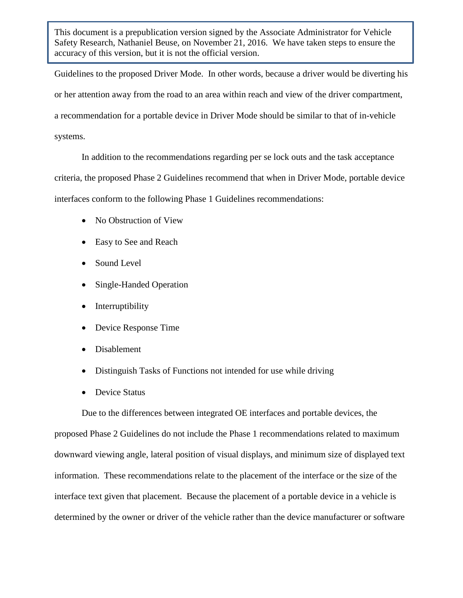Guidelines to the proposed Driver Mode. In other words, because a driver would be diverting his or her attention away from the road to an area within reach and view of the driver compartment, a recommendation for a portable device in Driver Mode should be similar to that of in-vehicle systems.

In addition to the recommendations regarding per se lock outs and the task acceptance criteria, the proposed Phase 2 Guidelines recommend that when in Driver Mode, portable device interfaces conform to the following Phase 1 Guidelines recommendations:

- No Obstruction of View
- Easy to See and Reach
- Sound Level
- Single-Handed Operation
- Interruptibility
- Device Response Time
- Disablement
- Distinguish Tasks of Functions not intended for use while driving
- Device Status

Due to the differences between integrated OE interfaces and portable devices, the proposed Phase 2 Guidelines do not include the Phase 1 recommendations related to maximum downward viewing angle, lateral position of visual displays, and minimum size of displayed text information. These recommendations relate to the placement of the interface or the size of the interface text given that placement. Because the placement of a portable device in a vehicle is determined by the owner or driver of the vehicle rather than the device manufacturer or software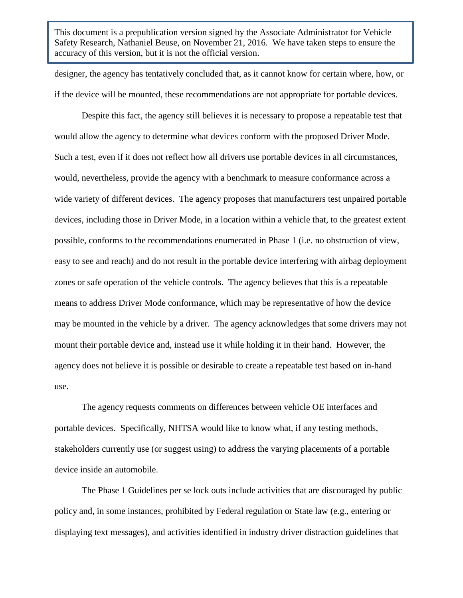designer, the agency has tentatively concluded that, as it cannot know for certain where, how, or if the device will be mounted, these recommendations are not appropriate for portable devices.

Despite this fact, the agency still believes it is necessary to propose a repeatable test that would allow the agency to determine what devices conform with the proposed Driver Mode. Such a test, even if it does not reflect how all drivers use portable devices in all circumstances, would, nevertheless, provide the agency with a benchmark to measure conformance across a wide variety of different devices. The agency proposes that manufacturers test unpaired portable devices, including those in Driver Mode, in a location within a vehicle that, to the greatest extent possible, conforms to the recommendations enumerated in Phase 1 (i.e. no obstruction of view, easy to see and reach) and do not result in the portable device interfering with airbag deployment zones or safe operation of the vehicle controls. The agency believes that this is a repeatable means to address Driver Mode conformance, which may be representative of how the device may be mounted in the vehicle by a driver. The agency acknowledges that some drivers may not mount their portable device and, instead use it while holding it in their hand. However, the agency does not believe it is possible or desirable to create a repeatable test based on in-hand use.

The agency requests comments on differences between vehicle OE interfaces and portable devices. Specifically, NHTSA would like to know what, if any testing methods, stakeholders currently use (or suggest using) to address the varying placements of a portable device inside an automobile.

The Phase 1 Guidelines per se lock outs include activities that are discouraged by public policy and, in some instances, prohibited by Federal regulation or State law (e.g., entering or displaying text messages), and activities identified in industry driver distraction guidelines that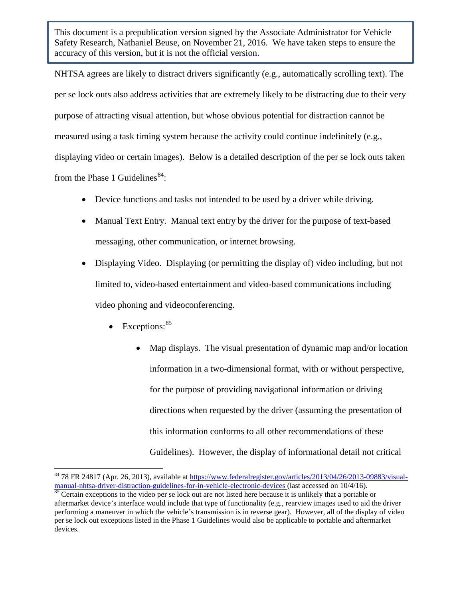NHTSA agrees are likely to distract drivers significantly (e.g., automatically scrolling text). The per se lock outs also address activities that are extremely likely to be distracting due to their very purpose of attracting visual attention, but whose obvious potential for distraction cannot be measured using a task timing system because the activity could continue indefinitely (e.g., displaying video or certain images). Below is a detailed description of the per se lock outs taken from the Phase 1 Guidelines<sup>84</sup>:

- Device functions and tasks not intended to be used by a driver while driving.
- Manual Text Entry. Manual text entry by the driver for the purpose of text-based messaging, other communication, or internet browsing.
- Displaying Video. Displaying (or permitting the display of) video including, but not limited to, video-based entertainment and video-based communications including video phoning and videoconferencing.
	- Exceptions:  $85$ 
		- Map displays. The visual presentation of dynamic map and/or location information in a two-dimensional format, with or without perspective, for the purpose of providing navigational information or driving directions when requested by the driver (assuming the presentation of this information conforms to all other recommendations of these Guidelines). However, the display of informational detail not critical

<span id="page-65-0"></span><sup>&</sup>lt;sup>84</sup> 78 FR 24817 (Apr. 26, 2013), available at https://www.federalregister.gov/articles/2013/04/26/2013-09883/visual-<br>manual-nhtsa-driver-distraction-guidelines-for-in-vehicle-electronic-devices (last accessed on 10/4/16).

<span id="page-65-1"></span> $\frac{85}{16}$  $\frac{85}{16}$  $\frac{85}{16}$  Certain exceptions to the video per se lock out are not listed here because it is unlikely that a portable or aftermarket device's interface would include that type of functionality (e.g., rearview images used to aid the driver performing a maneuver in which the vehicle's transmission is in reverse gear). However, all of the display of video per se lock out exceptions listed in the Phase 1 Guidelines would also be applicable to portable and aftermarket devices.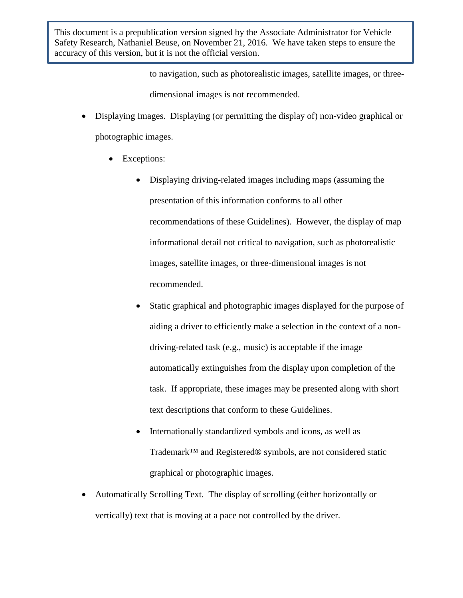> to navigation, such as photorealistic images, satellite images, or threedimensional images is not recommended.

- Displaying Images. Displaying (or permitting the display of) non-video graphical or photographic images.
	- Exceptions:
		- Displaying driving-related images including maps (assuming the presentation of this information conforms to all other recommendations of these Guidelines). However, the display of map informational detail not critical to navigation, such as photorealistic images, satellite images, or three-dimensional images is not recommended.
		- Static graphical and photographic images displayed for the purpose of aiding a driver to efficiently make a selection in the context of a nondriving-related task (e.g., music) is acceptable if the image automatically extinguishes from the display upon completion of the task. If appropriate, these images may be presented along with short text descriptions that conform to these Guidelines.
		- Internationally standardized symbols and icons, as well as Trademark™ and Registered® symbols, are not considered static graphical or photographic images.
- Automatically Scrolling Text. The display of scrolling (either horizontally or vertically) text that is moving at a pace not controlled by the driver.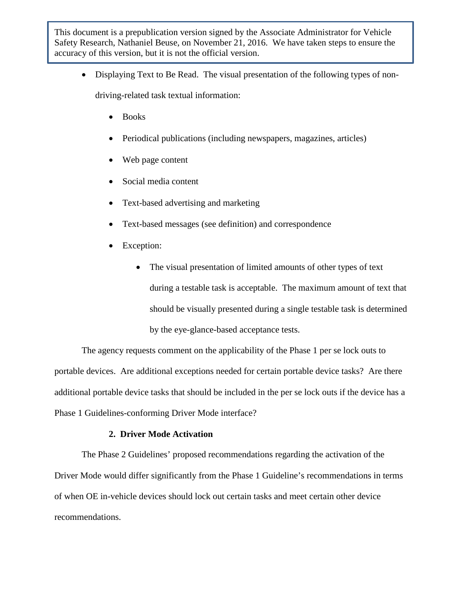- Displaying Text to Be Read. The visual presentation of the following types of nondriving-related task textual information:
	- Books
	- Periodical publications (including newspapers, magazines, articles)
	- Web page content
	- Social media content
	- Text-based advertising and marketing
	- Text-based messages (see definition) and correspondence
	- Exception:
		- The visual presentation of limited amounts of other types of text during a testable task is acceptable. The maximum amount of text that should be visually presented during a single testable task is determined by the eye-glance-based acceptance tests.

The agency requests comment on the applicability of the Phase 1 per se lock outs to portable devices. Are additional exceptions needed for certain portable device tasks? Are there additional portable device tasks that should be included in the per se lock outs if the device has a Phase 1 Guidelines-conforming Driver Mode interface?

# **2. Driver Mode Activation**

The Phase 2 Guidelines' proposed recommendations regarding the activation of the Driver Mode would differ significantly from the Phase 1 Guideline's recommendations in terms of when OE in-vehicle devices should lock out certain tasks and meet certain other device recommendations.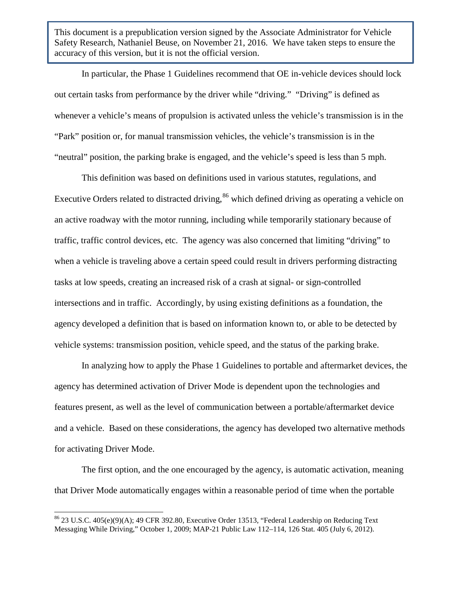In particular, the Phase 1 Guidelines recommend that OE in-vehicle devices should lock out certain tasks from performance by the driver while "driving." "Driving" is defined as whenever a vehicle's means of propulsion is activated unless the vehicle's transmission is in the "Park" position or, for manual transmission vehicles, the vehicle's transmission is in the "neutral" position, the parking brake is engaged, and the vehicle's speed is less than 5 mph.

This definition was based on definitions used in various statutes, regulations, and Executive Orders related to distracted driving,<sup>[86](#page-68-0)</sup> which defined driving as operating a vehicle on an active roadway with the motor running, including while temporarily stationary because of traffic, traffic control devices, etc. The agency was also concerned that limiting "driving" to when a vehicle is traveling above a certain speed could result in drivers performing distracting tasks at low speeds, creating an increased risk of a crash at signal- or sign-controlled intersections and in traffic. Accordingly, by using existing definitions as a foundation, the agency developed a definition that is based on information known to, or able to be detected by vehicle systems: transmission position, vehicle speed, and the status of the parking brake.

In analyzing how to apply the Phase 1 Guidelines to portable and aftermarket devices, the agency has determined activation of Driver Mode is dependent upon the technologies and features present, as well as the level of communication between a portable/aftermarket device and a vehicle. Based on these considerations, the agency has developed two alternative methods for activating Driver Mode.

The first option, and the one encouraged by the agency, is automatic activation, meaning that Driver Mode automatically engages within a reasonable period of time when the portable

<span id="page-68-0"></span> $86$  23 U.S.C. 405(e)(9)(A); 49 CFR 392.80, Executive Order 13513, "Federal Leadership on Reducing Text Messaging While Driving," October 1, 2009; MAP-21 Public Law 112–114, 126 Stat. 405 (July 6, 2012).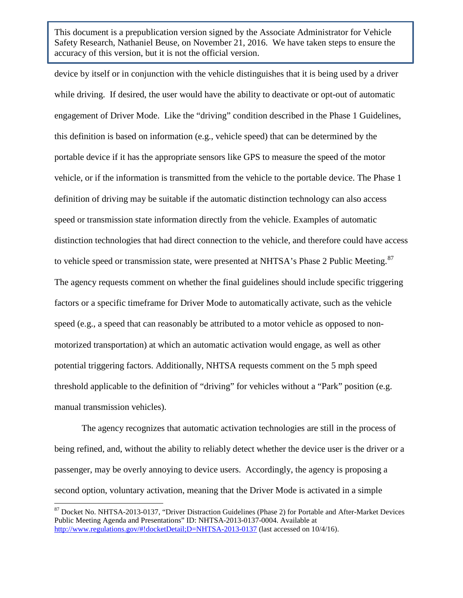device by itself or in conjunction with the vehicle distinguishes that it is being used by a driver while driving. If desired, the user would have the ability to deactivate or opt-out of automatic engagement of Driver Mode. Like the "driving" condition described in the Phase 1 Guidelines, this definition is based on information (e.g., vehicle speed) that can be determined by the portable device if it has the appropriate sensors like GPS to measure the speed of the motor vehicle, or if the information is transmitted from the vehicle to the portable device. The Phase 1 definition of driving may be suitable if the automatic distinction technology can also access speed or transmission state information directly from the vehicle. Examples of automatic distinction technologies that had direct connection to the vehicle, and therefore could have access to vehicle speed or transmission state, were presented at NHTSA's Phase 2 Public Meeting.<sup>[87](#page-69-0)</sup> The agency requests comment on whether the final guidelines should include specific triggering factors or a specific timeframe for Driver Mode to automatically activate, such as the vehicle speed (e.g., a speed that can reasonably be attributed to a motor vehicle as opposed to nonmotorized transportation) at which an automatic activation would engage, as well as other potential triggering factors. Additionally, NHTSA requests comment on the 5 mph speed threshold applicable to the definition of "driving" for vehicles without a "Park" position (e.g. manual transmission vehicles).

The agency recognizes that automatic activation technologies are still in the process of being refined, and, without the ability to reliably detect whether the device user is the driver or a passenger, may be overly annoying to device users. Accordingly, the agency is proposing a second option, voluntary activation, meaning that the Driver Mode is activated in a simple

<span id="page-69-0"></span><sup>87</sup> Docket No. NHTSA-2013-0137, "Driver Distraction Guidelines (Phase 2) for Portable and After-Market Devices Public Meeting Agenda and Presentations" ID: NHTSA-2013-0137-0004. Available at <http://www.regulations.gov/#!docketDetail;D=NHTSA-2013-0137> (last accessed on 10/4/16).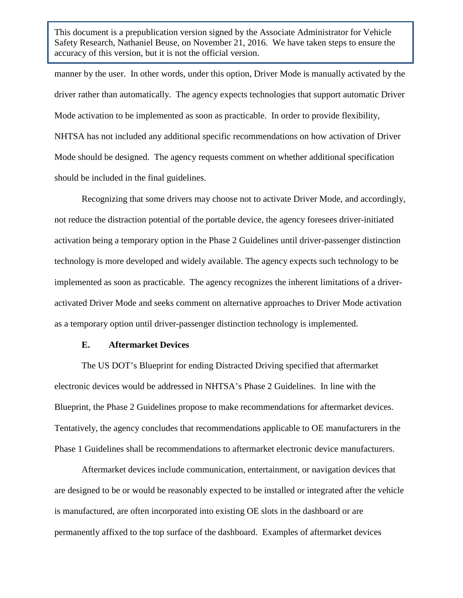manner by the user. In other words, under this option, Driver Mode is manually activated by the driver rather than automatically. The agency expects technologies that support automatic Driver Mode activation to be implemented as soon as practicable. In order to provide flexibility, NHTSA has not included any additional specific recommendations on how activation of Driver Mode should be designed. The agency requests comment on whether additional specification should be included in the final guidelines.

Recognizing that some drivers may choose not to activate Driver Mode, and accordingly, not reduce the distraction potential of the portable device, the agency foresees driver-initiated activation being a temporary option in the Phase 2 Guidelines until driver-passenger distinction technology is more developed and widely available. The agency expects such technology to be implemented as soon as practicable. The agency recognizes the inherent limitations of a driveractivated Driver Mode and seeks comment on alternative approaches to Driver Mode activation as a temporary option until driver-passenger distinction technology is implemented.

#### **E. Aftermarket Devices**

The US DOT's Blueprint for ending Distracted Driving specified that aftermarket electronic devices would be addressed in NHTSA's Phase 2 Guidelines. In line with the Blueprint, the Phase 2 Guidelines propose to make recommendations for aftermarket devices. Tentatively, the agency concludes that recommendations applicable to OE manufacturers in the Phase 1 Guidelines shall be recommendations to aftermarket electronic device manufacturers.

Aftermarket devices include communication, entertainment, or navigation devices that are designed to be or would be reasonably expected to be installed or integrated after the vehicle is manufactured, are often incorporated into existing OE slots in the dashboard or are permanently affixed to the top surface of the dashboard. Examples of aftermarket devices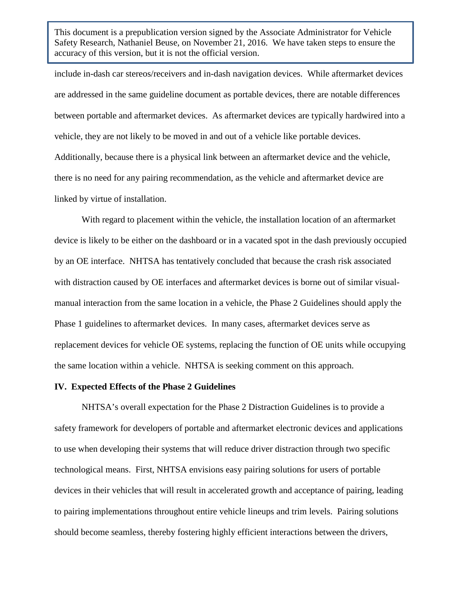include in-dash car stereos/receivers and in-dash navigation devices. While aftermarket devices are addressed in the same guideline document as portable devices, there are notable differences between portable and aftermarket devices. As aftermarket devices are typically hardwired into a vehicle, they are not likely to be moved in and out of a vehicle like portable devices. Additionally, because there is a physical link between an aftermarket device and the vehicle, there is no need for any pairing recommendation, as the vehicle and aftermarket device are linked by virtue of installation.

With regard to placement within the vehicle, the installation location of an aftermarket device is likely to be either on the dashboard or in a vacated spot in the dash previously occupied by an OE interface. NHTSA has tentatively concluded that because the crash risk associated with distraction caused by OE interfaces and aftermarket devices is borne out of similar visualmanual interaction from the same location in a vehicle, the Phase 2 Guidelines should apply the Phase 1 guidelines to aftermarket devices. In many cases, aftermarket devices serve as replacement devices for vehicle OE systems, replacing the function of OE units while occupying the same location within a vehicle. NHTSA is seeking comment on this approach.

### **IV. Expected Effects of the Phase 2 Guidelines**

NHTSA's overall expectation for the Phase 2 Distraction Guidelines is to provide a safety framework for developers of portable and aftermarket electronic devices and applications to use when developing their systems that will reduce driver distraction through two specific technological means. First, NHTSA envisions easy pairing solutions for users of portable devices in their vehicles that will result in accelerated growth and acceptance of pairing, leading to pairing implementations throughout entire vehicle lineups and trim levels. Pairing solutions should become seamless, thereby fostering highly efficient interactions between the drivers,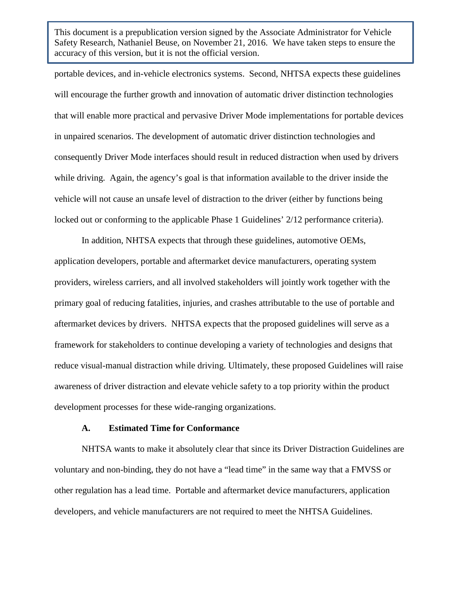portable devices, and in-vehicle electronics systems. Second, NHTSA expects these guidelines will encourage the further growth and innovation of automatic driver distinction technologies that will enable more practical and pervasive Driver Mode implementations for portable devices in unpaired scenarios. The development of automatic driver distinction technologies and consequently Driver Mode interfaces should result in reduced distraction when used by drivers while driving. Again, the agency's goal is that information available to the driver inside the vehicle will not cause an unsafe level of distraction to the driver (either by functions being locked out or conforming to the applicable Phase 1 Guidelines' 2/12 performance criteria).

In addition, NHTSA expects that through these guidelines, automotive OEMs, application developers, portable and aftermarket device manufacturers, operating system providers, wireless carriers, and all involved stakeholders will jointly work together with the primary goal of reducing fatalities, injuries, and crashes attributable to the use of portable and aftermarket devices by drivers. NHTSA expects that the proposed guidelines will serve as a framework for stakeholders to continue developing a variety of technologies and designs that reduce visual-manual distraction while driving. Ultimately, these proposed Guidelines will raise awareness of driver distraction and elevate vehicle safety to a top priority within the product development processes for these wide-ranging organizations.

#### **A. Estimated Time for Conformance**

NHTSA wants to make it absolutely clear that since its Driver Distraction Guidelines are voluntary and non-binding, they do not have a "lead time" in the same way that a FMVSS or other regulation has a lead time. Portable and aftermarket device manufacturers, application developers, and vehicle manufacturers are not required to meet the NHTSA Guidelines.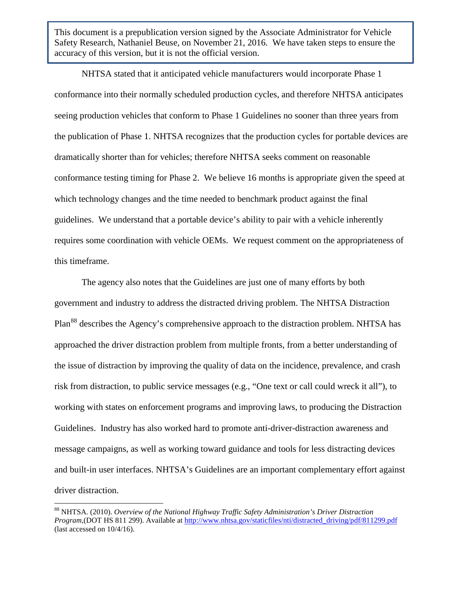NHTSA stated that it anticipated vehicle manufacturers would incorporate Phase 1 conformance into their normally scheduled production cycles, and therefore NHTSA anticipates seeing production vehicles that conform to Phase 1 Guidelines no sooner than three years from the publication of Phase 1. NHTSA recognizes that the production cycles for portable devices are dramatically shorter than for vehicles; therefore NHTSA seeks comment on reasonable conformance testing timing for Phase 2. We believe 16 months is appropriate given the speed at which technology changes and the time needed to benchmark product against the final guidelines. We understand that a portable device's ability to pair with a vehicle inherently requires some coordination with vehicle OEMs. We request comment on the appropriateness of this timeframe.

The agency also notes that the Guidelines are just one of many efforts by both government and industry to address the distracted driving problem. The NHTSA Distraction Plan<sup>[88](#page-73-0)</sup> describes the Agency's comprehensive approach to the distraction problem. NHTSA has approached the driver distraction problem from multiple fronts, from a better understanding of the issue of distraction by improving the quality of data on the incidence, prevalence, and crash risk from distraction, to public service messages (e.g., "One text or call could wreck it all"), to working with states on enforcement programs and improving laws, to producing the Distraction Guidelines. Industry has also worked hard to promote anti-driver-distraction awareness and message campaigns, as well as working toward guidance and tools for less distracting devices and built-in user interfaces. NHTSA's Guidelines are an important complementary effort against driver distraction.

<span id="page-73-0"></span><sup>88</sup> NHTSA. (2010). *Overview of the National Highway Traffic Safety Administration's Driver Distraction Program*,(DOT HS 811 299). Available at [http://www.nhtsa.gov/staticfiles/nti/distracted\\_driving/pdf/811299.pdf](http://www.nhtsa.gov/staticfiles/nti/distracted_driving/pdf/811299.pdf) (last accessed on 10/4/16).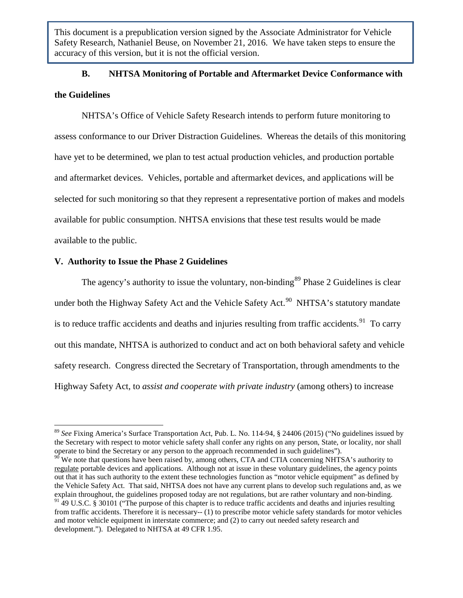# **B. NHTSA Monitoring of Portable and Aftermarket Device Conformance with**

# **the Guidelines**

NHTSA's Office of Vehicle Safety Research intends to perform future monitoring to assess conformance to our Driver Distraction Guidelines. Whereas the details of this monitoring have yet to be determined, we plan to test actual production vehicles, and production portable and aftermarket devices. Vehicles, portable and aftermarket devices, and applications will be selected for such monitoring so that they represent a representative portion of makes and models available for public consumption. NHTSA envisions that these test results would be made available to the public.

# **V. Authority to Issue the Phase 2 Guidelines**

The agency's authority to issue the voluntary, non-binding<sup>[89](#page-74-0)</sup> Phase 2 Guidelines is clear under both the Highway Safety Act and the Vehicle Safety Act.<sup>[90](#page-74-1)</sup> NHTSA's statutory mandate is to reduce traffic accidents and deaths and injuries resulting from traffic accidents.<sup>91</sup> To carry out this mandate, NHTSA is authorized to conduct and act on both behavioral safety and vehicle safety research. Congress directed the Secretary of Transportation, through amendments to the Highway Safety Act, to *assist and cooperate with private industry* (among others) to increase

<span id="page-74-0"></span><sup>89</sup> *See* Fixing America's Surface Transportation Act, Pub. L. No. 114-94, § 24406 (2015) ("No guidelines issued by the Secretary with respect to motor vehicle safety shall confer any rights on any person, State, or locality, nor shall operate to bind the Secretary or any person to the approach recommended in such guidelines").

<span id="page-74-2"></span><span id="page-74-1"></span> $90$  We note that questions have been raised by, among others, CTA and CTIA concerning NHTSA's authority to regulate portable devices and applications. Although not at issue in these voluntary guidelines, the agency points out that it has such authority to the extent these technologies function as "motor vehicle equipment" as defined by the Vehicle Safety Act. That said, NHTSA does not have any current plans to develop such regulations and, as we explain throughout, the guidelines proposed today are not regulations, but are rather voluntary and non-binding.  $91\overline{49}$  U.S.C. § 30101 ("The purpose of this chapter is to reduce traffic accidents and deaths and injuries resulting from traffic accidents. Therefore it is necessary-- (1) to prescribe motor vehicle safety standards for motor vehicles and motor vehicle equipment in interstate commerce; and (2) to carry out needed safety research and development."). Delegated to NHTSA at 49 CFR 1.95.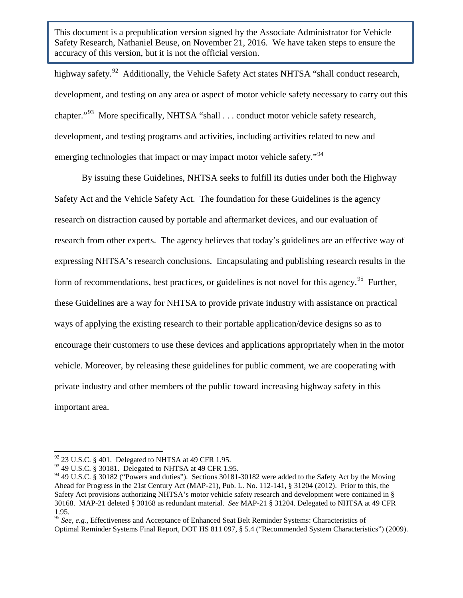highway safety.<sup>92</sup> Additionally, the Vehicle Safety Act states NHTSA "shall conduct research, development, and testing on any area or aspect of motor vehicle safety necessary to carry out this chapter."<sup>[93](#page-75-1)</sup> More specifically, NHTSA "shall . . . conduct motor vehicle safety research, development, and testing programs and activities, including activities related to new and emerging technologies that impact or may impact motor vehicle safety."<sup>94</sup>

By issuing these Guidelines, NHTSA seeks to fulfill its duties under both the Highway Safety Act and the Vehicle Safety Act. The foundation for these Guidelines is the agency research on distraction caused by portable and aftermarket devices, and our evaluation of research from other experts. The agency believes that today's guidelines are an effective way of expressing NHTSA's research conclusions. Encapsulating and publishing research results in the form of recommendations, best practices, or guidelines is not novel for this agency.<sup>95</sup> Further, these Guidelines are a way for NHTSA to provide private industry with assistance on practical ways of applying the existing research to their portable application/device designs so as to encourage their customers to use these devices and applications appropriately when in the motor vehicle. Moreover, by releasing these guidelines for public comment, we are cooperating with private industry and other members of the public toward increasing highway safety in this important area.

<span id="page-75-0"></span> $92$  23 U.S.C. § 401. Delegated to NHTSA at 49 CFR 1.95.

<span id="page-75-1"></span><sup>93</sup> 49 U.S.C. § 30181. Delegated to NHTSA at 49 CFR 1.95.

<span id="page-75-2"></span><sup>&</sup>lt;sup>94</sup> 49 U.S.C. § 30182 ("Powers and duties"). Sections 30181-30182 were added to the Safety Act by the Moving Ahead for Progress in the 21st Century Act (MAP-21), Pub. L. No. 112-141, § 31204 (2012). Prior to this, the Safety Act provisions authorizing NHTSA's motor vehicle safety research and development were contained in § 30168. MAP-21 deleted § 30168 as redundant material. *See* MAP-21 § 31204. Delegated to NHTSA at 49 CFR 1.95.

<span id="page-75-3"></span><sup>95</sup> *See, e.g.*, Effectiveness and Acceptance of Enhanced Seat Belt Reminder Systems: Characteristics of Optimal Reminder Systems Final Report, DOT HS 811 097, § 5.4 ("Recommended System Characteristics") (2009).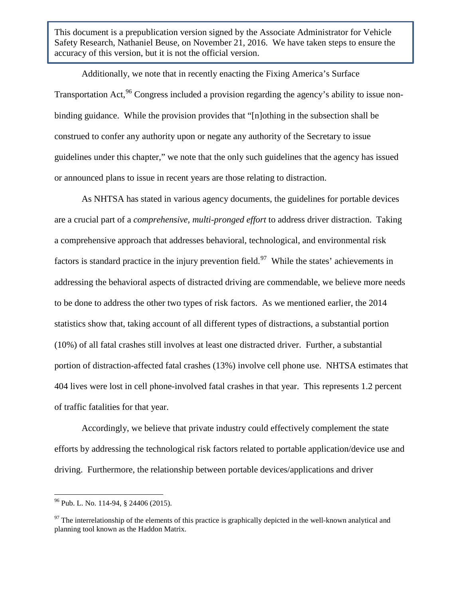Additionally, we note that in recently enacting the Fixing America's Surface Transportation Act, <sup>[96](#page-76-0)</sup> Congress included a provision regarding the agency's ability to issue nonbinding guidance. While the provision provides that "[n]othing in the subsection shall be construed to confer any authority upon or negate any authority of the Secretary to issue guidelines under this chapter," we note that the only such guidelines that the agency has issued or announced plans to issue in recent years are those relating to distraction.

As NHTSA has stated in various agency documents, the guidelines for portable devices are a crucial part of a *comprehensive, multi-pronged effort* to address driver distraction. Taking a comprehensive approach that addresses behavioral, technological, and environmental risk factors is standard practice in the injury prevention field.<sup>97</sup> While the states' achievements in addressing the behavioral aspects of distracted driving are commendable, we believe more needs to be done to address the other two types of risk factors. As we mentioned earlier, the 2014 statistics show that, taking account of all different types of distractions, a substantial portion (10%) of all fatal crashes still involves at least one distracted driver. Further, a substantial portion of distraction-affected fatal crashes (13%) involve cell phone use. NHTSA estimates that 404 lives were lost in cell phone-involved fatal crashes in that year. This represents 1.2 percent of traffic fatalities for that year.

Accordingly, we believe that private industry could effectively complement the state efforts by addressing the technological risk factors related to portable application/device use and driving. Furthermore, the relationship between portable devices/applications and driver

<span id="page-76-0"></span> $96$  Pub. L. No. 114-94, § 24406 (2015).

<span id="page-76-1"></span> $97$  The interrelationship of the elements of this practice is graphically depicted in the well-known analytical and planning tool known as the Haddon Matrix.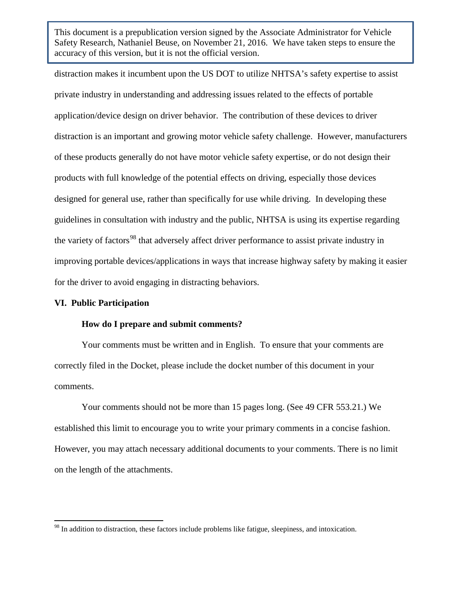distraction makes it incumbent upon the US DOT to utilize NHTSA's safety expertise to assist private industry in understanding and addressing issues related to the effects of portable application/device design on driver behavior. The contribution of these devices to driver distraction is an important and growing motor vehicle safety challenge. However, manufacturers of these products generally do not have motor vehicle safety expertise, or do not design their products with full knowledge of the potential effects on driving, especially those devices designed for general use, rather than specifically for use while driving. In developing these guidelines in consultation with industry and the public, NHTSA is using its expertise regarding the variety of factors<sup>[98](#page-77-0)</sup> that adversely affect driver performance to assist private industry in improving portable devices/applications in ways that increase highway safety by making it easier for the driver to avoid engaging in distracting behaviors.

#### **VI. Public Participation**

#### **How do I prepare and submit comments?**

Your comments must be written and in English. To ensure that your comments are correctly filed in the Docket, please include the docket number of this document in your comments.

Your comments should not be more than 15 pages long. (See 49 CFR 553.21.) We established this limit to encourage you to write your primary comments in a concise fashion. However, you may attach necessary additional documents to your comments. There is no limit on the length of the attachments.

<span id="page-77-0"></span><sup>&</sup>lt;sup>98</sup> In addition to distraction, these factors include problems like fatigue, sleepiness, and intoxication.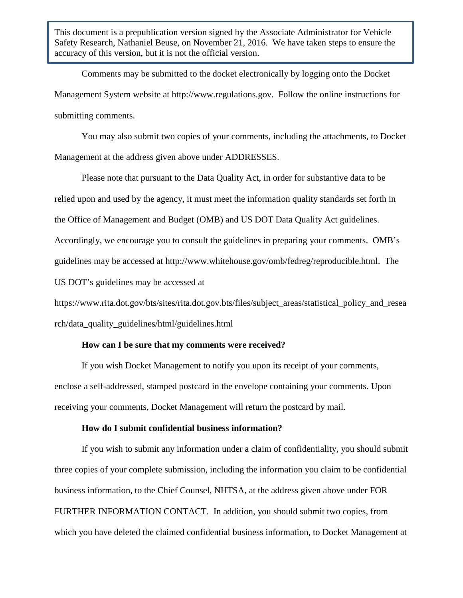Comments may be submitted to the docket electronically by logging onto the Docket Management System website at http://www.regulations.gov. Follow the online instructions for submitting comments.

You may also submit two copies of your comments, including the attachments, to Docket Management at the address given above under ADDRESSES.

Please note that pursuant to the Data Quality Act, in order for substantive data to be relied upon and used by the agency, it must meet the information quality standards set forth in the Office of Management and Budget (OMB) and US DOT Data Quality Act guidelines. Accordingly, we encourage you to consult the guidelines in preparing your comments. OMB's guidelines may be accessed at http://www.whitehouse.gov/omb/fedreg/reproducible.html. The US DOT's guidelines may be accessed at

https://www.rita.dot.gov/bts/sites/rita.dot.gov.bts/files/subject\_areas/statistical\_policy\_and\_resea rch/data\_quality\_guidelines/html/guidelines.html

#### **How can I be sure that my comments were received?**

If you wish Docket Management to notify you upon its receipt of your comments, enclose a self-addressed, stamped postcard in the envelope containing your comments. Upon receiving your comments, Docket Management will return the postcard by mail.

# **How do I submit confidential business information?**

If you wish to submit any information under a claim of confidentiality, you should submit three copies of your complete submission, including the information you claim to be confidential business information, to the Chief Counsel, NHTSA, at the address given above under FOR FURTHER INFORMATION CONTACT. In addition, you should submit two copies, from which you have deleted the claimed confidential business information, to Docket Management at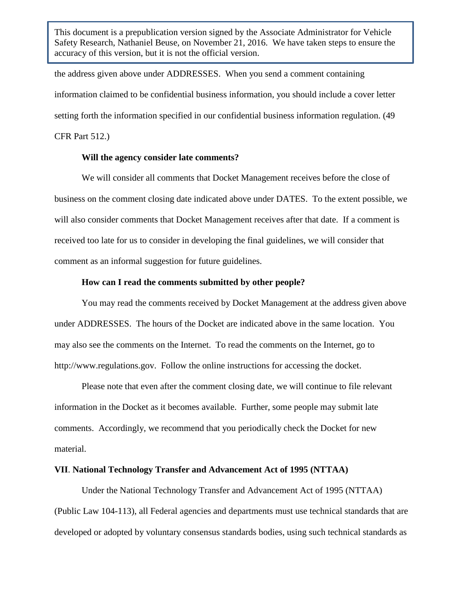the address given above under ADDRESSES. When you send a comment containing information claimed to be confidential business information, you should include a cover letter setting forth the information specified in our confidential business information regulation. (49 CFR Part 512.)

#### **Will the agency consider late comments?**

We will consider all comments that Docket Management receives before the close of business on the comment closing date indicated above under DATES. To the extent possible, we will also consider comments that Docket Management receives after that date. If a comment is received too late for us to consider in developing the final guidelines, we will consider that comment as an informal suggestion for future guidelines.

# **How can I read the comments submitted by other people?**

You may read the comments received by Docket Management at the address given above under ADDRESSES. The hours of the Docket are indicated above in the same location. You may also see the comments on the Internet. To read the comments on the Internet, go to http://www.regulations.gov. Follow the online instructions for accessing the docket.

Please note that even after the comment closing date, we will continue to file relevant information in the Docket as it becomes available. Further, some people may submit late comments. Accordingly, we recommend that you periodically check the Docket for new material.

## **VII**. **National Technology Transfer and Advancement Act of 1995 (NTTAA)**

Under the National Technology Transfer and Advancement Act of 1995 (NTTAA) (Public Law 104-113), all Federal agencies and departments must use technical standards that are developed or adopted by voluntary consensus standards bodies, using such technical standards as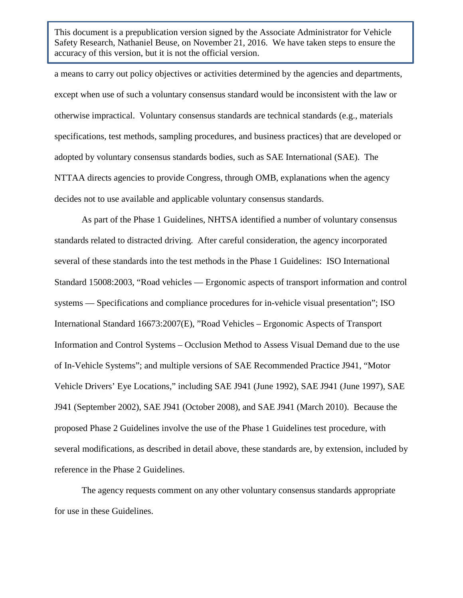a means to carry out policy objectives or activities determined by the agencies and departments, except when use of such a voluntary consensus standard would be inconsistent with the law or otherwise impractical. Voluntary consensus standards are technical standards (e.g., materials specifications, test methods, sampling procedures, and business practices) that are developed or adopted by voluntary consensus standards bodies, such as SAE International (SAE). The NTTAA directs agencies to provide Congress, through OMB, explanations when the agency decides not to use available and applicable voluntary consensus standards.

As part of the Phase 1 Guidelines, NHTSA identified a number of voluntary consensus standards related to distracted driving. After careful consideration, the agency incorporated several of these standards into the test methods in the Phase 1 Guidelines: ISO International Standard 15008:2003, "Road vehicles — Ergonomic aspects of transport information and control systems — Specifications and compliance procedures for in-vehicle visual presentation"; ISO International Standard 16673:2007(E), "Road Vehicles – Ergonomic Aspects of Transport Information and Control Systems – Occlusion Method to Assess Visual Demand due to the use of In-Vehicle Systems"; and multiple versions of SAE Recommended Practice J941, "Motor Vehicle Drivers' Eye Locations," including SAE J941 (June 1992), SAE J941 (June 1997), SAE J941 (September 2002), SAE J941 (October 2008), and SAE J941 (March 2010). Because the proposed Phase 2 Guidelines involve the use of the Phase 1 Guidelines test procedure, with several modifications, as described in detail above, these standards are, by extension, included by reference in the Phase 2 Guidelines.

The agency requests comment on any other voluntary consensus standards appropriate for use in these Guidelines.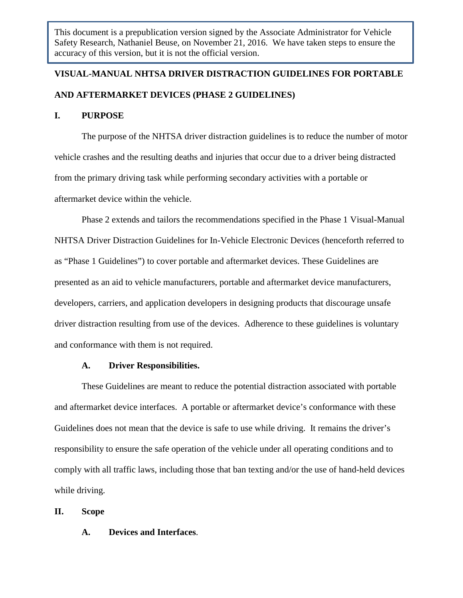# **VISUAL-MANUAL NHTSA DRIVER DISTRACTION GUIDELINES FOR PORTABLE AND AFTERMARKET DEVICES (PHASE 2 GUIDELINES)**

#### **I. PURPOSE**

The purpose of the NHTSA driver distraction guidelines is to reduce the number of motor vehicle crashes and the resulting deaths and injuries that occur due to a driver being distracted from the primary driving task while performing secondary activities with a portable or aftermarket device within the vehicle.

Phase 2 extends and tailors the recommendations specified in the Phase 1 Visual-Manual NHTSA Driver Distraction Guidelines for In-Vehicle Electronic Devices (henceforth referred to as "Phase 1 Guidelines") to cover portable and aftermarket devices. These Guidelines are presented as an aid to vehicle manufacturers, portable and aftermarket device manufacturers, developers, carriers, and application developers in designing products that discourage unsafe driver distraction resulting from use of the devices. Adherence to these guidelines is voluntary and conformance with them is not required.

#### **A. Driver Responsibilities.**

These Guidelines are meant to reduce the potential distraction associated with portable and aftermarket device interfaces. A portable or aftermarket device's conformance with these Guidelines does not mean that the device is safe to use while driving. It remains the driver's responsibility to ensure the safe operation of the vehicle under all operating conditions and to comply with all traffic laws, including those that ban texting and/or the use of hand-held devices while driving.

#### **II. Scope**

# **A. Devices and Interfaces**.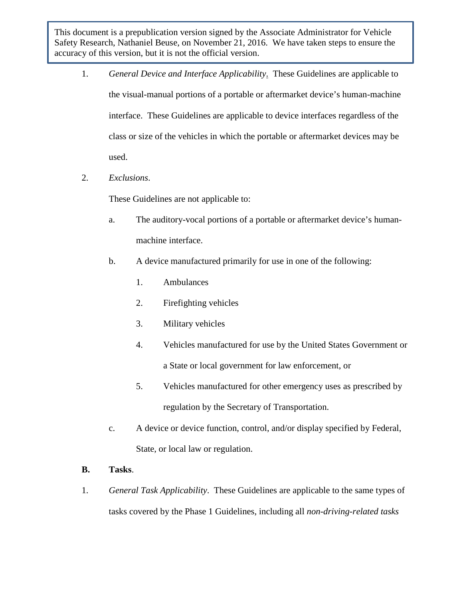- 1. *General Device and Interface Applicability*. These Guidelines are applicable to the visual-manual portions of a portable or aftermarket device's human-machine interface. These Guidelines are applicable to device interfaces regardless of the class or size of the vehicles in which the portable or aftermarket devices may be used.
- 2. *Exclusions*.

These Guidelines are not applicable to:

- a. The auditory-vocal portions of a portable or aftermarket device's humanmachine interface.
- b. A device manufactured primarily for use in one of the following:
	- 1. Ambulances
	- 2. Firefighting vehicles
	- 3. Military vehicles
	- 4. Vehicles manufactured for use by the United States Government or a State or local government for law enforcement, or
	- 5. Vehicles manufactured for other emergency uses as prescribed by regulation by the Secretary of Transportation.
- c. A device or device function, control, and/or display specified by Federal, State, or local law or regulation.
- **B. Tasks**.
- 1. *General Task Applicability*. These Guidelines are applicable to the same types of tasks covered by the Phase 1 Guidelines, including all *non-driving-related tasks*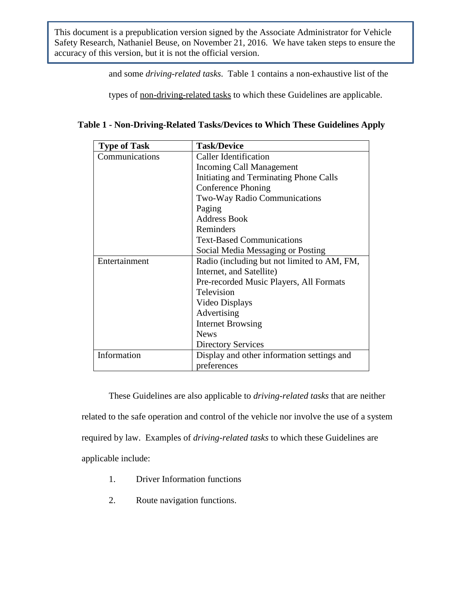and some *driving-related tasks*. Table 1 contains a non-exhaustive list of the

types of non-driving-related tasks to which these Guidelines are applicable.

|  |  | Table 1 - Non-Driving-Related Tasks/Devices to Which These Guidelines Apply |  |
|--|--|-----------------------------------------------------------------------------|--|

| <b>Type of Task</b> | <b>Task/Device</b>                          |  |  |  |
|---------------------|---------------------------------------------|--|--|--|
| Communications      | <b>Caller Identification</b>                |  |  |  |
|                     | Incoming Call Management                    |  |  |  |
|                     | Initiating and Terminating Phone Calls      |  |  |  |
|                     | <b>Conference Phoning</b>                   |  |  |  |
|                     | Two-Way Radio Communications                |  |  |  |
|                     | Paging                                      |  |  |  |
|                     | <b>Address Book</b>                         |  |  |  |
|                     | Reminders                                   |  |  |  |
|                     | <b>Text-Based Communications</b>            |  |  |  |
|                     | Social Media Messaging or Posting           |  |  |  |
| Entertainment       | Radio (including but not limited to AM, FM, |  |  |  |
|                     | Internet, and Satellite)                    |  |  |  |
|                     | Pre-recorded Music Players, All Formats     |  |  |  |
|                     | Television                                  |  |  |  |
|                     | Video Displays                              |  |  |  |
|                     | Advertising                                 |  |  |  |
|                     | <b>Internet Browsing</b>                    |  |  |  |
|                     | <b>News</b>                                 |  |  |  |
|                     | <b>Directory Services</b>                   |  |  |  |
| Information         | Display and other information settings and  |  |  |  |
|                     | preferences                                 |  |  |  |

These Guidelines are also applicable to *driving-related tasks* that are neither related to the safe operation and control of the vehicle nor involve the use of a system required by law. Examples of *driving-related tasks* to which these Guidelines are applicable include:

- 1. Driver Information functions
- 2. Route navigation functions.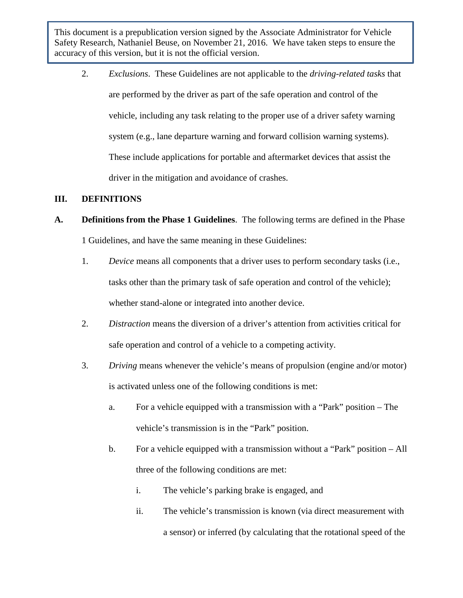2. *Exclusions*. These Guidelines are not applicable to the *driving-related tasks* that are performed by the driver as part of the safe operation and control of the vehicle, including any task relating to the proper use of a driver safety warning system (e.g., lane departure warning and forward collision warning systems). These include applications for portable and aftermarket devices that assist the driver in the mitigation and avoidance of crashes.

# **III. DEFINITIONS**

# **A. Definitions from the Phase 1 Guidelines**. The following terms are defined in the Phase 1 Guidelines, and have the same meaning in these Guidelines:

- 1. *Device* means all components that a driver uses to perform secondary tasks (i.e., tasks other than the primary task of safe operation and control of the vehicle); whether stand-alone or integrated into another device.
- 2. *Distraction* means the diversion of a driver's attention from activities critical for safe operation and control of a vehicle to a competing activity.
- 3. *Driving* means whenever the vehicle's means of propulsion (engine and/or motor) is activated unless one of the following conditions is met:
	- a. For a vehicle equipped with a transmission with a "Park" position The vehicle's transmission is in the "Park" position.
	- b. For a vehicle equipped with a transmission without a "Park" position All three of the following conditions are met:
		- i. The vehicle's parking brake is engaged, and
		- ii. The vehicle's transmission is known (via direct measurement with a sensor) or inferred (by calculating that the rotational speed of the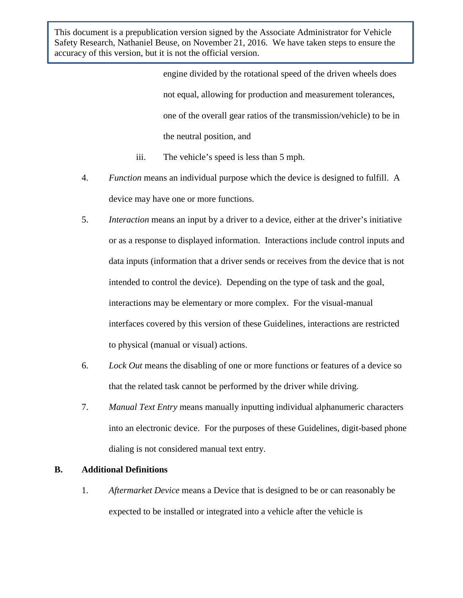> engine divided by the rotational speed of the driven wheels does not equal, allowing for production and measurement tolerances, one of the overall gear ratios of the transmission/vehicle) to be in the neutral position, and

- iii. The vehicle's speed is less than 5 mph.
- 4. *Function* means an individual purpose which the device is designed to fulfill. A device may have one or more functions.
- 5. *Interaction* means an input by a driver to a device, either at the driver's initiative or as a response to displayed information. Interactions include control inputs and data inputs (information that a driver sends or receives from the device that is not intended to control the device). Depending on the type of task and the goal, interactions may be elementary or more complex. For the visual-manual interfaces covered by this version of these Guidelines, interactions are restricted to physical (manual or visual) actions.
- 6. *Lock Out* means the disabling of one or more functions or features of a device so that the related task cannot be performed by the driver while driving.
- 7. *Manual Text Entry* means manually inputting individual alphanumeric characters into an electronic device. For the purposes of these Guidelines, digit-based phone dialing is not considered manual text entry.

# **B. Additional Definitions**

1. *Aftermarket Device* means a Device that is designed to be or can reasonably be expected to be installed or integrated into a vehicle after the vehicle is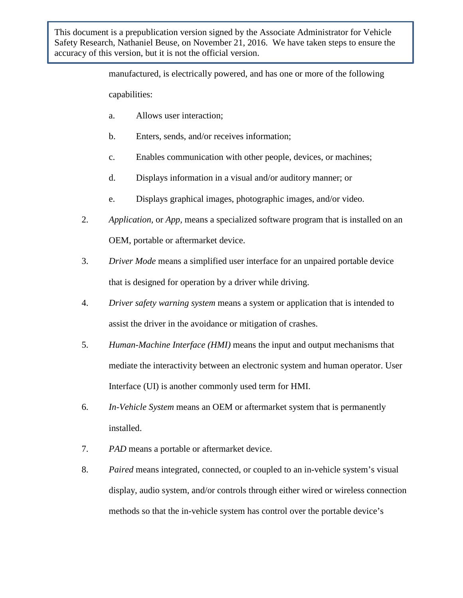> manufactured, is electrically powered, and has one or more of the following capabilities:

- a. Allows user interaction;
- b. Enters, sends, and/or receives information;
- c. Enables communication with other people, devices, or machines;
- d. Displays information in a visual and/or auditory manner; or
- e. Displays graphical images, photographic images, and/or video.
- 2. *Application,* or *App,* means a specialized software program that is installed on an OEM, portable or aftermarket device.
- 3. *Driver Mode* means a simplified user interface for an unpaired portable device that is designed for operation by a driver while driving.
- 4. *Driver safety warning system* means a system or application that is intended to assist the driver in the avoidance or mitigation of crashes.
- 5. *Human-Machine Interface (HMI)* means the input and output mechanisms that mediate the interactivity between an electronic system and human operator. User Interface (UI) is another commonly used term for HMI.
- 6. *In-Vehicle System* means an OEM or aftermarket system that is permanently installed.
- 7. *PAD* means a portable or aftermarket device.
- 8. *Paired* means integrated, connected, or coupled to an in-vehicle system's visual display, audio system, and/or controls through either wired or wireless connection methods so that the in-vehicle system has control over the portable device's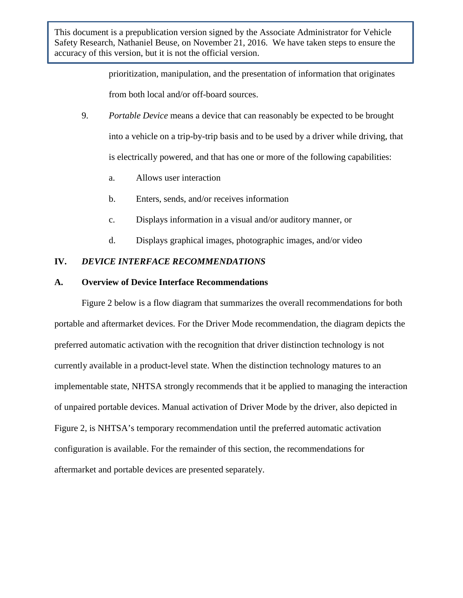> prioritization, manipulation, and the presentation of information that originates from both local and/or off-board sources.

- 9. *Portable Device* means a device that can reasonably be expected to be brought into a vehicle on a trip-by-trip basis and to be used by a driver while driving, that is electrically powered, and that has one or more of the following capabilities:
	- a. Allows user interaction
	- b. Enters, sends, and/or receives information
	- c. Displays information in a visual and/or auditory manner, or
	- d. Displays graphical images, photographic images, and/or video

# **IV.** *DEVICE INTERFACE RECOMMENDATIONS*

## **A. Overview of Device Interface Recommendations**

Figure 2 below is a flow diagram that summarizes the overall recommendations for both portable and aftermarket devices. For the Driver Mode recommendation, the diagram depicts the preferred automatic activation with the recognition that driver distinction technology is not currently available in a product-level state. When the distinction technology matures to an implementable state, NHTSA strongly recommends that it be applied to managing the interaction of unpaired portable devices. Manual activation of Driver Mode by the driver, also depicted in Figure 2, is NHTSA's temporary recommendation until the preferred automatic activation configuration is available. For the remainder of this section, the recommendations for aftermarket and portable devices are presented separately.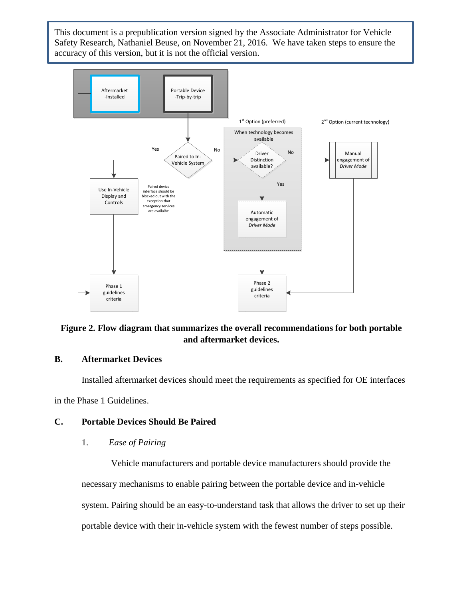

# **Figure 2. Flow diagram that summarizes the overall recommendations for both portable and aftermarket devices.**

# **B. Aftermarket Devices**

Installed aftermarket devices should meet the requirements as specified for OE interfaces in the Phase 1 Guidelines.

# **C. Portable Devices Should Be Paired**

#### 1. *Ease of Pairing*

Vehicle manufacturers and portable device manufacturers should provide the necessary mechanisms to enable pairing between the portable device and in-vehicle system. Pairing should be an easy-to-understand task that allows the driver to set up their portable device with their in-vehicle system with the fewest number of steps possible.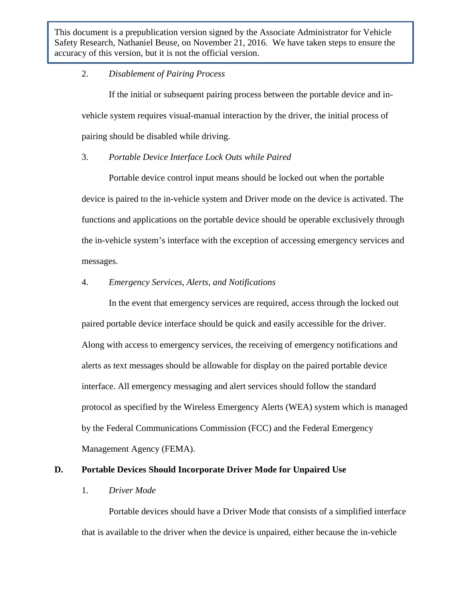#### 2. *Disablement of Pairing Process*

If the initial or subsequent pairing process between the portable device and invehicle system requires visual-manual interaction by the driver, the initial process of pairing should be disabled while driving.

#### 3. *Portable Device Interface Lock Outs while Paired*

Portable device control input means should be locked out when the portable device is paired to the in-vehicle system and Driver mode on the device is activated. The functions and applications on the portable device should be operable exclusively through the in-vehicle system's interface with the exception of accessing emergency services and messages.

# 4. *Emergency Services, Alerts, and Notifications*

In the event that emergency services are required, access through the locked out paired portable device interface should be quick and easily accessible for the driver. Along with access to emergency services, the receiving of emergency notifications and alerts as text messages should be allowable for display on the paired portable device interface. All emergency messaging and alert services should follow the standard protocol as specified by the Wireless Emergency Alerts (WEA) system which is managed by the Federal Communications Commission (FCC) and the Federal Emergency Management Agency (FEMA).

# **D. Portable Devices Should Incorporate Driver Mode for Unpaired Use**

#### 1. *Driver Mode*

Portable devices should have a Driver Mode that consists of a simplified interface that is available to the driver when the device is unpaired, either because the in-vehicle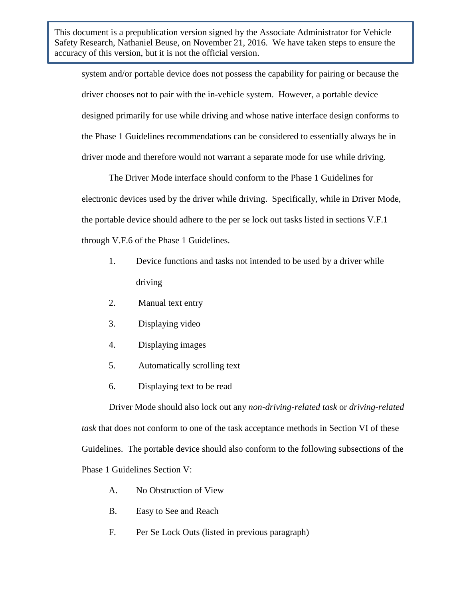system and/or portable device does not possess the capability for pairing or because the driver chooses not to pair with the in-vehicle system. However, a portable device designed primarily for use while driving and whose native interface design conforms to the Phase 1 Guidelines recommendations can be considered to essentially always be in driver mode and therefore would not warrant a separate mode for use while driving.

The Driver Mode interface should conform to the Phase 1 Guidelines for electronic devices used by the driver while driving. Specifically, while in Driver Mode, the portable device should adhere to the per se lock out tasks listed in sections V.F.1 through V.F.6 of the Phase 1 Guidelines.

- 1. Device functions and tasks not intended to be used by a driver while driving
- 2. Manual text entry
- 3. Displaying video
- 4. Displaying images
- 5. Automatically scrolling text
- 6. Displaying text to be read

Driver Mode should also lock out any *non-driving-related task* or *driving-related task* that does not conform to one of the task acceptance methods in Section VI of these Guidelines. The portable device should also conform to the following subsections of the Phase 1 Guidelines Section V:

- A. No Obstruction of View
- B. Easy to See and Reach
- F. Per Se Lock Outs (listed in previous paragraph)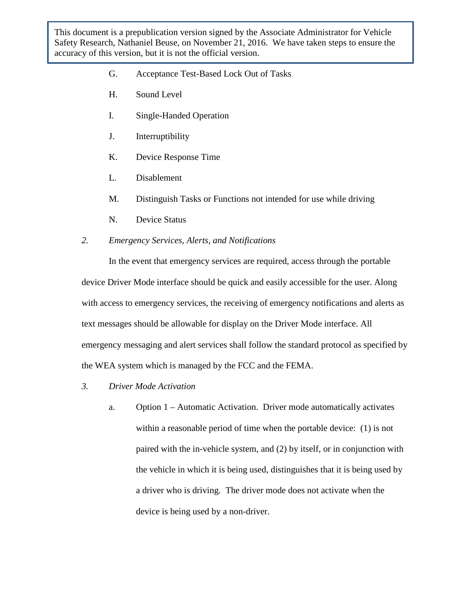- G. Acceptance Test-Based Lock Out of Tasks
- H. Sound Level
- I. Single-Handed Operation
- J. Interruptibility
- K. Device Response Time
- L. Disablement
- M. Distinguish Tasks or Functions not intended for use while driving
- N. Device Status

#### *2. Emergency Services, Alerts, and Notifications*

In the event that emergency services are required, access through the portable device Driver Mode interface should be quick and easily accessible for the user. Along with access to emergency services, the receiving of emergency notifications and alerts as text messages should be allowable for display on the Driver Mode interface. All emergency messaging and alert services shall follow the standard protocol as specified by the WEA system which is managed by the FCC and the FEMA.

- *3. Driver Mode Activation* 
	- a. Option 1 Automatic Activation. Driver mode automatically activates within a reasonable period of time when the portable device: (1) is not paired with the in-vehicle system, and (2) by itself, or in conjunction with the vehicle in which it is being used, distinguishes that it is being used by a driver who is driving. The driver mode does not activate when the device is being used by a non-driver.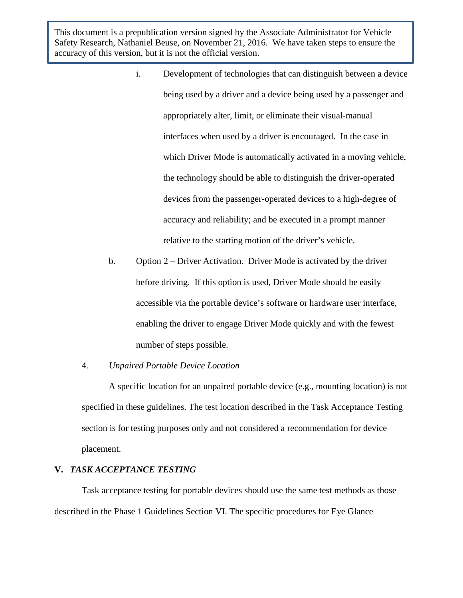- i. Development of technologies that can distinguish between a device being used by a driver and a device being used by a passenger and appropriately alter, limit, or eliminate their visual-manual interfaces when used by a driver is encouraged. In the case in which Driver Mode is automatically activated in a moving vehicle, the technology should be able to distinguish the driver-operated devices from the passenger-operated devices to a high-degree of accuracy and reliability; and be executed in a prompt manner relative to the starting motion of the driver's vehicle.
- b. Option  $2$  Driver Activation. Driver Mode is activated by the driver before driving. If this option is used, Driver Mode should be easily accessible via the portable device's software or hardware user interface, enabling the driver to engage Driver Mode quickly and with the fewest number of steps possible.

#### 4. *Unpaired Portable Device Location*

A specific location for an unpaired portable device (e.g., mounting location) is not specified in these guidelines. The test location described in the Task Acceptance Testing section is for testing purposes only and not considered a recommendation for device placement.

# **V.** *TASK ACCEPTANCE TESTING*

Task acceptance testing for portable devices should use the same test methods as those described in the Phase 1 Guidelines Section VI. The specific procedures for Eye Glance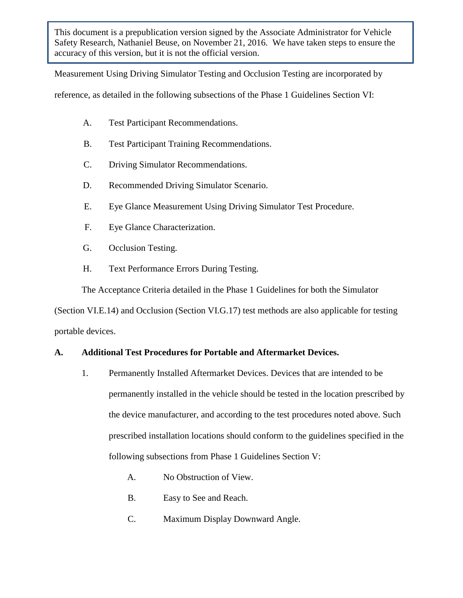Measurement Using Driving Simulator Testing and Occlusion Testing are incorporated by

reference, as detailed in the following subsections of the Phase 1 Guidelines Section VI:

- A. Test Participant Recommendations.
- B. Test Participant Training Recommendations.
- C. Driving Simulator Recommendations.
- D. Recommended Driving Simulator Scenario.
- E. Eye Glance Measurement Using Driving Simulator Test Procedure.
- F. Eye Glance Characterization.
- G. Occlusion Testing.
- H. Text Performance Errors During Testing.

The Acceptance Criteria detailed in the Phase 1 Guidelines for both the Simulator

(Section VI.E.14) and Occlusion (Section VI.G.17) test methods are also applicable for testing portable devices.

# **A. Additional Test Procedures for Portable and Aftermarket Devices.**

- 1. Permanently Installed Aftermarket Devices. Devices that are intended to be permanently installed in the vehicle should be tested in the location prescribed by the device manufacturer, and according to the test procedures noted above. Such prescribed installation locations should conform to the guidelines specified in the following subsections from Phase 1 Guidelines Section V:
	- A. No Obstruction of View.
	- B. Easy to See and Reach.
	- C. Maximum Display Downward Angle.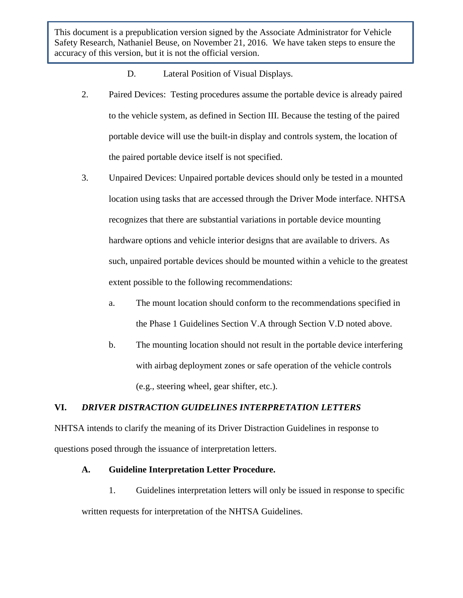D. Lateral Position of Visual Displays.

- 2. Paired Devices: Testing procedures assume the portable device is already paired to the vehicle system, as defined in Section III. Because the testing of the paired portable device will use the built-in display and controls system, the location of the paired portable device itself is not specified.
- 3. Unpaired Devices: Unpaired portable devices should only be tested in a mounted location using tasks that are accessed through the Driver Mode interface. NHTSA recognizes that there are substantial variations in portable device mounting hardware options and vehicle interior designs that are available to drivers. As such, unpaired portable devices should be mounted within a vehicle to the greatest extent possible to the following recommendations:
	- a. The mount location should conform to the recommendations specified in the Phase 1 Guidelines Section V.A through Section V.D noted above.
	- b. The mounting location should not result in the portable device interfering with airbag deployment zones or safe operation of the vehicle controls (e.g., steering wheel, gear shifter, etc.).

# **VI.** *DRIVER DISTRACTION GUIDELINES INTERPRETATION LETTERS*

NHTSA intends to clarify the meaning of its Driver Distraction Guidelines in response to questions posed through the issuance of interpretation letters.

# **A. Guideline Interpretation Letter Procedure.**

1. Guidelines interpretation letters will only be issued in response to specific written requests for interpretation of the NHTSA Guidelines.